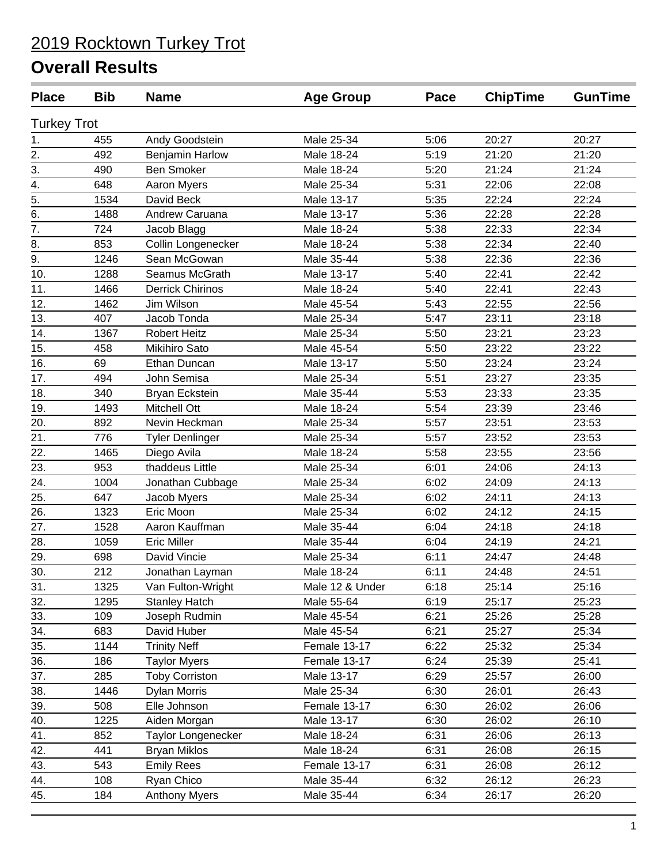| <b>Place</b>       | <b>Bib</b> | <b>Name</b>             | <b>Age Group</b> | Pace | <b>ChipTime</b> | <b>GunTime</b> |
|--------------------|------------|-------------------------|------------------|------|-----------------|----------------|
| <b>Turkey Trot</b> |            |                         |                  |      |                 |                |
| 1.                 | 455        | Andy Goodstein          | Male 25-34       | 5:06 | 20:27           | 20:27          |
| $\overline{2}$ .   | 492        | Benjamin Harlow         | Male 18-24       | 5:19 | 21:20           | 21:20          |
| $\overline{3}$ .   | 490        | <b>Ben Smoker</b>       | Male 18-24       | 5:20 | 21:24           | 21:24          |
| 4.                 | 648        | Aaron Myers             | Male 25-34       | 5:31 | 22:06           | 22:08          |
| $\overline{5}$ .   | 1534       | David Beck              | Male 13-17       | 5:35 | 22:24           | 22:24          |
| 6.                 | 1488       | Andrew Caruana          | Male 13-17       | 5:36 | 22:28           | 22:28          |
| 7.                 | 724        | Jacob Blagg             | Male 18-24       | 5:38 | 22:33           | 22:34          |
| 8.                 | 853        | Collin Longenecker      | Male 18-24       | 5:38 | 22:34           | 22:40          |
| 9.                 | 1246       | Sean McGowan            | Male 35-44       | 5:38 | 22:36           | 22:36          |
| 10.                | 1288       | Seamus McGrath          | Male 13-17       | 5:40 | 22:41           | 22:42          |
| 11.                | 1466       | <b>Derrick Chirinos</b> | Male 18-24       | 5:40 | 22:41           | 22:43          |
| 12.                | 1462       | Jim Wilson              | Male 45-54       | 5:43 | 22:55           | 22:56          |
| 13.                | 407        | Jacob Tonda             | Male 25-34       | 5:47 | 23:11           | 23:18          |
| 14.                | 1367       | <b>Robert Heitz</b>     | Male 25-34       | 5:50 | 23:21           | 23:23          |
| 15.                | 458        | Mikihiro Sato           | Male 45-54       | 5:50 | 23:22           | 23:22          |
| 16.                | 69         | Ethan Duncan            | Male 13-17       | 5:50 | 23:24           | 23:24          |
| 17.                | 494        | John Semisa             | Male 25-34       | 5:51 | 23:27           | 23:35          |
| 18.                | 340        | Bryan Eckstein          | Male 35-44       | 5:53 | 23:33           | 23:35          |
| 19.                | 1493       | <b>Mitchell Ott</b>     | Male 18-24       | 5:54 | 23:39           | 23:46          |
| 20.                | 892        | Nevin Heckman           | Male 25-34       | 5:57 | 23:51           | 23:53          |
| 21.                | 776        | Tyler Denlinger         | Male 25-34       | 5:57 | 23:52           | 23:53          |
| 22.                | 1465       | Diego Avila             | Male 18-24       | 5:58 | 23:55           | 23:56          |
| 23.                | 953        | thaddeus Little         | Male 25-34       | 6:01 | 24:06           | 24:13          |
| 24.                | 1004       | Jonathan Cubbage        | Male 25-34       | 6:02 | 24:09           | 24:13          |
| 25.                | 647        | Jacob Myers             | Male 25-34       | 6:02 | 24:11           | 24:13          |
| 26.                | 1323       | Eric Moon               | Male 25-34       | 6:02 | 24:12           | 24:15          |
| 27.                | 1528       | Aaron Kauffman          | Male 35-44       | 6:04 | 24:18           | 24:18          |
| 28.                | 1059       | <b>Eric Miller</b>      | Male 35-44       | 6:04 | 24:19           | 24:21          |
| 29.                | 698        | David Vincie            | Male 25-34       | 6:11 | 24:47           | 24:48          |
| 30.                | 212        | Jonathan Layman         | Male 18-24       | 6:11 | 24:48           | 24:51          |
| 31.                | 1325       | Van Fulton-Wright       | Male 12 & Under  | 6:18 | 25:14           | 25:16          |
| 32.                | 1295       | <b>Stanley Hatch</b>    | Male 55-64       | 6:19 | 25:17           | 25:23          |
| 33.                | 109        | Joseph Rudmin           | Male 45-54       | 6:21 | 25:26           | 25:28          |
| 34.                | 683        | David Huber             | Male 45-54       | 6:21 | 25:27           | 25:34          |
| 35.                | 1144       | <b>Trinity Neff</b>     | Female 13-17     | 6:22 | 25:32           | 25:34          |
| 36.                | 186        | <b>Taylor Myers</b>     | Female 13-17     | 6:24 | 25:39           | 25:41          |
| 37.                | 285        | <b>Toby Corriston</b>   | Male 13-17       | 6:29 | 25:57           | 26:00          |
| 38.                | 1446       | <b>Dylan Morris</b>     | Male 25-34       | 6:30 | 26:01           | 26:43          |
| 39.                | 508        | Elle Johnson            | Female 13-17     | 6:30 | 26:02           | 26:06          |
| 40.                | 1225       | Aiden Morgan            | Male 13-17       | 6:30 | 26:02           | 26:10          |
| 41.                | 852        | Taylor Longenecker      | Male 18-24       | 6:31 | 26:06           | 26:13          |
| 42.                | 441        | <b>Bryan Miklos</b>     | Male 18-24       | 6:31 | 26:08           | 26:15          |
| 43.                | 543        | <b>Emily Rees</b>       | Female 13-17     | 6:31 | 26:08           | 26:12          |
| 44.                | 108        | Ryan Chico              | Male 35-44       | 6:32 | 26:12           | 26:23          |
| 45.                | 184        | <b>Anthony Myers</b>    | Male 35-44       | 6:34 | 26:17           | 26:20          |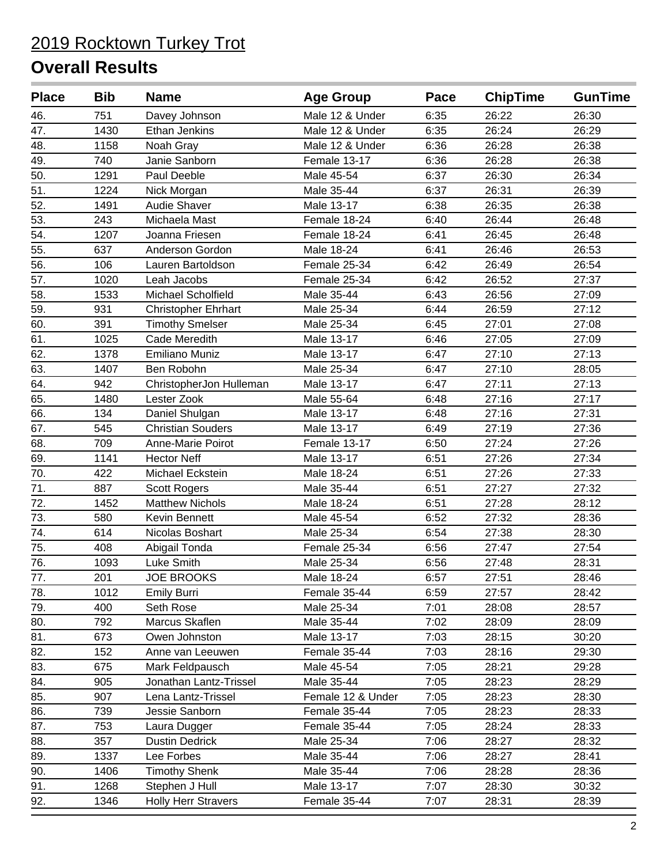| <b>Place</b>      | <b>Bib</b> | <b>Name</b>                | <b>Age Group</b>  | Pace | <b>ChipTime</b> | <b>GunTime</b> |
|-------------------|------------|----------------------------|-------------------|------|-----------------|----------------|
| 46.               | 751        | Davey Johnson              | Male 12 & Under   | 6:35 | 26:22           | 26:30          |
| 47.               | 1430       | Ethan Jenkins              | Male 12 & Under   | 6:35 | 26:24           | 26:29          |
| 48.               | 1158       | Noah Gray                  | Male 12 & Under   | 6:36 | 26:28           | 26:38          |
| 49.               | 740        | Janie Sanborn              | Female 13-17      | 6:36 | 26:28           | 26:38          |
| 50.               | 1291       | Paul Deeble                | Male 45-54        | 6:37 | 26:30           | 26:34          |
| 51.               | 1224       | Nick Morgan                | Male 35-44        | 6:37 | 26:31           | 26:39          |
| 52.               | 1491       | Audie Shaver               | Male 13-17        | 6:38 | 26:35           | 26:38          |
| 53.               | 243        | Michaela Mast              | Female 18-24      | 6:40 | 26:44           | 26:48          |
| 54.               | 1207       | Joanna Friesen             | Female 18-24      | 6:41 | 26:45           | 26:48          |
| 55.               | 637        | Anderson Gordon            | Male 18-24        | 6:41 | 26:46           | 26:53          |
| 56.               | 106        | Lauren Bartoldson          | Female 25-34      | 6:42 | 26:49           | 26:54          |
| 57.               | 1020       | Leah Jacobs                | Female 25-34      | 6:42 | 26:52           | 27:37          |
| 58.               | 1533       | Michael Scholfield         | Male 35-44        | 6:43 | 26:56           | 27:09          |
| 59.               | 931        | <b>Christopher Ehrhart</b> | Male 25-34        | 6:44 | 26:59           | 27:12          |
| 60.               | 391        | <b>Timothy Smelser</b>     | Male 25-34        | 6:45 | 27:01           | 27:08          |
| 61.               | 1025       | Cade Meredith              | Male 13-17        | 6:46 | 27:05           | 27:09          |
| 62.               | 1378       | <b>Emiliano Muniz</b>      | Male 13-17        | 6:47 | 27:10           | 27:13          |
| 63.               | 1407       | Ben Robohn                 | Male 25-34        | 6:47 | 27:10           | 28:05          |
| 64.               | 942        | ChristopherJon Hulleman    | Male 13-17        | 6:47 | 27:11           | 27:13          |
| 65.               | 1480       | Lester Zook                | Male 55-64        | 6:48 | 27:16           | 27:17          |
| 66.               | 134        | Daniel Shulgan             | Male 13-17        | 6:48 | 27:16           | 27:31          |
| 67.               | 545        | <b>Christian Souders</b>   | Male 13-17        | 6:49 | 27:19           | 27:36          |
| 68.               | 709        | Anne-Marie Poirot          | Female 13-17      | 6:50 | 27:24           | 27:26          |
| 69.               | 1141       | <b>Hector Neff</b>         | Male 13-17        | 6:51 | 27:26           | 27:34          |
| 70.               | 422        | Michael Eckstein           | Male 18-24        | 6:51 | 27:26           | 27:33          |
| 71.               | 887        | <b>Scott Rogers</b>        | Male 35-44        | 6:51 | 27:27           | 27:32          |
| 72.               | 1452       | <b>Matthew Nichols</b>     | Male 18-24        | 6:51 | 27:28           | 28:12          |
| 73.               | 580        | Kevin Bennett              | Male 45-54        | 6:52 | 27:32           | 28:36          |
| 74.               | 614        | Nicolas Boshart            | Male 25-34        | 6:54 | 27:38           | 28:30          |
| $\overline{75}$ . | 408        | Abigail Tonda              | Female 25-34      | 6:56 | 27:47           | 27:54          |
| 76.               | 1093       | Luke Smith                 | Male 25-34        | 6:56 | 27:48           | 28:31          |
| 77.               | 201        | <b>JOE BROOKS</b>          | Male 18-24        | 6:57 | 27:51           | 28:46          |
| 78.               | 1012       | <b>Emily Burri</b>         | Female 35-44      | 6:59 | 27:57           | 28:42          |
| 79.               | 400        | Seth Rose                  | Male 25-34        | 7:01 | 28:08           | 28:57          |
| 80.               | 792        | Marcus Skaflen             | Male 35-44        | 7:02 | 28:09           | 28:09          |
| 81.               | 673        | Owen Johnston              | Male 13-17        | 7:03 | 28:15           | 30:20          |
| 82.               | 152        | Anne van Leeuwen           | Female 35-44      | 7:03 | 28:16           | 29:30          |
| 83.               | 675        | Mark Feldpausch            | Male 45-54        | 7:05 | 28:21           | 29:28          |
| 84.               | 905        | Jonathan Lantz-Trissel     | Male 35-44        | 7:05 | 28:23           | 28:29          |
| 85.               | 907        | Lena Lantz-Trissel         | Female 12 & Under | 7:05 | 28:23           | 28:30          |
| 86.               | 739        | Jessie Sanborn             | Female 35-44      | 7:05 | 28:23           | 28:33          |
| 87.               | 753        | Laura Dugger               | Female 35-44      | 7:05 | 28:24           | 28:33          |
| 88.               | 357        | <b>Dustin Dedrick</b>      | Male 25-34        | 7:06 | 28:27           | 28:32          |
| 89.               | 1337       | Lee Forbes                 | Male 35-44        | 7:06 | 28:27           | 28:41          |
| 90.               | 1406       | <b>Timothy Shenk</b>       | Male 35-44        | 7:06 | 28:28           | 28:36          |
| 91.               | 1268       | Stephen J Hull             | Male 13-17        | 7:07 | 28:30           | 30:32          |
| 92.               | 1346       | <b>Holly Herr Stravers</b> | Female 35-44      | 7:07 | 28:31           | 28:39          |
|                   |            |                            |                   |      |                 |                |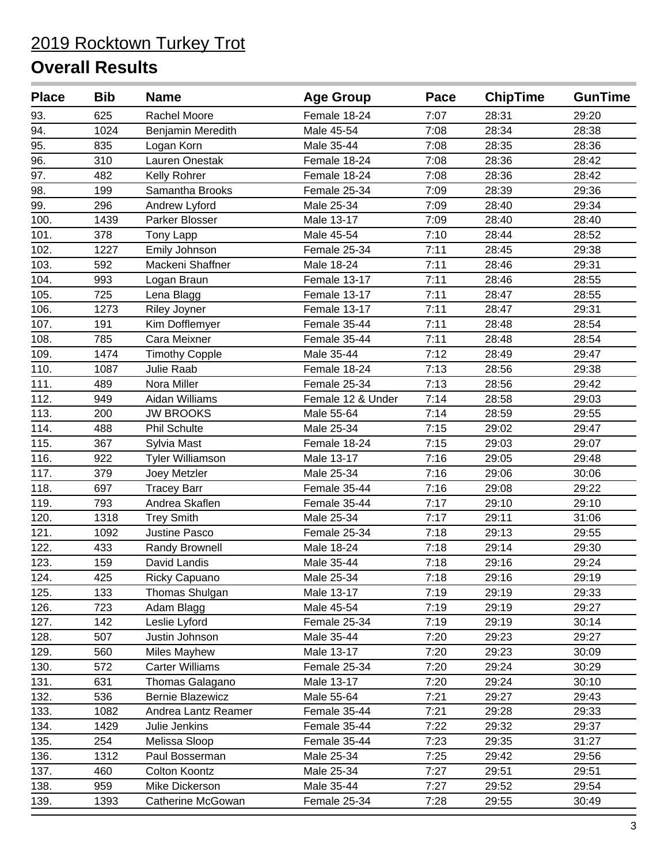| <b>Place</b> | <b>Bib</b> | <b>Name</b>             | <b>Age Group</b>  | Pace | <b>ChipTime</b> | <b>GunTime</b> |
|--------------|------------|-------------------------|-------------------|------|-----------------|----------------|
| 93.          | 625        | Rachel Moore            | Female 18-24      | 7:07 | 28:31           | 29:20          |
| 94.          | 1024       | Benjamin Meredith       | Male 45-54        | 7:08 | 28:34           | 28:38          |
| 95.          | 835        | Logan Korn              | Male 35-44        | 7:08 | 28:35           | 28:36          |
| 96.          | 310        | Lauren Onestak          | Female 18-24      | 7:08 | 28:36           | 28:42          |
| 97.          | 482        | Kelly Rohrer            | Female 18-24      | 7:08 | 28:36           | 28:42          |
| 98.          | 199        | Samantha Brooks         | Female 25-34      | 7:09 | 28:39           | 29:36          |
| 99.          | 296        | Andrew Lyford           | Male 25-34        | 7:09 | 28:40           | 29:34          |
| 100.         | 1439       | Parker Blosser          | Male 13-17        | 7:09 | 28:40           | 28:40          |
| 101.         | 378        | Tony Lapp               | Male 45-54        | 7:10 | 28:44           | 28:52          |
| 102.         | 1227       | Emily Johnson           | Female 25-34      | 7:11 | 28:45           | 29:38          |
| 103.         | 592        | Mackeni Shaffner        | Male 18-24        | 7:11 | 28:46           | 29:31          |
| 104.         | 993        | Logan Braun             | Female 13-17      | 7:11 | 28:46           | 28:55          |
| 105.         | 725        | Lena Blagg              | Female 13-17      | 7:11 | 28:47           | 28:55          |
| 106.         | 1273       | Riley Joyner            | Female 13-17      | 7:11 | 28:47           | 29:31          |
| 107.         | 191        | Kim Dofflemyer          | Female 35-44      | 7:11 | 28:48           | 28:54          |
| 108.         | 785        | Cara Meixner            | Female 35-44      | 7:11 | 28:48           | 28:54          |
| 109.         | 1474       | <b>Timothy Copple</b>   | Male 35-44        | 7:12 | 28:49           | 29:47          |
| 110.         | 1087       | Julie Raab              | Female 18-24      | 7:13 | 28:56           | 29:38          |
| 111.         | 489        | Nora Miller             | Female 25-34      | 7:13 | 28:56           | 29:42          |
| 112.         | 949        | Aidan Williams          | Female 12 & Under | 7:14 | 28:58           | 29:03          |
| 113.         | 200        | <b>JW BROOKS</b>        | Male 55-64        | 7:14 | 28:59           | 29:55          |
| 114.         | 488        | <b>Phil Schulte</b>     | Male 25-34        | 7:15 | 29:02           | 29:47          |
| 115.         | 367        | Sylvia Mast             | Female 18-24      | 7:15 | 29:03           | 29:07          |
| 116.         | 922        | <b>Tyler Williamson</b> | Male 13-17        | 7:16 | 29:05           | 29:48          |
| 117.         | 379        | Joey Metzler            | Male 25-34        | 7:16 | 29:06           | 30:06          |
| 118.         | 697        | <b>Tracey Barr</b>      | Female 35-44      | 7:16 | 29:08           | 29:22          |
| 119.         | 793        | Andrea Skaflen          | Female 35-44      | 7:17 | 29:10           | 29:10          |
| 120.         | 1318       | <b>Trey Smith</b>       | Male 25-34        | 7:17 | 29:11           | 31:06          |
| 121.         | 1092       | <b>Justine Pasco</b>    | Female 25-34      | 7:18 | 29:13           | 29:55          |
| 122.         | 433        | Randy Brownell          | Male 18-24        | 7:18 | 29:14           | 29:30          |
| 123.         | 159        | David Landis            | Male 35-44        | 7:18 | 29:16           | 29:24          |
| 124.         | 425        | Ricky Capuano           | Male 25-34        | 7:18 | 29:16           | 29:19          |
| 125.         | 133        | Thomas Shulgan          | Male 13-17        | 7:19 | 29:19           | 29:33          |
| 126.         | 723        | Adam Blagg              | Male 45-54        | 7:19 | 29:19           | 29:27          |
| 127.         | 142        | Leslie Lyford           | Female 25-34      | 7:19 | 29:19           | 30:14          |
| 128.         | 507        | Justin Johnson          | Male 35-44        | 7:20 | 29:23           | 29:27          |
| 129.         | 560        | <b>Miles Mayhew</b>     | Male 13-17        | 7:20 | 29:23           | 30:09          |
| 130.         | 572        | <b>Carter Williams</b>  | Female 25-34      | 7:20 | 29:24           | 30:29          |
| 131.         | 631        | Thomas Galagano         | Male 13-17        | 7:20 | 29:24           | 30:10          |
| 132.         | 536        | <b>Bernie Blazewicz</b> | Male 55-64        | 7:21 | 29:27           | 29:43          |
| 133.         | 1082       | Andrea Lantz Reamer     | Female 35-44      | 7:21 | 29:28           | 29:33          |
| 134.         | 1429       | Julie Jenkins           | Female 35-44      | 7:22 | 29:32           | 29:37          |
| 135.         | 254        | Melissa Sloop           | Female 35-44      | 7:23 | 29:35           | 31:27          |
| 136.         | 1312       | Paul Bosserman          | Male 25-34        | 7:25 | 29:42           | 29:56          |
| 137.         | 460        | Colton Koontz           | Male 25-34        | 7:27 | 29:51           | 29:51          |
| 138.         | 959        | Mike Dickerson          | Male 35-44        | 7:27 | 29:52           | 29:54          |
| 139.         | 1393       | Catherine McGowan       | Female 25-34      | 7:28 | 29:55           | 30:49          |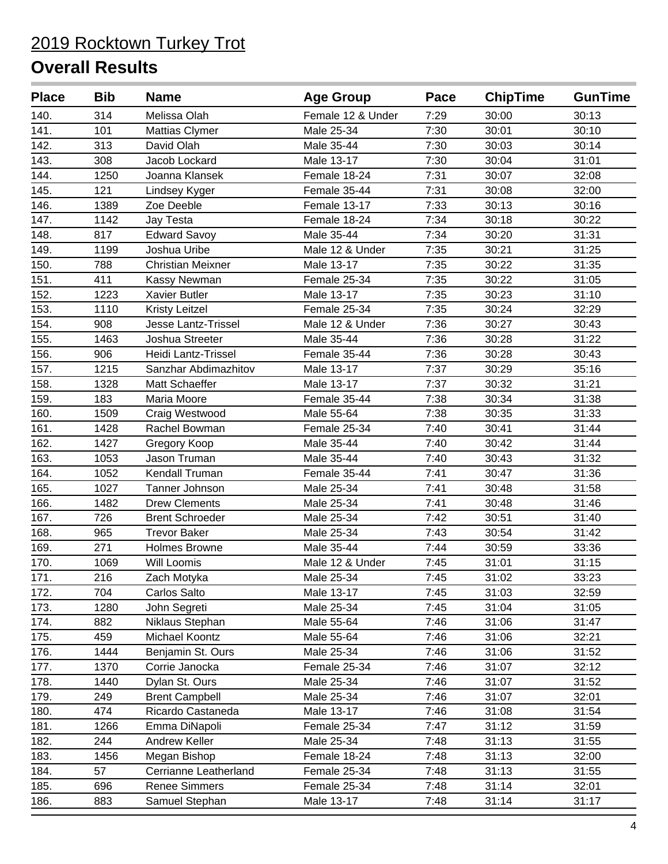| <b>Place</b> | <b>Bib</b> | <b>Name</b>                | <b>Age Group</b>  | Pace | <b>ChipTime</b> | <b>GunTime</b> |
|--------------|------------|----------------------------|-------------------|------|-----------------|----------------|
| 140.         | 314        | Melissa Olah               | Female 12 & Under | 7:29 | 30:00           | 30:13          |
| 141.         | 101        | <b>Mattias Clymer</b>      | Male 25-34        | 7:30 | 30:01           | 30:10          |
| 142.         | 313        | David Olah                 | Male 35-44        | 7:30 | 30:03           | 30:14          |
| 143.         | 308        | Jacob Lockard              | Male 13-17        | 7:30 | 30:04           | 31:01          |
| 144.         | 1250       | Joanna Klansek             | Female 18-24      | 7:31 | 30:07           | 32:08          |
| 145.         | 121        | Lindsey Kyger              | Female 35-44      | 7:31 | 30:08           | 32:00          |
| 146.         | 1389       | Zoe Deeble                 | Female 13-17      | 7:33 | 30:13           | 30:16          |
| 147.         | 1142       | Jay Testa                  | Female 18-24      | 7:34 | 30:18           | 30:22          |
| 148.         | 817        | <b>Edward Savoy</b>        | Male 35-44        | 7:34 | 30:20           | 31:31          |
| 149.         | 1199       | Joshua Uribe               | Male 12 & Under   | 7:35 | 30:21           | 31:25          |
| 150.         | 788        | <b>Christian Meixner</b>   | Male 13-17        | 7:35 | 30:22           | 31:35          |
| 151.         | 411        | Kassy Newman               | Female 25-34      | 7:35 | 30:22           | 31:05          |
| 152.         | 1223       | <b>Xavier Butler</b>       | Male 13-17        | 7:35 | 30:23           | 31:10          |
| 153.         | 1110       | Kristy Leitzel             | Female 25-34      | 7:35 | 30:24           | 32:29          |
| 154.         | 908        | <b>Jesse Lantz-Trissel</b> | Male 12 & Under   | 7:36 | 30:27           | 30:43          |
| 155.         | 1463       | Joshua Streeter            | Male 35-44        | 7:36 | 30:28           | 31:22          |
| 156.         | 906        | Heidi Lantz-Trissel        | Female 35-44      | 7:36 | 30:28           | 30:43          |
| 157.         | 1215       | Sanzhar Abdimazhitov       | Male 13-17        | 7:37 | 30:29           | 35:16          |
| 158.         | 1328       | Matt Schaeffer             | Male 13-17        | 7:37 | 30:32           | 31:21          |
| 159.         | 183        | Maria Moore                | Female 35-44      | 7:38 | 30:34           | 31:38          |
| 160.         | 1509       | Craig Westwood             | Male 55-64        | 7:38 | 30:35           | 31:33          |
| 161.         | 1428       | Rachel Bowman              | Female 25-34      | 7:40 | 30:41           | 31:44          |
| 162.         | 1427       | Gregory Koop               | Male 35-44        | 7:40 | 30:42           | 31:44          |
| 163.         | 1053       | Jason Truman               | Male 35-44        | 7:40 | 30:43           | 31:32          |
| 164.         | 1052       | Kendall Truman             | Female 35-44      | 7:41 | 30:47           | 31:36          |
| 165.         | 1027       | Tanner Johnson             | Male 25-34        | 7:41 | 30:48           | 31:58          |
| 166.         | 1482       | <b>Drew Clements</b>       | Male 25-34        | 7:41 | 30:48           | 31:46          |
| 167.         | 726        | <b>Brent Schroeder</b>     | Male 25-34        | 7:42 | 30:51           | 31:40          |
| 168.         | 965        | <b>Trevor Baker</b>        | Male 25-34        | 7:43 | 30:54           | 31:42          |
| 169.         | 271        | <b>Holmes Browne</b>       | Male 35-44        | 7:44 | 30:59           | 33:36          |
| 170.         | 1069       | <b>Will Loomis</b>         | Male 12 & Under   | 7:45 | 31:01           | 31:15          |
| 171.         | 216        | Zach Motyka                | Male 25-34        | 7:45 | 31:02           | 33:23          |
| 172.         | 704        | Carlos Salto               | Male 13-17        | 7:45 | 31:03           | 32:59          |
| 173.         | 1280       | John Segreti               | Male 25-34        | 7:45 | 31:04           | 31:05          |
| 174.         | 882        | Niklaus Stephan            | Male 55-64        | 7:46 | 31:06           | 31:47          |
| 175.         | 459        | Michael Koontz             | Male 55-64        | 7:46 | 31:06           | 32:21          |
| 176.         | 1444       | Benjamin St. Ours          | Male 25-34        | 7:46 | 31:06           | 31:52          |
| 177.         | 1370       | Corrie Janocka             | Female 25-34      | 7:46 | 31:07           | 32:12          |
| 178.         | 1440       | Dylan St. Ours             | Male 25-34        | 7:46 | 31:07           | 31:52          |
| 179.         | 249        | <b>Brent Campbell</b>      | Male 25-34        | 7:46 | 31:07           | 32:01          |
| 180.         | 474        | Ricardo Castaneda          | Male 13-17        | 7:46 | 31:08           | 31:54          |
| 181.         | 1266       | Emma DiNapoli              | Female 25-34      | 7:47 | 31:12           | 31:59          |
| 182.         | 244        | Andrew Keller              | Male 25-34        | 7:48 | 31:13           | 31:55          |
| 183.         | 1456       | Megan Bishop               | Female 18-24      | 7:48 | 31:13           | 32:00          |
| 184.         | 57         | Cerrianne Leatherland      | Female 25-34      | 7:48 | 31:13           | 31:55          |
| 185.         | 696        | <b>Renee Simmers</b>       | Female 25-34      | 7:48 | 31:14           | 32:01          |
| 186.         | 883        | Samuel Stephan             | Male 13-17        | 7:48 | 31:14           | 31:17          |
|              |            |                            |                   |      |                 |                |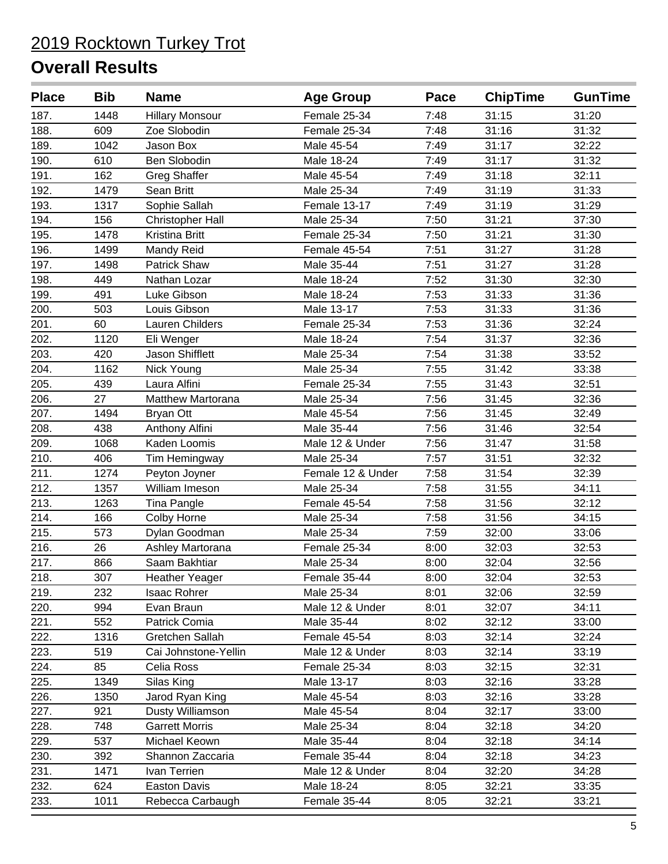| <b>Place</b> | <b>Bib</b> | <b>Name</b>             | <b>Age Group</b>  | Pace | <b>ChipTime</b> | <b>GunTime</b> |
|--------------|------------|-------------------------|-------------------|------|-----------------|----------------|
| 187.         | 1448       | <b>Hillary Monsour</b>  | Female 25-34      | 7:48 | 31:15           | 31:20          |
| 188.         | 609        | Zoe Slobodin            | Female 25-34      | 7:48 | 31:16           | 31:32          |
| 189.         | 1042       | Jason Box               | Male 45-54        | 7:49 | 31:17           | 32:22          |
| 190.         | 610        | <b>Ben Slobodin</b>     | Male 18-24        | 7:49 | 31:17           | 31:32          |
| 191.         | 162        | <b>Greg Shaffer</b>     | Male 45-54        | 7:49 | 31:18           | 32:11          |
| 192.         | 1479       | Sean Britt              | Male 25-34        | 7:49 | 31:19           | 31:33          |
| 193.         | 1317       | Sophie Sallah           | Female 13-17      | 7:49 | 31:19           | 31:29          |
| 194.         | 156        | <b>Christopher Hall</b> | Male 25-34        | 7:50 | 31:21           | 37:30          |
| 195.         | 1478       | Kristina Britt          | Female 25-34      | 7:50 | 31:21           | 31:30          |
| 196.         | 1499       | Mandy Reid              | Female 45-54      | 7:51 | 31:27           | 31:28          |
| 197.         | 1498       | Patrick Shaw            | Male 35-44        | 7:51 | 31:27           | 31:28          |
| 198.         | 449        | Nathan Lozar            | Male 18-24        | 7:52 | 31:30           | 32:30          |
| 199.         | 491        | Luke Gibson             | Male 18-24        | 7:53 | 31:33           | 31:36          |
| 200.         | 503        | Louis Gibson            | Male 13-17        | 7:53 | 31:33           | 31:36          |
| 201.         | 60         | Lauren Childers         | Female 25-34      | 7:53 | 31:36           | 32:24          |
| 202.         | 1120       | Eli Wenger              | Male 18-24        | 7:54 | 31:37           | 32:36          |
| 203.         | 420        | Jason Shifflett         | Male 25-34        | 7:54 | 31:38           | 33:52          |
| 204.         | 1162       | <b>Nick Young</b>       | Male 25-34        | 7:55 | 31:42           | 33:38          |
| 205.         | 439        | Laura Alfini            | Female 25-34      | 7:55 | 31:43           | 32:51          |
| 206.         | 27         | Matthew Martorana       | Male 25-34        | 7:56 | 31:45           | 32:36          |
| 207.         | 1494       | <b>Bryan Ott</b>        | Male 45-54        | 7:56 | 31:45           | 32:49          |
| 208.         | 438        | Anthony Alfini          | Male 35-44        | 7:56 | 31:46           | 32:54          |
| 209.         | 1068       | Kaden Loomis            | Male 12 & Under   | 7:56 | 31:47           | 31:58          |
| 210.         | 406        | Tim Hemingway           | Male 25-34        | 7:57 | 31:51           | 32:32          |
| 211.         | 1274       | Peyton Joyner           | Female 12 & Under | 7:58 | 31:54           | 32:39          |
| 212.         | 1357       | William Imeson          | Male 25-34        | 7:58 | 31:55           | 34:11          |
| 213.         | 1263       | Tina Pangle             | Female 45-54      | 7:58 | 31:56           | 32:12          |
| 214.         | 166        | Colby Horne             | Male 25-34        | 7:58 | 31:56           | 34:15          |
| 215.         | 573        | Dylan Goodman           | Male 25-34        | 7:59 | 32:00           | 33:06          |
| 216.         | 26         | Ashley Martorana        | Female 25-34      | 8:00 | 32:03           | 32:53          |
| 217.         | 866        | Saam Bakhtiar           | Male 25-34        | 8:00 | 32:04           | 32:56          |
| 218.         | 307        | <b>Heather Yeager</b>   | Female 35-44      | 8:00 | 32:04           | 32:53          |
| 219.         | 232        | <b>Isaac Rohrer</b>     | Male 25-34        | 8:01 | 32:06           | 32:59          |
| 220.         | 994        | Evan Braun              | Male 12 & Under   | 8:01 | 32:07           | 34:11          |
| 221.         | 552        | Patrick Comia           | Male 35-44        | 8:02 | 32:12           | 33:00          |
| 222.         | 1316       | Gretchen Sallah         | Female 45-54      | 8:03 | 32:14           | 32:24          |
| 223.         | 519        | Cai Johnstone-Yellin    | Male 12 & Under   | 8:03 | 32:14           | 33:19          |
| 224.         | 85         | Celia Ross              | Female 25-34      | 8:03 | 32:15           | 32:31          |
| 225.         | 1349       | Silas King              | Male 13-17        | 8:03 | 32:16           | 33:28          |
| 226.         | 1350       | Jarod Ryan King         | Male 45-54        | 8:03 | 32:16           | 33:28          |
| 227.         | 921        | Dusty Williamson        | Male 45-54        | 8:04 | 32:17           | 33:00          |
| 228.         | 748        | <b>Garrett Morris</b>   | Male 25-34        | 8:04 | 32:18           | 34:20          |
| 229.         | 537        | Michael Keown           | Male 35-44        | 8:04 | 32:18           | 34:14          |
| 230.         | 392        | Shannon Zaccaria        | Female 35-44      | 8:04 | 32:18           | 34:23          |
| 231.         | 1471       | Ivan Terrien            | Male 12 & Under   | 8:04 | 32:20           | 34:28          |
| 232.         | 624        | Easton Davis            | Male 18-24        | 8:05 | 32:21           | 33:35          |
| 233.         | 1011       | Rebecca Carbaugh        | Female 35-44      | 8:05 | 32:21           | 33:21          |
|              |            |                         |                   |      |                 |                |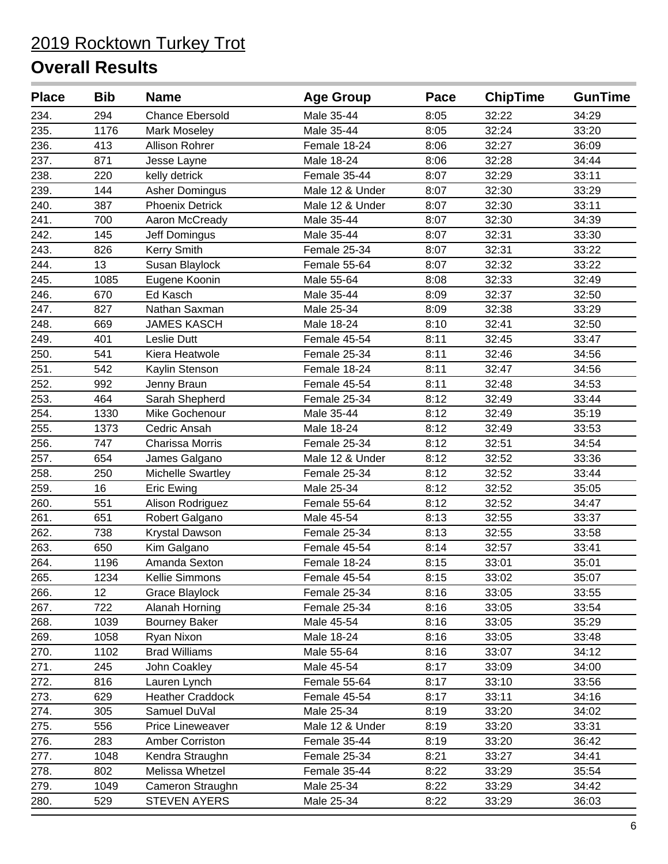| <b>Place</b> | <b>Bib</b> | <b>Name</b>              | <b>Age Group</b> | Pace | <b>ChipTime</b> | <b>GunTime</b> |
|--------------|------------|--------------------------|------------------|------|-----------------|----------------|
| 234.         | 294        | <b>Chance Ebersold</b>   | Male 35-44       | 8:05 | 32:22           | 34:29          |
| 235.         | 1176       | Mark Moseley             | Male 35-44       | 8:05 | 32:24           | 33:20          |
| 236.         | 413        | Allison Rohrer           | Female 18-24     | 8:06 | 32:27           | 36:09          |
| 237.         | 871        | Jesse Layne              | Male 18-24       | 8:06 | 32:28           | 34:44          |
| 238.         | 220        | kelly detrick            | Female 35-44     | 8:07 | 32:29           | 33:11          |
| 239.         | 144        | <b>Asher Domingus</b>    | Male 12 & Under  | 8:07 | 32:30           | 33:29          |
| 240.         | 387        | <b>Phoenix Detrick</b>   | Male 12 & Under  | 8:07 | 32:30           | 33:11          |
| 241.         | 700        | Aaron McCready           | Male 35-44       | 8:07 | 32:30           | 34:39          |
| 242.         | 145        | Jeff Domingus            | Male 35-44       | 8:07 | 32:31           | 33:30          |
| 243.         | 826        | Kerry Smith              | Female 25-34     | 8:07 | 32:31           | 33:22          |
| 244.         | 13         | Susan Blaylock           | Female 55-64     | 8:07 | 32:32           | 33:22          |
| 245.         | 1085       | Eugene Koonin            | Male 55-64       | 8:08 | 32:33           | 32:49          |
| 246.         | 670        | Ed Kasch                 | Male 35-44       | 8:09 | 32:37           | 32:50          |
| 247.         | 827        | Nathan Saxman            | Male 25-34       | 8:09 | 32:38           | 33:29          |
| 248.         | 669        | <b>JAMES KASCH</b>       | Male 18-24       | 8:10 | 32:41           | 32:50          |
| 249.         | 401        | Leslie Dutt              | Female 45-54     | 8:11 | 32:45           | 33:47          |
| 250.         | 541        | Kiera Heatwole           | Female 25-34     | 8:11 | 32:46           | 34:56          |
| 251.         | 542        | Kaylin Stenson           | Female 18-24     | 8:11 | 32:47           | 34:56          |
| 252.         | 992        | Jenny Braun              | Female 45-54     | 8:11 | 32:48           | 34:53          |
| 253.         | 464        | Sarah Shepherd           | Female 25-34     | 8:12 | 32:49           | 33:44          |
| 254.         | 1330       | Mike Gochenour           | Male 35-44       | 8:12 | 32:49           | 35:19          |
| 255.         | 1373       | Cedric Ansah             | Male 18-24       | 8:12 | 32:49           | 33:53          |
| 256.         | 747        | Charissa Morris          | Female 25-34     | 8:12 | 32:51           | 34:54          |
| 257.         | 654        | James Galgano            | Male 12 & Under  | 8:12 | 32:52           | 33:36          |
| 258.         | 250        | <b>Michelle Swartley</b> | Female 25-34     | 8:12 | 32:52           | 33:44          |
| 259.         | 16         | <b>Eric Ewing</b>        | Male 25-34       | 8:12 | 32:52           | 35:05          |
| 260.         | 551        | Alison Rodriguez         | Female 55-64     | 8:12 | 32:52           | 34:47          |
| 261.         | 651        | Robert Galgano           | Male 45-54       | 8:13 | 32:55           | 33:37          |
| 262.         | 738        | Krystal Dawson           | Female 25-34     | 8:13 | 32:55           | 33:58          |
| 263.         | 650        | Kim Galgano              | Female 45-54     | 8:14 | 32:57           | 33:41          |
| 264.         | 1196       | Amanda Sexton            | Female 18-24     | 8:15 | 33:01           | 35:01          |
| 265.         | 1234       | Kellie Simmons           | Female 45-54     | 8:15 | 33:02           | 35:07          |
| 266.         | 12         | <b>Grace Blaylock</b>    | Female 25-34     | 8:16 | 33:05           | 33:55          |
| 267.         | 722        | Alanah Horning           | Female 25-34     | 8:16 | 33:05           | 33:54          |
| 268.         | 1039       | <b>Bourney Baker</b>     | Male 45-54       | 8:16 | 33:05           | 35:29          |
| 269.         | 1058       | Ryan Nixon               | Male 18-24       | 8:16 | 33:05           | 33:48          |
| 270.         | 1102       | <b>Brad Williams</b>     | Male 55-64       | 8:16 | 33:07           | 34:12          |
| 271.         | 245        | John Coakley             | Male 45-54       | 8:17 | 33:09           | 34:00          |
| 272.         | 816        | Lauren Lynch             | Female 55-64     | 8:17 | 33:10           | 33:56          |
| 273.         | 629        | <b>Heather Craddock</b>  | Female 45-54     | 8:17 | 33:11           | 34:16          |
| 274.         | 305        | Samuel DuVal             | Male 25-34       | 8:19 | 33:20           | 34:02          |
| 275.         | 556        | Price Lineweaver         | Male 12 & Under  | 8:19 | 33:20           | 33:31          |
| 276.         | 283        | Amber Corriston          | Female 35-44     | 8:19 | 33:20           | 36:42          |
| 277.         | 1048       | Kendra Straughn          | Female 25-34     | 8:21 | 33:27           | 34:41          |
| 278.         | 802        | Melissa Whetzel          | Female 35-44     | 8:22 | 33:29           | 35:54          |
| 279.         | 1049       | Cameron Straughn         | Male 25-34       | 8:22 | 33:29           | 34:42          |
| 280.         | 529        | <b>STEVEN AYERS</b>      | Male 25-34       | 8:22 | 33:29           | 36:03          |
|              |            |                          |                  |      |                 |                |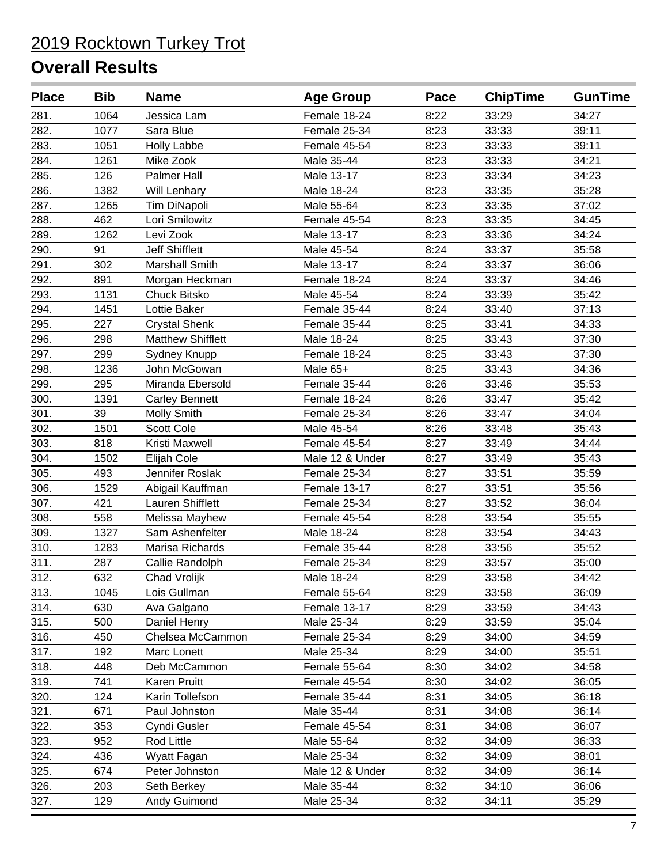| <b>Place</b> | <b>Bib</b> | <b>Name</b>              | <b>Age Group</b> | Pace | <b>ChipTime</b> | <b>GunTime</b> |
|--------------|------------|--------------------------|------------------|------|-----------------|----------------|
| 281.         | 1064       | Jessica Lam              | Female 18-24     | 8:22 | 33:29           | 34:27          |
| 282.         | 1077       | Sara Blue                | Female 25-34     | 8:23 | 33:33           | 39:11          |
| 283.         | 1051       | <b>Holly Labbe</b>       | Female 45-54     | 8:23 | 33:33           | 39:11          |
| 284.         | 1261       | Mike Zook                | Male 35-44       | 8:23 | 33:33           | 34:21          |
| 285.         | 126        | Palmer Hall              | Male 13-17       | 8:23 | 33:34           | 34:23          |
| 286.         | 1382       | Will Lenhary             | Male 18-24       | 8:23 | 33:35           | 35:28          |
| 287.         | 1265       | Tim DiNapoli             | Male 55-64       | 8:23 | 33:35           | 37:02          |
| 288.         | 462        | Lori Smilowitz           | Female 45-54     | 8:23 | 33:35           | 34:45          |
| 289.         | 1262       | Levi Zook                | Male 13-17       | 8:23 | 33:36           | 34:24          |
| 290.         | 91         | <b>Jeff Shifflett</b>    | Male 45-54       | 8:24 | 33:37           | 35:58          |
| 291.         | 302        | <b>Marshall Smith</b>    | Male 13-17       | 8:24 | 33:37           | 36:06          |
| 292.         | 891        | Morgan Heckman           | Female 18-24     | 8:24 | 33:37           | 34:46          |
| 293.         | 1131       | Chuck Bitsko             | Male 45-54       | 8:24 | 33:39           | 35:42          |
| 294.         | 1451       | Lottie Baker             | Female 35-44     | 8:24 | 33:40           | 37:13          |
| 295.         | 227        | <b>Crystal Shenk</b>     | Female 35-44     | 8:25 | 33:41           | 34:33          |
| 296.         | 298        | <b>Matthew Shifflett</b> | Male 18-24       | 8:25 | 33:43           | 37:30          |
| 297.         | 299        | Sydney Knupp             | Female 18-24     | 8:25 | 33:43           | 37:30          |
| 298.         | 1236       | John McGowan             | Male 65+         | 8:25 | 33:43           | 34:36          |
| 299.         | 295        | Miranda Ebersold         | Female 35-44     | 8:26 | 33:46           | 35:53          |
| 300.         | 1391       | <b>Carley Bennett</b>    | Female 18-24     | 8:26 | 33:47           | 35:42          |
| 301.         | 39         | Molly Smith              | Female 25-34     | 8:26 | 33:47           | 34:04          |
| 302.         | 1501       | <b>Scott Cole</b>        | Male 45-54       | 8:26 | 33:48           | 35:43          |
| 303.         | 818        | Kristi Maxwell           | Female 45-54     | 8:27 | 33:49           | 34:44          |
| 304.         | 1502       | Elijah Cole              | Male 12 & Under  | 8:27 | 33:49           | 35:43          |
| 305.         | 493        | Jennifer Roslak          | Female 25-34     | 8:27 | 33:51           | 35:59          |
| 306.         | 1529       | Abigail Kauffman         | Female 13-17     | 8:27 | 33:51           | 35:56          |
| 307.         | 421        | Lauren Shifflett         | Female 25-34     | 8:27 | 33:52           | 36:04          |
| 308.         | 558        | Melissa Mayhew           | Female 45-54     | 8:28 | 33:54           | 35:55          |
| 309.         | 1327       | Sam Ashenfelter          | Male 18-24       | 8:28 | 33:54           | 34:43          |
| 310.         | 1283       | Marisa Richards          | Female 35-44     | 8:28 | 33:56           | 35:52          |
| 311.         | 287        | Callie Randolph          | Female 25-34     | 8:29 | 33:57           | 35:00          |
| 312.         | 632        | Chad Vrolijk             | Male 18-24       | 8:29 | 33:58           | 34:42          |
| 313.         | 1045       | Lois Gullman             | Female 55-64     | 8:29 | 33:58           | 36:09          |
| 314.         | 630        | Ava Galgano              | Female 13-17     | 8:29 | 33:59           | 34:43          |
| 315.         | 500        | Daniel Henry             | Male 25-34       | 8:29 | 33:59           | 35:04          |
| 316.         | 450        | Chelsea McCammon         | Female 25-34     | 8:29 | 34:00           | 34:59          |
| 317.         | 192        | Marc Lonett              | Male 25-34       | 8:29 | 34:00           | 35:51          |
| 318.         | 448        | Deb McCammon             | Female 55-64     | 8:30 | 34:02           | 34:58          |
| 319.         | 741        | Karen Pruitt             | Female 45-54     | 8:30 | 34:02           | 36:05          |
| 320.         | 124        | Karin Tollefson          | Female 35-44     | 8:31 | 34:05           | 36:18          |
| 321.         | 671        | Paul Johnston            | Male 35-44       | 8:31 | 34:08           | 36:14          |
| 322.         | 353        | Cyndi Gusler             | Female 45-54     | 8:31 | 34:08           | 36:07          |
| 323.         | 952        | Rod Little               | Male 55-64       | 8:32 | 34:09           | 36:33          |
| 324.         | 436        | Wyatt Fagan              | Male 25-34       | 8:32 | 34:09           | 38:01          |
| 325.         | 674        | Peter Johnston           | Male 12 & Under  | 8:32 | 34:09           | 36:14          |
| 326.         | 203        | Seth Berkey              | Male 35-44       | 8:32 | 34:10           | 36:06          |
| 327.         | 129        | Andy Guimond             | Male 25-34       | 8:32 | 34:11           | 35:29          |
|              |            |                          |                  |      |                 |                |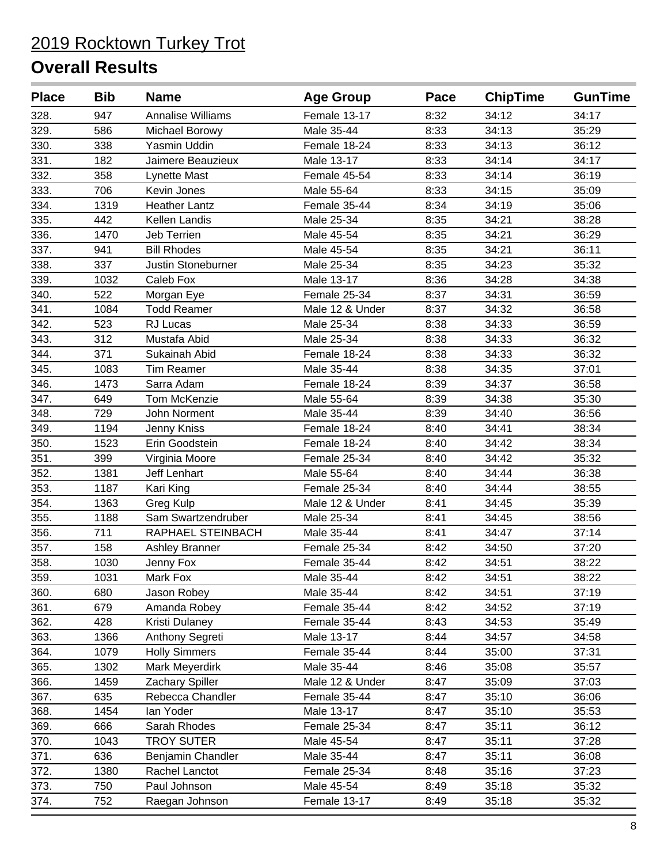| <b>Place</b> | <b>Bib</b> | <b>Name</b>              | <b>Age Group</b> | Pace | <b>ChipTime</b> | <b>GunTime</b> |
|--------------|------------|--------------------------|------------------|------|-----------------|----------------|
| 328.         | 947        | <b>Annalise Williams</b> | Female 13-17     | 8:32 | 34:12           | 34:17          |
| 329.         | 586        | Michael Borowy           | Male 35-44       | 8:33 | 34:13           | 35:29          |
| 330.         | 338        | Yasmin Uddin             | Female 18-24     | 8:33 | 34:13           | 36:12          |
| 331.         | 182        | Jaimere Beauzieux        | Male 13-17       | 8:33 | 34:14           | 34:17          |
| 332.         | 358        | Lynette Mast             | Female 45-54     | 8:33 | 34:14           | 36:19          |
| 333.         | 706        | Kevin Jones              | Male 55-64       | 8:33 | 34:15           | 35:09          |
| 334.         | 1319       | <b>Heather Lantz</b>     | Female 35-44     | 8:34 | 34:19           | 35:06          |
| 335.         | 442        | Kellen Landis            | Male 25-34       | 8:35 | 34:21           | 38:28          |
| 336.         | 1470       | <b>Jeb Terrien</b>       | Male 45-54       | 8:35 | 34:21           | 36:29          |
| 337.         | 941        | <b>Bill Rhodes</b>       | Male 45-54       | 8:35 | 34:21           | 36:11          |
| 338.         | 337        | Justin Stoneburner       | Male 25-34       | 8:35 | 34:23           | 35:32          |
| 339.         | 1032       | Caleb Fox                | Male 13-17       | 8:36 | 34:28           | 34:38          |
| 340.         | 522        | Morgan Eye               | Female 25-34     | 8:37 | 34:31           | 36:59          |
| 341.         | 1084       | <b>Todd Reamer</b>       | Male 12 & Under  | 8:37 | 34:32           | 36:58          |
| 342.         | 523        | RJ Lucas                 | Male 25-34       | 8:38 | 34:33           | 36:59          |
| 343.         | 312        | Mustafa Abid             | Male 25-34       | 8:38 | 34:33           | 36:32          |
| 344.         | 371        | Sukainah Abid            | Female 18-24     | 8:38 | 34:33           | 36:32          |
| 345.         | 1083       | <b>Tim Reamer</b>        | Male 35-44       | 8:38 | 34:35           | 37:01          |
| 346.         | 1473       | Sarra Adam               | Female 18-24     | 8:39 | 34:37           | 36:58          |
| 347.         | 649        | Tom McKenzie             | Male 55-64       | 8:39 | 34:38           | 35:30          |
| 348.         | 729        | John Norment             | Male 35-44       | 8:39 | 34:40           | 36:56          |
| 349.         | 1194       | Jenny Kniss              | Female 18-24     | 8:40 | 34:41           | 38:34          |
| 350.         | 1523       | Erin Goodstein           | Female 18-24     | 8:40 | 34:42           | 38:34          |
| 351.         | 399        | Virginia Moore           | Female 25-34     | 8:40 | 34:42           | 35:32          |
| 352.         | 1381       | <b>Jeff Lenhart</b>      | Male 55-64       | 8:40 | 34:44           | 36:38          |
| 353.         | 1187       | Kari King                | Female 25-34     | 8:40 | 34:44           | 38:55          |
| 354.         | 1363       | Greg Kulp                | Male 12 & Under  | 8:41 | 34:45           | 35:39          |
| 355.         | 1188       | Sam Swartzendruber       | Male 25-34       | 8:41 | 34:45           | 38:56          |
| 356.         | 711        | RAPHAEL STEINBACH        | Male 35-44       | 8:41 | 34:47           | 37:14          |
| 357.         | 158        | <b>Ashley Branner</b>    | Female 25-34     | 8:42 | 34:50           | 37:20          |
| 358.         | 1030       | Jenny Fox                | Female 35-44     | 8:42 | 34:51           | 38:22          |
| 359.         | 1031       | Mark Fox                 | Male 35-44       | 8:42 | 34:51           | 38:22          |
| 360.         | 680        | Jason Robey              | Male 35-44       | 8:42 | 34:51           | 37:19          |
| 361.         | 679        | Amanda Robey             | Female 35-44     | 8:42 | 34:52           | 37:19          |
| 362.         | 428        | Kristi Dulaney           | Female 35-44     | 8:43 | 34:53           | 35:49          |
| 363.         | 1366       | Anthony Segreti          | Male 13-17       | 8:44 | 34:57           | 34:58          |
| 364.         | 1079       | <b>Holly Simmers</b>     | Female 35-44     | 8:44 | 35:00           | 37:31          |
| 365.         | 1302       | Mark Meyerdirk           | Male 35-44       | 8:46 | 35:08           | 35:57          |
| 366.         | 1459       | Zachary Spiller          | Male 12 & Under  | 8:47 | 35:09           | 37:03          |
| 367.         | 635        | Rebecca Chandler         | Female 35-44     | 8:47 | 35:10           | 36:06          |
| 368.         | 1454       | lan Yoder                | Male 13-17       | 8:47 | 35:10           | 35:53          |
| 369.         | 666        | Sarah Rhodes             | Female 25-34     | 8:47 | 35:11           | 36:12          |
| 370.         | 1043       | <b>TROY SUTER</b>        | Male 45-54       | 8:47 | 35:11           | 37:28          |
| 371.         | 636        | Benjamin Chandler        | Male 35-44       | 8:47 | 35:11           | 36:08          |
| 372.         | 1380       | Rachel Lanctot           | Female 25-34     | 8:48 | 35:16           | 37:23          |
| 373.         | 750        | Paul Johnson             | Male 45-54       | 8:49 | 35:18           | 35:32          |
| 374.         | 752        | Raegan Johnson           | Female 13-17     | 8:49 | 35:18           | 35:32          |
|              |            |                          |                  |      |                 |                |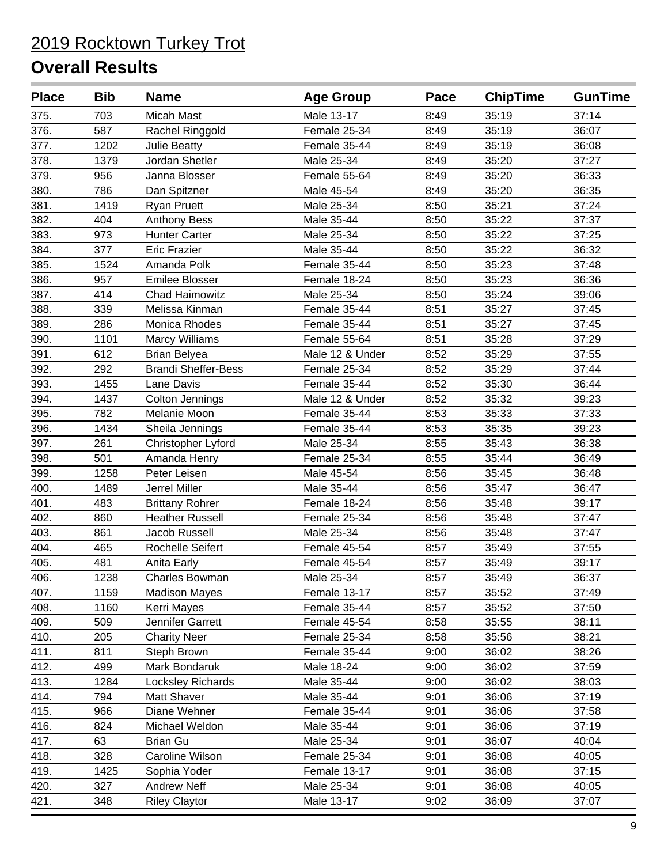| <b>Place</b> | <b>Bib</b> | <b>Name</b>                | <b>Age Group</b> | Pace | <b>ChipTime</b> | <b>GunTime</b> |
|--------------|------------|----------------------------|------------------|------|-----------------|----------------|
| 375.         | 703        | Micah Mast                 | Male 13-17       | 8:49 | 35:19           | 37:14          |
| 376.         | 587        | Rachel Ringgold            | Female 25-34     | 8:49 | 35:19           | 36:07          |
| 377.         | 1202       | <b>Julie Beatty</b>        | Female 35-44     | 8:49 | 35:19           | 36:08          |
| 378.         | 1379       | Jordan Shetler             | Male 25-34       | 8:49 | 35:20           | 37:27          |
| 379.         | 956        | Janna Blosser              | Female 55-64     | 8:49 | 35:20           | 36:33          |
| 380.         | 786        | Dan Spitzner               | Male 45-54       | 8:49 | 35:20           | 36:35          |
| 381.         | 1419       | <b>Ryan Pruett</b>         | Male 25-34       | 8:50 | 35:21           | 37:24          |
| 382.         | 404        | <b>Anthony Bess</b>        | Male 35-44       | 8:50 | 35:22           | 37:37          |
| 383.         | 973        | <b>Hunter Carter</b>       | Male 25-34       | 8:50 | 35:22           | 37:25          |
| 384.         | 377        | <b>Eric Frazier</b>        | Male 35-44       | 8:50 | 35:22           | 36:32          |
| 385.         | 1524       | Amanda Polk                | Female 35-44     | 8:50 | 35:23           | 37:48          |
| 386.         | 957        | <b>Emilee Blosser</b>      | Female 18-24     | 8:50 | 35:23           | 36:36          |
| 387.         | 414        | <b>Chad Haimowitz</b>      | Male 25-34       | 8:50 | 35:24           | 39:06          |
| 388.         | 339        | Melissa Kinman             | Female 35-44     | 8:51 | 35:27           | 37:45          |
| 389.         | 286        | Monica Rhodes              | Female 35-44     | 8:51 | 35:27           | 37:45          |
| 390.         | 1101       | Marcy Williams             | Female 55-64     | 8:51 | 35:28           | 37:29          |
| 391.         | 612        | <b>Brian Belyea</b>        | Male 12 & Under  | 8:52 | 35:29           | 37:55          |
| 392.         | 292        | <b>Brandi Sheffer-Bess</b> | Female 25-34     | 8:52 | 35:29           | 37:44          |
| 393.         | 1455       | Lane Davis                 | Female 35-44     | 8:52 | 35:30           | 36:44          |
| 394.         | 1437       | Colton Jennings            | Male 12 & Under  | 8:52 | 35:32           | 39:23          |
| 395.         | 782        | Melanie Moon               | Female 35-44     | 8:53 | 35:33           | 37:33          |
| 396.         | 1434       | Sheila Jennings            | Female 35-44     | 8:53 | 35:35           | 39:23          |
| 397.         | 261        | Christopher Lyford         | Male 25-34       | 8:55 | 35:43           | 36:38          |
| 398.         | 501        | Amanda Henry               | Female 25-34     | 8:55 | 35:44           | 36:49          |
| 399.         | 1258       | Peter Leisen               | Male 45-54       | 8:56 | 35:45           | 36:48          |
| 400.         | 1489       | Jerrel Miller              | Male 35-44       | 8:56 | 35:47           | 36:47          |
| 401.         | 483        | <b>Brittany Rohrer</b>     | Female 18-24     | 8:56 | 35:48           | 39:17          |
| 402.         | 860        | <b>Heather Russell</b>     | Female 25-34     | 8:56 | 35:48           | 37:47          |
| 403.         | 861        | Jacob Russell              | Male 25-34       | 8:56 | 35:48           | 37:47          |
| 404.         | 465        | Rochelle Seifert           | Female 45-54     | 8:57 | 35:49           | 37:55          |
| 405.         | 481        | Anita Early                | Female 45-54     | 8:57 | 35:49           | 39:17          |
| 406.         | 1238       | Charles Bowman             | Male 25-34       | 8:57 | 35:49           | 36:37          |
| 407.         | 1159       | <b>Madison Mayes</b>       | Female 13-17     | 8:57 | 35:52           | 37:49          |
| 408.         | 1160       | Kerri Mayes                | Female 35-44     | 8:57 | 35:52           | 37:50          |
| 409.         | 509        | Jennifer Garrett           | Female 45-54     | 8:58 | 35:55           | 38:11          |
| 410.         | 205        | <b>Charity Neer</b>        | Female 25-34     | 8:58 | 35:56           | 38:21          |
| 411.         | 811        | Steph Brown                | Female 35-44     | 9:00 | 36:02           | 38:26          |
| 412.         | 499        | Mark Bondaruk              | Male 18-24       | 9:00 | 36:02           | 37:59          |
| 413.         | 1284       | Locksley Richards          | Male 35-44       | 9:00 | 36:02           | 38:03          |
| 414.         | 794        | Matt Shaver                | Male 35-44       | 9:01 | 36:06           | 37:19          |
| 415.         | 966        | Diane Wehner               | Female 35-44     | 9:01 | 36:06           | 37:58          |
| 416.         | 824        | Michael Weldon             | Male 35-44       | 9:01 | 36:06           | 37:19          |
| 417.         | 63         | <b>Brian Gu</b>            | Male 25-34       | 9:01 | 36:07           | 40:04          |
| 418.         | 328        | Caroline Wilson            | Female 25-34     | 9:01 | 36:08           | 40:05          |
| 419.         | 1425       | Sophia Yoder               | Female 13-17     | 9:01 | 36:08           | 37:15          |
| 420.         | 327        | Andrew Neff                | Male 25-34       | 9:01 | 36:08           | 40:05          |
| 421.         | 348        | <b>Riley Claytor</b>       | Male 13-17       | 9:02 | 36:09           | 37:07          |
|              |            |                            |                  |      |                 |                |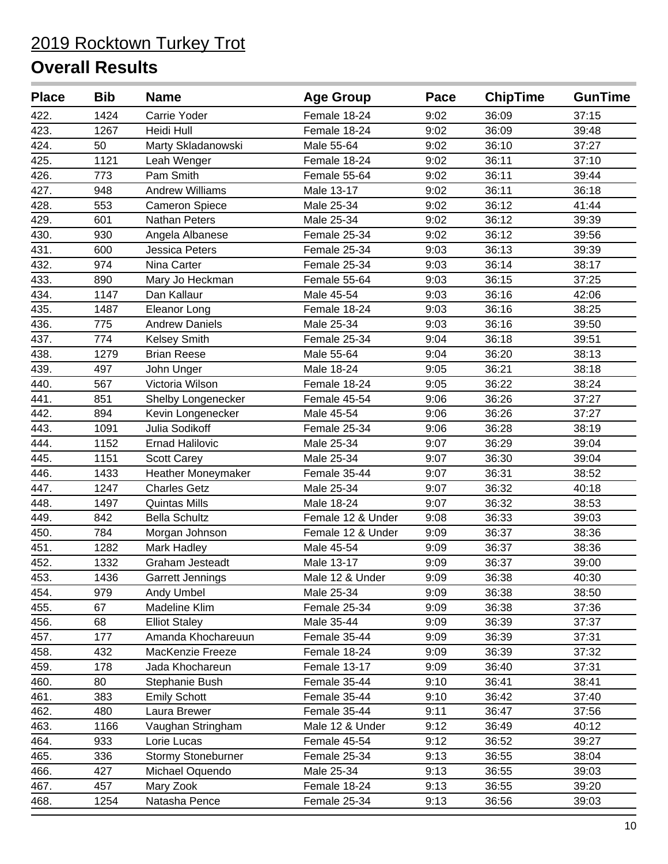| <b>Place</b> | <b>Bib</b> | <b>Name</b>            | <b>Age Group</b>  | Pace | <b>ChipTime</b> | <b>GunTime</b> |
|--------------|------------|------------------------|-------------------|------|-----------------|----------------|
| 422.         | 1424       | Carrie Yoder           | Female 18-24      | 9:02 | 36:09           | 37:15          |
| 423.         | 1267       | Heidi Hull             | Female 18-24      | 9:02 | 36:09           | 39:48          |
| 424.         | 50         | Marty Skladanowski     | Male 55-64        | 9:02 | 36:10           | 37:27          |
| 425.         | 1121       | Leah Wenger            | Female 18-24      | 9:02 | 36:11           | 37:10          |
| 426.         | 773        | Pam Smith              | Female 55-64      | 9:02 | 36:11           | 39:44          |
| 427.         | 948        | <b>Andrew Williams</b> | Male 13-17        | 9:02 | 36:11           | 36:18          |
| 428.         | 553        | <b>Cameron Spiece</b>  | Male 25-34        | 9:02 | 36:12           | 41:44          |
| 429.         | 601        | <b>Nathan Peters</b>   | Male 25-34        | 9:02 | 36:12           | 39:39          |
| 430.         | 930        | Angela Albanese        | Female 25-34      | 9:02 | 36:12           | 39:56          |
| 431.         | 600        | <b>Jessica Peters</b>  | Female 25-34      | 9:03 | 36:13           | 39:39          |
| 432.         | 974        | Nina Carter            | Female 25-34      | 9:03 | 36:14           | 38:17          |
| 433.         | 890        | Mary Jo Heckman        | Female 55-64      | 9:03 | 36:15           | 37:25          |
| 434.         | 1147       | Dan Kallaur            | Male 45-54        | 9:03 | 36:16           | 42:06          |
| 435.         | 1487       | Eleanor Long           | Female 18-24      | 9:03 | 36:16           | 38:25          |
| 436.         | 775        | <b>Andrew Daniels</b>  | Male 25-34        | 9:03 | 36:16           | 39:50          |
| 437.         | 774        | <b>Kelsey Smith</b>    | Female 25-34      | 9:04 | 36:18           | 39:51          |
| 438.         | 1279       | <b>Brian Reese</b>     | Male 55-64        | 9:04 | 36:20           | 38:13          |
| 439.         | 497        | John Unger             | Male 18-24        | 9:05 | 36:21           | 38:18          |
| 440.         | 567        | Victoria Wilson        | Female 18-24      | 9:05 | 36:22           | 38:24          |
| 441.         | 851        | Shelby Longenecker     | Female 45-54      | 9:06 | 36:26           | 37:27          |
| 442.         | 894        | Kevin Longenecker      | Male 45-54        | 9:06 | 36:26           | 37:27          |
| 443.         | 1091       | Julia Sodikoff         | Female 25-34      | 9:06 | 36:28           | 38:19          |
| 444.         | 1152       | <b>Ernad Halilovic</b> | Male 25-34        | 9:07 | 36:29           | 39:04          |
| 445.         | 1151       | Scott Carey            | Male 25-34        | 9:07 | 36:30           | 39:04          |
| 446.         | 1433       | Heather Moneymaker     | Female 35-44      | 9:07 | 36:31           | 38:52          |
| 447.         | 1247       | <b>Charles Getz</b>    | Male 25-34        | 9:07 | 36:32           | 40:18          |
| 448.         | 1497       | <b>Quintas Mills</b>   | Male 18-24        | 9:07 | 36:32           | 38:53          |
| 449.         | 842        | <b>Bella Schultz</b>   | Female 12 & Under | 9:08 | 36:33           | 39:03          |
| 450.         | 784        | Morgan Johnson         | Female 12 & Under | 9:09 | 36:37           | 38:36          |
| 451.         | 1282       | Mark Hadley            | Male 45-54        | 9:09 | 36:37           | 38:36          |
| 452.         | 1332       | Graham Jesteadt        | Male 13-17        | 9:09 | 36:37           | 39:00          |
| 453.         | 1436       | Garrett Jennings       | Male 12 & Under   | 9:09 | 36:38           | 40:30          |
| 454.         | 979        | Andy Umbel             | Male 25-34        | 9:09 | 36:38           | 38:50          |
| 455.         | 67         | Madeline Klim          | Female 25-34      | 9:09 | 36:38           | 37:36          |
| 456.         | 68         | <b>Elliot Staley</b>   | Male 35-44        | 9:09 | 36:39           | 37:37          |
| 457.         | 177        | Amanda Khochareuun     | Female 35-44      | 9:09 | 36:39           | 37:31          |
| 458.         | 432        | MacKenzie Freeze       | Female 18-24      | 9:09 | 36:39           | 37:32          |
| 459.         | 178        | Jada Khochareun        | Female 13-17      | 9:09 | 36:40           | 37:31          |
| 460.         | 80         | Stephanie Bush         | Female 35-44      | 9:10 | 36:41           | 38:41          |
| 461.         | 383        | <b>Emily Schott</b>    | Female 35-44      | 9:10 | 36:42           | 37:40          |
| 462.         | 480        | Laura Brewer           | Female 35-44      | 9:11 | 36:47           | 37:56          |
| 463.         | 1166       | Vaughan Stringham      | Male 12 & Under   | 9:12 | 36:49           | 40:12          |
| 464.         | 933        | Lorie Lucas            | Female 45-54      | 9:12 | 36:52           | 39:27          |
| 465.         | 336        | Stormy Stoneburner     | Female 25-34      | 9:13 | 36:55           | 38:04          |
| 466.         | 427        | Michael Oquendo        | Male 25-34        | 9:13 | 36:55           | 39:03          |
| 467.         | 457        | Mary Zook              | Female 18-24      | 9:13 | 36:55           | 39:20          |
| 468.         | 1254       | Natasha Pence          | Female 25-34      | 9:13 | 36:56           | 39:03          |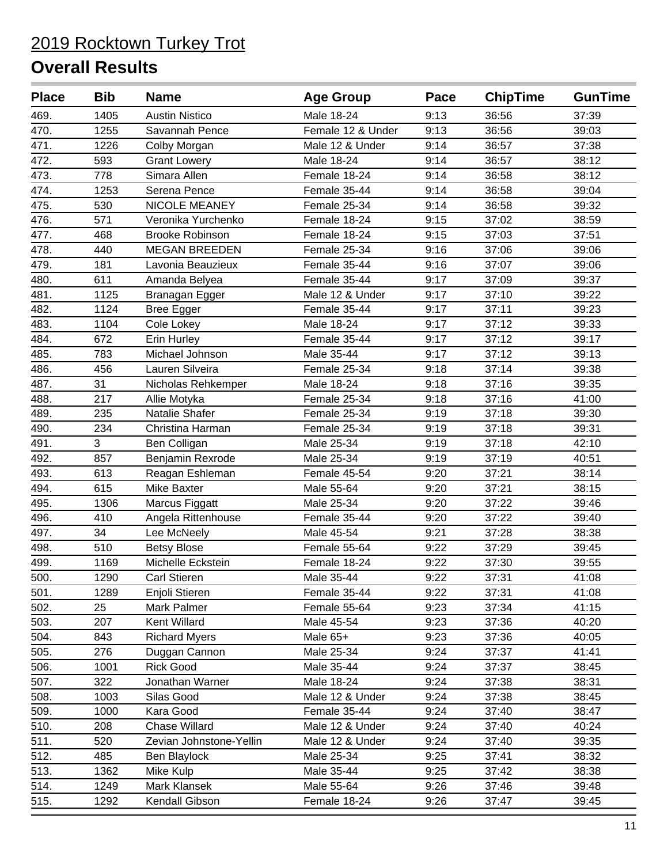| <b>Place</b> | <b>Bib</b> | <b>Name</b>             | <b>Age Group</b>  | Pace | <b>ChipTime</b> | <b>GunTime</b> |
|--------------|------------|-------------------------|-------------------|------|-----------------|----------------|
| 469.         | 1405       | <b>Austin Nistico</b>   | Male 18-24        | 9:13 | 36:56           | 37:39          |
| 470.         | 1255       | Savannah Pence          | Female 12 & Under | 9:13 | 36:56           | 39:03          |
| 471.         | 1226       | Colby Morgan            | Male 12 & Under   | 9:14 | 36:57           | 37:38          |
| 472.         | 593        | <b>Grant Lowery</b>     | Male 18-24        | 9:14 | 36:57           | 38:12          |
| 473.         | 778        | Simara Allen            | Female 18-24      | 9:14 | 36:58           | 38:12          |
| 474.         | 1253       | Serena Pence            | Female 35-44      | 9:14 | 36:58           | 39:04          |
| 475.         | 530        | NICOLE MEANEY           | Female 25-34      | 9:14 | 36:58           | 39:32          |
| 476.         | 571        | Veronika Yurchenko      | Female 18-24      | 9:15 | 37:02           | 38:59          |
| 477.         | 468        | <b>Brooke Robinson</b>  | Female 18-24      | 9:15 | 37:03           | 37:51          |
| 478.         | 440        | <b>MEGAN BREEDEN</b>    | Female 25-34      | 9:16 | 37:06           | 39:06          |
| 479.         | 181        | Lavonia Beauzieux       | Female 35-44      | 9:16 | 37:07           | 39:06          |
| 480.         | 611        | Amanda Belyea           | Female 35-44      | 9:17 | 37:09           | 39:37          |
| 481.         | 1125       | Branagan Egger          | Male 12 & Under   | 9:17 | 37:10           | 39:22          |
| 482.         | 1124       | Bree Egger              | Female 35-44      | 9:17 | 37:11           | 39:23          |
| 483.         | 1104       | Cole Lokey              | Male 18-24        | 9:17 | 37:12           | 39:33          |
| 484.         | 672        | Erin Hurley             | Female 35-44      | 9:17 | 37:12           | 39:17          |
| 485.         | 783        | Michael Johnson         | Male 35-44        | 9:17 | 37:12           | 39:13          |
| 486.         | 456        | Lauren Silveira         | Female 25-34      | 9:18 | 37:14           | 39:38          |
| 487.         | 31         | Nicholas Rehkemper      | Male 18-24        | 9:18 | 37:16           | 39:35          |
| 488.         | 217        | Allie Motyka            | Female 25-34      | 9:18 | 37:16           | 41:00          |
| 489.         | 235        | Natalie Shafer          | Female 25-34      | 9:19 | 37:18           | 39:30          |
| 490.         | 234        | Christina Harman        | Female 25-34      | 9:19 | 37:18           | 39:31          |
| 491.         | 3          | Ben Colligan            | Male 25-34        | 9:19 | 37:18           | 42:10          |
| 492.         | 857        | Benjamin Rexrode        | Male 25-34        | 9:19 | 37:19           | 40:51          |
| 493.         | 613        | Reagan Eshleman         | Female 45-54      | 9:20 | 37:21           | 38:14          |
| 494.         | 615        | Mike Baxter             | Male 55-64        | 9:20 | 37:21           | 38:15          |
| 495.         | 1306       | Marcus Figgatt          | Male 25-34        | 9:20 | 37:22           | 39:46          |
| 496.         | 410        | Angela Rittenhouse      | Female 35-44      | 9:20 | 37:22           | 39:40          |
| 497.         | 34         | Lee McNeely             | Male 45-54        | 9:21 | 37:28           | 38:38          |
| 498.         | 510        | <b>Betsy Blose</b>      | Female 55-64      | 9:22 | 37:29           | 39:45          |
| 499.         | 1169       | Michelle Eckstein       | Female 18-24      | 9:22 | 37:30           | 39:55          |
| 500.         | 1290       | <b>Carl Stieren</b>     | Male 35-44        | 9:22 | 37:31           | 41:08          |
| 501.         | 1289       | Enjoli Stieren          | Female 35-44      | 9:22 | 37:31           | 41:08          |
| 502.         | 25         | Mark Palmer             | Female 55-64      | 9:23 | 37:34           | 41:15          |
| 503.         | 207        | Kent Willard            | Male 45-54        | 9:23 | 37:36           | 40:20          |
| 504.         | 843        | <b>Richard Myers</b>    | Male 65+          | 9:23 | 37:36           | 40:05          |
| 505.         | 276        | Duggan Cannon           | Male 25-34        | 9:24 | 37:37           | 41:41          |
| 506.         | 1001       | <b>Rick Good</b>        | Male 35-44        | 9:24 | 37:37           | 38:45          |
| 507.         | 322        | Jonathan Warner         | Male 18-24        | 9:24 | 37:38           | 38:31          |
| 508.         | 1003       | Silas Good              | Male 12 & Under   | 9:24 | 37:38           | 38:45          |
| 509.         | 1000       | Kara Good               | Female 35-44      | 9:24 | 37:40           | 38:47          |
| 510.         | 208        | <b>Chase Willard</b>    | Male 12 & Under   | 9:24 | 37:40           | 40:24          |
| 511.         | 520        | Zevian Johnstone-Yellin | Male 12 & Under   | 9:24 | 37:40           | 39:35          |
| 512.         | 485        | Ben Blaylock            | Male 25-34        | 9:25 | 37:41           | 38:32          |
| 513.         | 1362       | Mike Kulp               | Male 35-44        | 9:25 | 37:42           | 38:38          |
| 514.         | 1249       | Mark Klansek            | Male 55-64        | 9:26 | 37:46           | 39:48          |
| 515.         | 1292       | Kendall Gibson          | Female 18-24      | 9:26 | 37:47           | 39:45          |
|              |            |                         |                   |      |                 |                |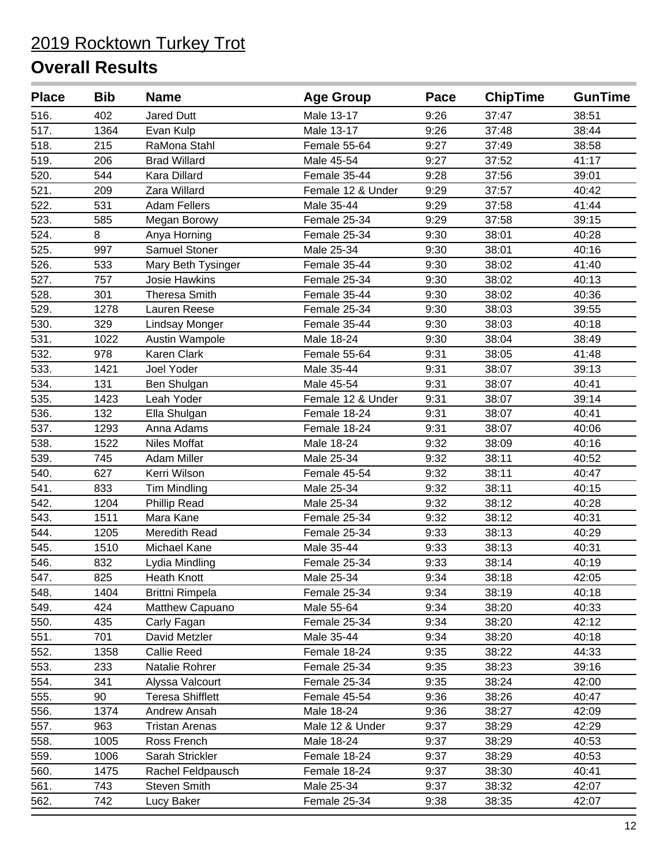| <b>Place</b>       | <b>Bib</b> | <b>Name</b>             | <b>Age Group</b>  | Pace | <b>ChipTime</b> | <b>GunTime</b> |
|--------------------|------------|-------------------------|-------------------|------|-----------------|----------------|
| 516.               | 402        | <b>Jared Dutt</b>       | Male 13-17        | 9:26 | 37:47           | 38:51          |
| 517.               | 1364       | Evan Kulp               | Male 13-17        | 9:26 | 37:48           | 38:44          |
| 518.               | 215        | RaMona Stahl            | Female 55-64      | 9:27 | 37:49           | 38:58          |
| 519.               | 206        | <b>Brad Willard</b>     | Male 45-54        | 9:27 | 37:52           | 41:17          |
| 520.               | 544        | Kara Dillard            | Female 35-44      | 9:28 | 37:56           | 39:01          |
| 521.               | 209        | Zara Willard            | Female 12 & Under | 9:29 | 37:57           | 40:42          |
| 522.               | 531        | <b>Adam Fellers</b>     | Male 35-44        | 9:29 | 37:58           | 41:44          |
| 523.               | 585        | Megan Borowy            | Female 25-34      | 9:29 | 37:58           | 39:15          |
| 524.               | 8          | Anya Horning            | Female 25-34      | 9:30 | 38:01           | 40:28          |
| 525.               | 997        | Samuel Stoner           | Male 25-34        | 9:30 | 38:01           | 40:16          |
| 526.               | 533        | Mary Beth Tysinger      | Female 35-44      | 9:30 | 38:02           | 41:40          |
| 527.               | 757        | <b>Josie Hawkins</b>    | Female 25-34      | 9:30 | 38:02           | 40:13          |
| 528.               | 301        | <b>Theresa Smith</b>    | Female 35-44      | 9:30 | 38:02           | 40:36          |
| 529.               | 1278       | Lauren Reese            | Female 25-34      | 9:30 | 38:03           | 39:55          |
| 530.               | 329        | Lindsay Monger          | Female 35-44      | 9:30 | 38:03           | 40:18          |
| 531.               | 1022       | Austin Wampole          | Male 18-24        | 9:30 | 38:04           | 38:49          |
| 532.               | 978        | Karen Clark             | Female 55-64      | 9:31 | 38:05           | 41:48          |
| 533.               | 1421       | Joel Yoder              | Male 35-44        | 9:31 | 38:07           | 39:13          |
| 534.               | 131        | Ben Shulgan             | Male 45-54        | 9:31 | 38:07           | 40:41          |
| 535.               | 1423       | Leah Yoder              | Female 12 & Under | 9:31 | 38:07           | 39:14          |
| 536.               | 132        | Ella Shulgan            | Female 18-24      | 9:31 | 38:07           | 40:41          |
| 537.               | 1293       | Anna Adams              | Female 18-24      | 9:31 | 38:07           | 40:06          |
| 538.               | 1522       | Niles Moffat            | Male 18-24        | 9:32 | 38:09           | 40:16          |
| 539.               | 745        | <b>Adam Miller</b>      | Male 25-34        | 9:32 | 38:11           | 40:52          |
| 540.               | 627        | Kerri Wilson            | Female 45-54      | 9:32 | 38:11           | 40:47          |
| 541.               | 833        | <b>Tim Mindling</b>     | Male 25-34        | 9:32 | 38:11           | 40:15          |
| 542.               | 1204       | <b>Phillip Read</b>     | Male 25-34        | 9:32 | 38:12           | 40:28          |
| 543.               | 1511       | Mara Kane               | Female 25-34      | 9:32 | 38:12           | 40:31          |
| 544.               | 1205       | Meredith Read           | Female 25-34      | 9:33 | 38:13           | 40:29          |
| $\overline{545}$ . | 1510       | Michael Kane            | Male 35-44        | 9:33 | 38:13           | 40:31          |
| 546.               | 832        | Lydia Mindling          | Female 25-34      | 9:33 | 38:14           | 40:19          |
| 547.               | 825        | <b>Heath Knott</b>      | Male 25-34        | 9:34 | 38:18           | 42:05          |
| 548.               | 1404       | <b>Brittni Rimpela</b>  | Female 25-34      | 9:34 | 38:19           | 40:18          |
| 549.               | 424        | Matthew Capuano         | Male 55-64        | 9:34 | 38:20           | 40:33          |
| 550.               | 435        | Carly Fagan             | Female 25-34      | 9:34 | 38:20           | 42:12          |
| 551.               | 701        | David Metzler           | Male 35-44        | 9:34 | 38:20           | 40:18          |
| 552.               | 1358       | Callie Reed             | Female 18-24      | 9:35 | 38:22           | 44:33          |
| 553.               | 233        | Natalie Rohrer          | Female 25-34      | 9:35 | 38:23           | 39:16          |
| 554.               | 341        | Alyssa Valcourt         | Female 25-34      | 9:35 | 38:24           | 42:00          |
| 555.               | 90         | <b>Teresa Shifflett</b> | Female 45-54      | 9:36 | 38:26           | 40:47          |
| 556.               | 1374       | Andrew Ansah            | Male 18-24        | 9:36 | 38:27           | 42:09          |
| 557.               | 963        | <b>Tristan Arenas</b>   | Male 12 & Under   | 9:37 | 38:29           | 42:29          |
| 558.               | 1005       | Ross French             | Male 18-24        | 9:37 | 38:29           | 40:53          |
| 559.               | 1006       | Sarah Strickler         | Female 18-24      | 9:37 | 38:29           | 40:53          |
| 560.               | 1475       | Rachel Feldpausch       | Female 18-24      | 9:37 | 38:30           | 40:41          |
| 561.               | 743        | Steven Smith            | Male 25-34        | 9:37 | 38:32           | 42:07          |
| 562.               | 742        | Lucy Baker              | Female 25-34      | 9:38 | 38:35           | 42:07          |
|                    |            |                         |                   |      |                 |                |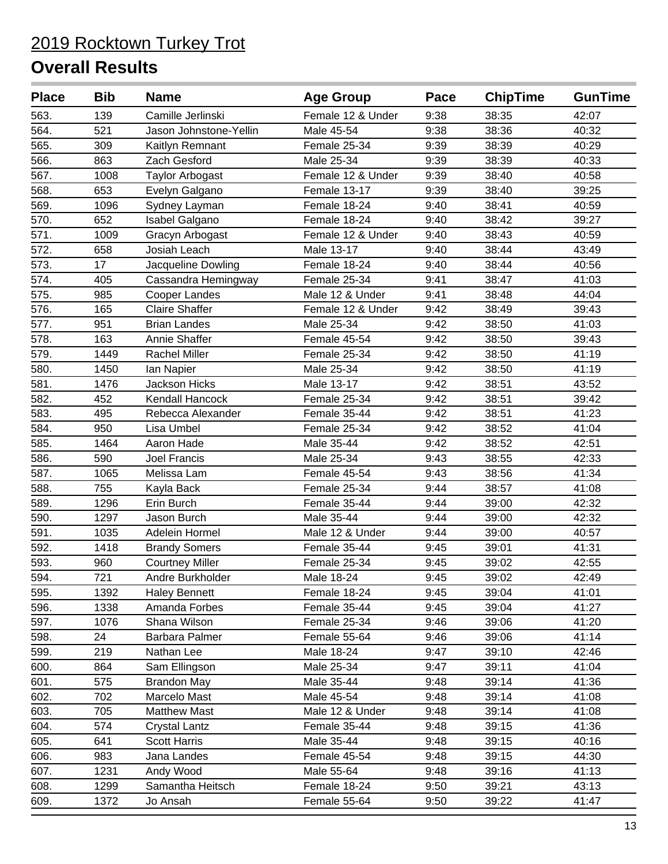| <b>Place</b> | <b>Bib</b> | <b>Name</b>            | <b>Age Group</b>  | Pace | <b>ChipTime</b> | <b>GunTime</b> |
|--------------|------------|------------------------|-------------------|------|-----------------|----------------|
| 563.         | 139        | Camille Jerlinski      | Female 12 & Under | 9:38 | 38:35           | 42:07          |
| 564.         | 521        | Jason Johnstone-Yellin | Male 45-54        | 9:38 | 38:36           | 40:32          |
| 565.         | 309        | Kaitlyn Remnant        | Female 25-34      | 9:39 | 38:39           | 40:29          |
| 566.         | 863        | Zach Gesford           | Male 25-34        | 9:39 | 38:39           | 40:33          |
| 567.         | 1008       | <b>Taylor Arbogast</b> | Female 12 & Under | 9:39 | 38:40           | 40:58          |
| 568.         | 653        | Evelyn Galgano         | Female 13-17      | 9:39 | 38:40           | 39:25          |
| 569.         | 1096       | Sydney Layman          | Female 18-24      | 9:40 | 38:41           | 40:59          |
| 570.         | 652        | <b>Isabel Galgano</b>  | Female 18-24      | 9:40 | 38:42           | 39:27          |
| 571.         | 1009       | Gracyn Arbogast        | Female 12 & Under | 9:40 | 38:43           | 40:59          |
| 572.         | 658        | Josiah Leach           | Male 13-17        | 9:40 | 38:44           | 43:49          |
| 573.         | 17         | Jacqueline Dowling     | Female 18-24      | 9:40 | 38:44           | 40:56          |
| 574.         | 405        | Cassandra Hemingway    | Female 25-34      | 9:41 | 38:47           | 41:03          |
| 575.         | 985        | Cooper Landes          | Male 12 & Under   | 9:41 | 38:48           | 44:04          |
| 576.         | 165        | <b>Claire Shaffer</b>  | Female 12 & Under | 9:42 | 38:49           | 39:43          |
| 577.         | 951        | <b>Brian Landes</b>    | Male 25-34        | 9:42 | 38:50           | 41:03          |
| 578.         | 163        | Annie Shaffer          | Female 45-54      | 9:42 | 38:50           | 39:43          |
| 579.         | 1449       | <b>Rachel Miller</b>   | Female 25-34      | 9:42 | 38:50           | 41:19          |
| 580.         | 1450       | lan Napier             | Male 25-34        | 9:42 | 38:50           | 41:19          |
| 581.         | 1476       | <b>Jackson Hicks</b>   | Male 13-17        | 9:42 | 38:51           | 43:52          |
| 582.         | 452        | <b>Kendall Hancock</b> | Female 25-34      | 9:42 | 38:51           | 39:42          |
| 583.         | 495        | Rebecca Alexander      | Female 35-44      | 9:42 | 38:51           | 41:23          |
| 584.         | 950        | Lisa Umbel             | Female 25-34      | 9:42 | 38:52           | 41:04          |
| 585.         | 1464       | Aaron Hade             | Male 35-44        | 9:42 | 38:52           | 42:51          |
| 586.         | 590        | <b>Joel Francis</b>    | Male 25-34        | 9:43 | 38:55           | 42:33          |
| 587.         | 1065       | Melissa Lam            | Female 45-54      | 9:43 | 38:56           | 41:34          |
| 588.         | 755        | Kayla Back             | Female 25-34      | 9:44 | 38:57           | 41:08          |
| 589.         | 1296       | Erin Burch             | Female 35-44      | 9:44 | 39:00           | 42:32          |
| 590.         | 1297       | Jason Burch            | Male 35-44        | 9:44 | 39:00           | 42:32          |
| 591.         | 1035       | Adelein Hormel         | Male 12 & Under   | 9:44 | 39:00           | 40:57          |
| 592.         | 1418       | <b>Brandy Somers</b>   | Female 35-44      | 9:45 | 39:01           | 41:31          |
| 593.         | 960        | <b>Courtney Miller</b> | Female 25-34      | 9:45 | 39:02           | 42:55          |
| 594.         | 721        | Andre Burkholder       | Male 18-24        | 9:45 | 39:02           | 42:49          |
| 595.         | 1392       | <b>Haley Bennett</b>   | Female 18-24      | 9:45 | 39:04           | 41:01          |
| 596.         | 1338       | Amanda Forbes          | Female 35-44      | 9:45 | 39:04           | 41:27          |
| 597.         | 1076       | Shana Wilson           | Female 25-34      | 9:46 | 39:06           | 41:20          |
| 598.         | 24         | Barbara Palmer         | Female 55-64      | 9:46 | 39:06           | 41:14          |
| 599.         | 219        | Nathan Lee             | Male 18-24        | 9:47 | 39:10           | 42:46          |
| 600.         | 864        | Sam Ellingson          | Male 25-34        | 9:47 | 39:11           | 41:04          |
| 601.         | 575        | <b>Brandon May</b>     | Male 35-44        | 9:48 | 39:14           | 41:36          |
| 602.         | 702        | Marcelo Mast           | Male 45-54        | 9:48 | 39:14           | 41:08          |
| 603.         | 705        | <b>Matthew Mast</b>    | Male 12 & Under   | 9:48 | 39:14           | 41:08          |
| 604.         | 574        | <b>Crystal Lantz</b>   | Female 35-44      | 9:48 | 39:15           | 41:36          |
| 605.         | 641        | <b>Scott Harris</b>    | Male 35-44        | 9:48 | 39:15           | 40:16          |
| 606.         | 983        | Jana Landes            | Female 45-54      | 9:48 | 39:15           | 44:30          |
| 607.         | 1231       | Andy Wood              | Male 55-64        | 9:48 | 39:16           | 41:13          |
| 608.         | 1299       | Samantha Heitsch       | Female 18-24      | 9:50 | 39:21           | 43:13          |
| 609.         | 1372       | Jo Ansah               | Female 55-64      | 9:50 | 39:22           | 41:47          |
|              |            |                        |                   |      |                 |                |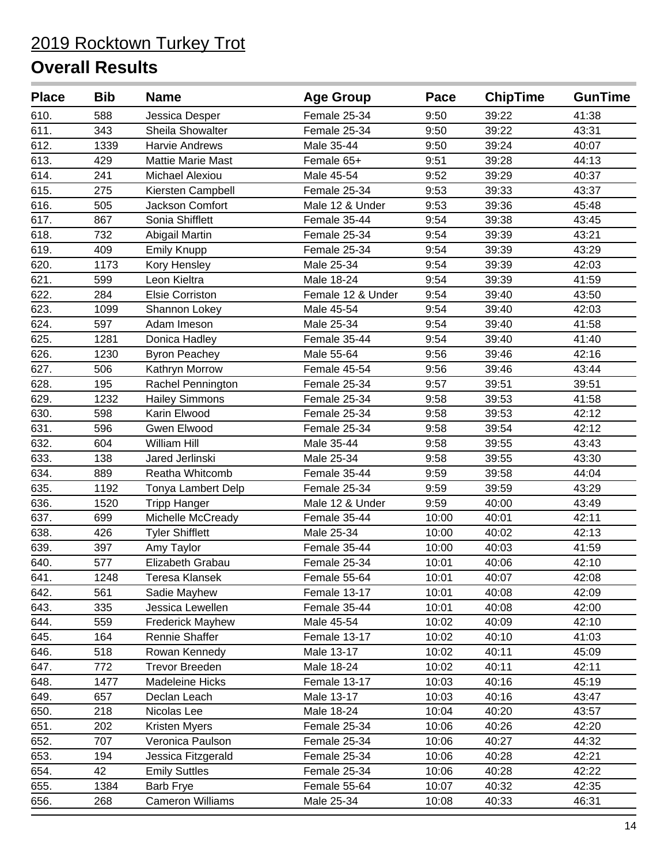| <b>Place</b> | <b>Bib</b> | <b>Name</b>              | <b>Age Group</b>  | Pace  | <b>ChipTime</b> | <b>GunTime</b> |
|--------------|------------|--------------------------|-------------------|-------|-----------------|----------------|
| 610.         | 588        | Jessica Desper           | Female 25-34      | 9:50  | 39:22           | 41:38          |
| 611.         | 343        | Sheila Showalter         | Female 25-34      | 9:50  | 39:22           | 43:31          |
| 612.         | 1339       | <b>Harvie Andrews</b>    | Male 35-44        | 9:50  | 39:24           | 40:07          |
| 613.         | 429        | <b>Mattie Marie Mast</b> | Female 65+        | 9:51  | 39:28           | 44:13          |
| 614.         | 241        | <b>Michael Alexiou</b>   | Male 45-54        | 9:52  | 39:29           | 40:37          |
| 615.         | 275        | Kiersten Campbell        | Female 25-34      | 9:53  | 39:33           | 43:37          |
| 616.         | 505        | Jackson Comfort          | Male 12 & Under   | 9:53  | 39:36           | 45:48          |
| 617.         | 867        | Sonia Shifflett          | Female 35-44      | 9:54  | 39:38           | 43:45          |
| 618.         | 732        | Abigail Martin           | Female 25-34      | 9:54  | 39:39           | 43:21          |
| 619.         | 409        | <b>Emily Knupp</b>       | Female 25-34      | 9:54  | 39:39           | 43:29          |
| 620.         | 1173       | Kory Hensley             | Male 25-34        | 9:54  | 39:39           | 42:03          |
| 621.         | 599        | Leon Kieltra             | Male 18-24        | 9:54  | 39:39           | 41:59          |
| 622.         | 284        | <b>Elsie Corriston</b>   | Female 12 & Under | 9:54  | 39:40           | 43:50          |
| 623.         | 1099       | Shannon Lokey            | Male 45-54        | 9:54  | 39:40           | 42:03          |
| 624.         | 597        | Adam Imeson              | Male 25-34        | 9:54  | 39:40           | 41:58          |
| 625.         | 1281       | Donica Hadley            | Female 35-44      | 9:54  | 39:40           | 41:40          |
| 626.         | 1230       | <b>Byron Peachey</b>     | Male 55-64        | 9:56  | 39:46           | 42:16          |
| 627.         | 506        | Kathryn Morrow           | Female 45-54      | 9:56  | 39:46           | 43:44          |
| 628.         | 195        | Rachel Pennington        | Female 25-34      | 9:57  | 39:51           | 39:51          |
| 629.         | 1232       | <b>Hailey Simmons</b>    | Female 25-34      | 9:58  | 39:53           | 41:58          |
| 630.         | 598        | Karin Elwood             | Female 25-34      | 9:58  | 39:53           | 42:12          |
| 631.         | 596        | Gwen Elwood              | Female 25-34      | 9:58  | 39:54           | 42:12          |
| 632.         | 604        | William Hill             | Male 35-44        | 9:58  | 39:55           | 43:43          |
| 633.         | 138        | Jared Jerlinski          | Male 25-34        | 9:58  | 39:55           | 43:30          |
| 634.         | 889        | Reatha Whitcomb          | Female 35-44      | 9:59  | 39:58           | 44:04          |
| 635.         | 1192       | Tonya Lambert Delp       | Female 25-34      | 9:59  | 39:59           | 43:29          |
| 636.         | 1520       | <b>Tripp Hanger</b>      | Male 12 & Under   | 9:59  | 40:00           | 43:49          |
| 637.         | 699        | Michelle McCready        | Female 35-44      | 10:00 | 40:01           | 42:11          |
| 638.         | 426        | <b>Tyler Shifflett</b>   | Male 25-34        | 10:00 | 40:02           | 42:13          |
| 639.         | 397        | Amy Taylor               | Female 35-44      | 10:00 | 40:03           | 41:59          |
| 640.         | 577        | Elizabeth Grabau         | Female 25-34      | 10:01 | 40:06           | 42:10          |
| 641.         | 1248       | Teresa Klansek           | Female 55-64      | 10:01 | 40:07           | 42:08          |
| 642.         | 561        | Sadie Mayhew             | Female 13-17      | 10:01 | 40:08           | 42:09          |
| 643.         | 335        | Jessica Lewellen         | Female 35-44      | 10:01 | 40:08           | 42:00          |
| 644.         | 559        | <b>Frederick Mayhew</b>  | Male 45-54        | 10:02 | 40:09           | 42:10          |
| 645.         | 164        | Rennie Shaffer           | Female 13-17      | 10:02 | 40:10           | 41:03          |
| 646.         | 518        | Rowan Kennedy            | Male 13-17        | 10:02 | 40:11           | 45:09          |
| 647.         | 772        | <b>Trevor Breeden</b>    | Male 18-24        | 10:02 | 40:11           | 42:11          |
| 648.         | 1477       | Madeleine Hicks          | Female 13-17      | 10:03 | 40:16           | 45:19          |
| 649.         | 657        | Declan Leach             | Male 13-17        | 10:03 | 40:16           | 43:47          |
| 650.         | 218        | Nicolas Lee              | Male 18-24        | 10:04 | 40:20           | 43:57          |
| 651.         | 202        | Kristen Myers            | Female 25-34      | 10:06 | 40:26           | 42:20          |
| 652.         | 707        | Veronica Paulson         | Female 25-34      | 10:06 | 40:27           | 44:32          |
| 653.         | 194        | Jessica Fitzgerald       | Female 25-34      | 10:06 | 40:28           | 42:21          |
| 654.         | 42         | <b>Emily Suttles</b>     | Female 25-34      | 10:06 | 40:28           | 42:22          |
| 655.         | 1384       | <b>Barb Frye</b>         | Female 55-64      | 10:07 | 40:32           | 42:35          |
| 656.         | 268        | <b>Cameron Williams</b>  | Male 25-34        | 10:08 | 40:33           | 46:31          |
|              |            |                          |                   |       |                 |                |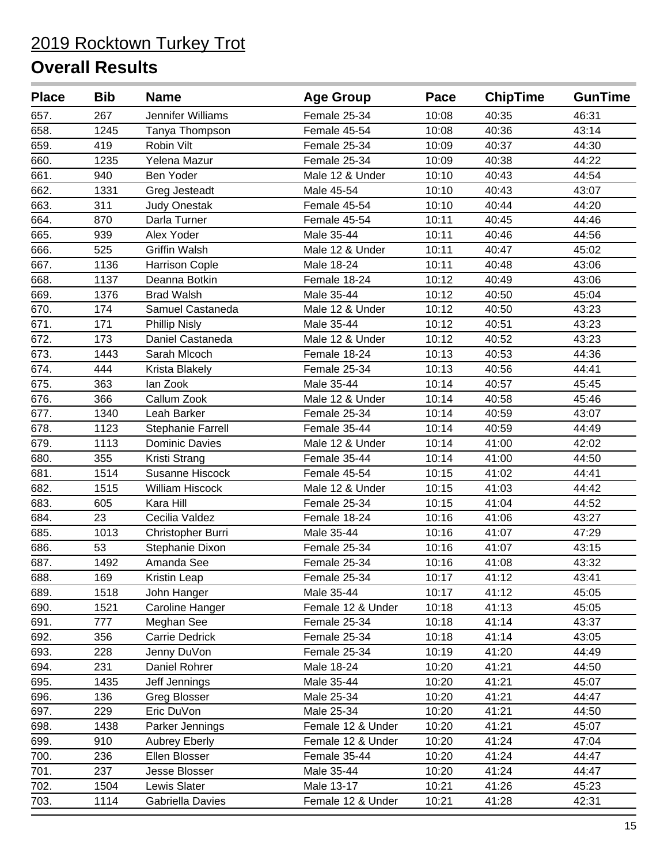| Female 25-34<br>267<br>Jennifer Williams<br>10:08<br>40:35<br>46:31<br>658.<br>1245<br>10:08<br>40:36<br>43:14<br>Tanya Thompson<br>Female 45-54<br>419<br>Robin Vilt<br>Female 25-34<br>10:09<br>40:37<br>44:30<br>660.<br>1235<br>Yelena Mazur<br>Female 25-34<br>10:09<br>40:38<br>44:22<br>661.<br><b>Ben Yoder</b><br>Male 12 & Under<br>10:10<br>40:43<br>44:54<br>940<br>662.<br>10:10<br>40:43<br>1331<br>Greg Jesteadt<br>Male 45-54<br>43:07<br>663.<br>311<br>Female 45-54<br>10:10<br>40:44<br>44:20<br><b>Judy Onestak</b><br>664.<br>870<br>Darla Turner<br>Female 45-54<br>10:11<br>40:45<br>44:46<br>665.<br>939<br>Alex Yoder<br>Male 35-44<br>10:11<br>40:46<br>44:56<br>666.<br>525<br><b>Griffin Walsh</b><br>Male 12 & Under<br>10:11<br>40:47<br>45:02<br>667.<br>1136<br><b>Harrison Cople</b><br>Male 18-24<br>10:11<br>40:48<br>43:06<br>668.<br>1137<br>10:12<br>Deanna Botkin<br>Female 18-24<br>40:49<br>43:06<br>669.<br>1376<br><b>Brad Walsh</b><br>Male 35-44<br>10:12<br>40:50<br>45:04<br>174<br>Samuel Castaneda<br>Male 12 & Under<br>10:12<br>40:50<br>43:23<br>171<br><b>Phillip Nisly</b><br>Male 35-44<br>10:12<br>40:51<br>43:23<br>672.<br>173<br>Daniel Castaneda<br>Male 12 & Under<br>10:12<br>40:52<br>43:23<br>1443<br>40:53<br>44:36<br>Sarah Mlcoch<br>Female 18-24<br>10:13<br>674.<br>444<br>Female 25-34<br>10:13<br>40:56<br>44:41<br>Krista Blakely<br>675.<br>363<br>lan Zook<br>Male 35-44<br>45:45<br>10:14<br>40:57<br>10:14<br>45:46<br>366<br>Callum Zook<br>Male 12 & Under<br>40:58<br>677.<br>1340<br>Leah Barker<br>Female 25-34<br>10:14<br>40:59<br>43:07<br>678.<br>1123<br>Female 35-44<br>10:14<br>40:59<br>44:49<br>Stephanie Farrell<br>679.<br>1113<br><b>Dominic Davies</b><br>Male 12 & Under<br>10:14<br>41:00<br>42:02<br>680.<br>355<br>Female 35-44<br>10:14<br>41:00<br>Kristi Strang<br>44:50<br>681.<br>1514<br>Susanne Hiscock<br>Female 45-54<br>10:15<br>41:02<br>44:41<br>682.<br>1515<br><b>William Hiscock</b><br>Male 12 & Under<br>41:03<br>44:42<br>10:15<br>683.<br>605<br>Kara Hill<br>Female 25-34<br>10:15<br>41:04<br>44:52<br>23<br>41:06<br>43:27<br>Cecilia Valdez<br>Female 18-24<br>10:16<br>1013<br>Male 35-44<br>10:16<br>41:07<br>47:29<br>Christopher Burri<br>53<br>Stephanie Dixon<br>Female 25-34<br>43:15<br>10:16<br>41:07<br>687.<br>1492<br>Amanda See<br>Female 25-34<br>10:16<br>41:08<br>43:32<br>688.<br>41:12<br>169<br>10:17<br>43:41<br>Female 25-34<br>Kristin Leap<br>1518<br>10:17<br>41:12<br>John Hanger<br>Male 35-44<br>45:05<br>41:13<br>1521<br>Caroline Hanger<br>Female 12 & Under<br>10:18<br>45:05<br>777<br>Female 25-34<br>10:18<br>41:14<br>43:37<br>Meghan See<br>692.<br>356<br><b>Carrie Dedrick</b><br>Female 25-34<br>10:18<br>41:14<br>43:05<br>693.<br>228<br>Female 25-34<br>10:19<br>41:20<br>44:49<br>Jenny DuVon<br>694.<br>231<br>Daniel Rohrer<br>Male 18-24<br>10:20<br>41:21<br>44:50<br>1435<br>Male 35-44<br>10:20<br>45:07<br>Jeff Jennings<br>41:21<br>136<br>10:20<br>44:47<br>Greg Blosser<br>Male 25-34<br>41:21<br>Eric DuVon<br>10:20<br>229<br>Male 25-34<br>41:21<br>44:50<br>698.<br>1438<br>Parker Jennings<br>Female 12 & Under<br>10:20<br>41:21<br>45:07<br>910<br>Female 12 & Under<br>10:20<br>41:24<br>47:04<br><b>Aubrey Eberly</b><br>Female 35-44<br>700.<br>236<br><b>Ellen Blosser</b><br>10:20<br>41:24<br>44:47<br>701.<br>237<br>Jesse Blosser<br>Male 35-44<br>10:20<br>41:24<br>44:47<br>702.<br>Lewis Slater<br>10:21<br>45:23<br>1504<br>Male 13-17<br>41:26<br>Gabriella Davies<br>Female 12 & Under<br>42:31<br>703.<br>1114<br>10:21<br>41:28 | <b>Place</b> | <b>Bib</b> | <b>Name</b> | <b>Age Group</b> | Pace | <b>ChipTime</b> | <b>GunTime</b> |
|--------------------------------------------------------------------------------------------------------------------------------------------------------------------------------------------------------------------------------------------------------------------------------------------------------------------------------------------------------------------------------------------------------------------------------------------------------------------------------------------------------------------------------------------------------------------------------------------------------------------------------------------------------------------------------------------------------------------------------------------------------------------------------------------------------------------------------------------------------------------------------------------------------------------------------------------------------------------------------------------------------------------------------------------------------------------------------------------------------------------------------------------------------------------------------------------------------------------------------------------------------------------------------------------------------------------------------------------------------------------------------------------------------------------------------------------------------------------------------------------------------------------------------------------------------------------------------------------------------------------------------------------------------------------------------------------------------------------------------------------------------------------------------------------------------------------------------------------------------------------------------------------------------------------------------------------------------------------------------------------------------------------------------------------------------------------------------------------------------------------------------------------------------------------------------------------------------------------------------------------------------------------------------------------------------------------------------------------------------------------------------------------------------------------------------------------------------------------------------------------------------------------------------------------------------------------------------------------------------------------------------------------------------------------------------------------------------------------------------------------------------------------------------------------------------------------------------------------------------------------------------------------------------------------------------------------------------------------------------------------------------------------------------------------------------------------------------------------------------------------------------------------------------------------------------------------------------------------------------------------------------------------------------------------------------------------------------------------------------------------------------------------------------------------------------------------------------------------------------------------------------------------------------------------------------------------------------------------------------------------------------------|--------------|------------|-------------|------------------|------|-----------------|----------------|
|                                                                                                                                                                                                                                                                                                                                                                                                                                                                                                                                                                                                                                                                                                                                                                                                                                                                                                                                                                                                                                                                                                                                                                                                                                                                                                                                                                                                                                                                                                                                                                                                                                                                                                                                                                                                                                                                                                                                                                                                                                                                                                                                                                                                                                                                                                                                                                                                                                                                                                                                                                                                                                                                                                                                                                                                                                                                                                                                                                                                                                                                                                                                                                                                                                                                                                                                                                                                                                                                                                                                                                                                                                      | 657.         |            |             |                  |      |                 |                |
|                                                                                                                                                                                                                                                                                                                                                                                                                                                                                                                                                                                                                                                                                                                                                                                                                                                                                                                                                                                                                                                                                                                                                                                                                                                                                                                                                                                                                                                                                                                                                                                                                                                                                                                                                                                                                                                                                                                                                                                                                                                                                                                                                                                                                                                                                                                                                                                                                                                                                                                                                                                                                                                                                                                                                                                                                                                                                                                                                                                                                                                                                                                                                                                                                                                                                                                                                                                                                                                                                                                                                                                                                                      |              |            |             |                  |      |                 |                |
|                                                                                                                                                                                                                                                                                                                                                                                                                                                                                                                                                                                                                                                                                                                                                                                                                                                                                                                                                                                                                                                                                                                                                                                                                                                                                                                                                                                                                                                                                                                                                                                                                                                                                                                                                                                                                                                                                                                                                                                                                                                                                                                                                                                                                                                                                                                                                                                                                                                                                                                                                                                                                                                                                                                                                                                                                                                                                                                                                                                                                                                                                                                                                                                                                                                                                                                                                                                                                                                                                                                                                                                                                                      | 659.         |            |             |                  |      |                 |                |
|                                                                                                                                                                                                                                                                                                                                                                                                                                                                                                                                                                                                                                                                                                                                                                                                                                                                                                                                                                                                                                                                                                                                                                                                                                                                                                                                                                                                                                                                                                                                                                                                                                                                                                                                                                                                                                                                                                                                                                                                                                                                                                                                                                                                                                                                                                                                                                                                                                                                                                                                                                                                                                                                                                                                                                                                                                                                                                                                                                                                                                                                                                                                                                                                                                                                                                                                                                                                                                                                                                                                                                                                                                      |              |            |             |                  |      |                 |                |
|                                                                                                                                                                                                                                                                                                                                                                                                                                                                                                                                                                                                                                                                                                                                                                                                                                                                                                                                                                                                                                                                                                                                                                                                                                                                                                                                                                                                                                                                                                                                                                                                                                                                                                                                                                                                                                                                                                                                                                                                                                                                                                                                                                                                                                                                                                                                                                                                                                                                                                                                                                                                                                                                                                                                                                                                                                                                                                                                                                                                                                                                                                                                                                                                                                                                                                                                                                                                                                                                                                                                                                                                                                      |              |            |             |                  |      |                 |                |
|                                                                                                                                                                                                                                                                                                                                                                                                                                                                                                                                                                                                                                                                                                                                                                                                                                                                                                                                                                                                                                                                                                                                                                                                                                                                                                                                                                                                                                                                                                                                                                                                                                                                                                                                                                                                                                                                                                                                                                                                                                                                                                                                                                                                                                                                                                                                                                                                                                                                                                                                                                                                                                                                                                                                                                                                                                                                                                                                                                                                                                                                                                                                                                                                                                                                                                                                                                                                                                                                                                                                                                                                                                      |              |            |             |                  |      |                 |                |
|                                                                                                                                                                                                                                                                                                                                                                                                                                                                                                                                                                                                                                                                                                                                                                                                                                                                                                                                                                                                                                                                                                                                                                                                                                                                                                                                                                                                                                                                                                                                                                                                                                                                                                                                                                                                                                                                                                                                                                                                                                                                                                                                                                                                                                                                                                                                                                                                                                                                                                                                                                                                                                                                                                                                                                                                                                                                                                                                                                                                                                                                                                                                                                                                                                                                                                                                                                                                                                                                                                                                                                                                                                      |              |            |             |                  |      |                 |                |
|                                                                                                                                                                                                                                                                                                                                                                                                                                                                                                                                                                                                                                                                                                                                                                                                                                                                                                                                                                                                                                                                                                                                                                                                                                                                                                                                                                                                                                                                                                                                                                                                                                                                                                                                                                                                                                                                                                                                                                                                                                                                                                                                                                                                                                                                                                                                                                                                                                                                                                                                                                                                                                                                                                                                                                                                                                                                                                                                                                                                                                                                                                                                                                                                                                                                                                                                                                                                                                                                                                                                                                                                                                      |              |            |             |                  |      |                 |                |
|                                                                                                                                                                                                                                                                                                                                                                                                                                                                                                                                                                                                                                                                                                                                                                                                                                                                                                                                                                                                                                                                                                                                                                                                                                                                                                                                                                                                                                                                                                                                                                                                                                                                                                                                                                                                                                                                                                                                                                                                                                                                                                                                                                                                                                                                                                                                                                                                                                                                                                                                                                                                                                                                                                                                                                                                                                                                                                                                                                                                                                                                                                                                                                                                                                                                                                                                                                                                                                                                                                                                                                                                                                      |              |            |             |                  |      |                 |                |
|                                                                                                                                                                                                                                                                                                                                                                                                                                                                                                                                                                                                                                                                                                                                                                                                                                                                                                                                                                                                                                                                                                                                                                                                                                                                                                                                                                                                                                                                                                                                                                                                                                                                                                                                                                                                                                                                                                                                                                                                                                                                                                                                                                                                                                                                                                                                                                                                                                                                                                                                                                                                                                                                                                                                                                                                                                                                                                                                                                                                                                                                                                                                                                                                                                                                                                                                                                                                                                                                                                                                                                                                                                      |              |            |             |                  |      |                 |                |
|                                                                                                                                                                                                                                                                                                                                                                                                                                                                                                                                                                                                                                                                                                                                                                                                                                                                                                                                                                                                                                                                                                                                                                                                                                                                                                                                                                                                                                                                                                                                                                                                                                                                                                                                                                                                                                                                                                                                                                                                                                                                                                                                                                                                                                                                                                                                                                                                                                                                                                                                                                                                                                                                                                                                                                                                                                                                                                                                                                                                                                                                                                                                                                                                                                                                                                                                                                                                                                                                                                                                                                                                                                      |              |            |             |                  |      |                 |                |
|                                                                                                                                                                                                                                                                                                                                                                                                                                                                                                                                                                                                                                                                                                                                                                                                                                                                                                                                                                                                                                                                                                                                                                                                                                                                                                                                                                                                                                                                                                                                                                                                                                                                                                                                                                                                                                                                                                                                                                                                                                                                                                                                                                                                                                                                                                                                                                                                                                                                                                                                                                                                                                                                                                                                                                                                                                                                                                                                                                                                                                                                                                                                                                                                                                                                                                                                                                                                                                                                                                                                                                                                                                      |              |            |             |                  |      |                 |                |
|                                                                                                                                                                                                                                                                                                                                                                                                                                                                                                                                                                                                                                                                                                                                                                                                                                                                                                                                                                                                                                                                                                                                                                                                                                                                                                                                                                                                                                                                                                                                                                                                                                                                                                                                                                                                                                                                                                                                                                                                                                                                                                                                                                                                                                                                                                                                                                                                                                                                                                                                                                                                                                                                                                                                                                                                                                                                                                                                                                                                                                                                                                                                                                                                                                                                                                                                                                                                                                                                                                                                                                                                                                      |              |            |             |                  |      |                 |                |
|                                                                                                                                                                                                                                                                                                                                                                                                                                                                                                                                                                                                                                                                                                                                                                                                                                                                                                                                                                                                                                                                                                                                                                                                                                                                                                                                                                                                                                                                                                                                                                                                                                                                                                                                                                                                                                                                                                                                                                                                                                                                                                                                                                                                                                                                                                                                                                                                                                                                                                                                                                                                                                                                                                                                                                                                                                                                                                                                                                                                                                                                                                                                                                                                                                                                                                                                                                                                                                                                                                                                                                                                                                      | 670.         |            |             |                  |      |                 |                |
|                                                                                                                                                                                                                                                                                                                                                                                                                                                                                                                                                                                                                                                                                                                                                                                                                                                                                                                                                                                                                                                                                                                                                                                                                                                                                                                                                                                                                                                                                                                                                                                                                                                                                                                                                                                                                                                                                                                                                                                                                                                                                                                                                                                                                                                                                                                                                                                                                                                                                                                                                                                                                                                                                                                                                                                                                                                                                                                                                                                                                                                                                                                                                                                                                                                                                                                                                                                                                                                                                                                                                                                                                                      | 671.         |            |             |                  |      |                 |                |
|                                                                                                                                                                                                                                                                                                                                                                                                                                                                                                                                                                                                                                                                                                                                                                                                                                                                                                                                                                                                                                                                                                                                                                                                                                                                                                                                                                                                                                                                                                                                                                                                                                                                                                                                                                                                                                                                                                                                                                                                                                                                                                                                                                                                                                                                                                                                                                                                                                                                                                                                                                                                                                                                                                                                                                                                                                                                                                                                                                                                                                                                                                                                                                                                                                                                                                                                                                                                                                                                                                                                                                                                                                      |              |            |             |                  |      |                 |                |
|                                                                                                                                                                                                                                                                                                                                                                                                                                                                                                                                                                                                                                                                                                                                                                                                                                                                                                                                                                                                                                                                                                                                                                                                                                                                                                                                                                                                                                                                                                                                                                                                                                                                                                                                                                                                                                                                                                                                                                                                                                                                                                                                                                                                                                                                                                                                                                                                                                                                                                                                                                                                                                                                                                                                                                                                                                                                                                                                                                                                                                                                                                                                                                                                                                                                                                                                                                                                                                                                                                                                                                                                                                      | 673.         |            |             |                  |      |                 |                |
|                                                                                                                                                                                                                                                                                                                                                                                                                                                                                                                                                                                                                                                                                                                                                                                                                                                                                                                                                                                                                                                                                                                                                                                                                                                                                                                                                                                                                                                                                                                                                                                                                                                                                                                                                                                                                                                                                                                                                                                                                                                                                                                                                                                                                                                                                                                                                                                                                                                                                                                                                                                                                                                                                                                                                                                                                                                                                                                                                                                                                                                                                                                                                                                                                                                                                                                                                                                                                                                                                                                                                                                                                                      |              |            |             |                  |      |                 |                |
|                                                                                                                                                                                                                                                                                                                                                                                                                                                                                                                                                                                                                                                                                                                                                                                                                                                                                                                                                                                                                                                                                                                                                                                                                                                                                                                                                                                                                                                                                                                                                                                                                                                                                                                                                                                                                                                                                                                                                                                                                                                                                                                                                                                                                                                                                                                                                                                                                                                                                                                                                                                                                                                                                                                                                                                                                                                                                                                                                                                                                                                                                                                                                                                                                                                                                                                                                                                                                                                                                                                                                                                                                                      |              |            |             |                  |      |                 |                |
|                                                                                                                                                                                                                                                                                                                                                                                                                                                                                                                                                                                                                                                                                                                                                                                                                                                                                                                                                                                                                                                                                                                                                                                                                                                                                                                                                                                                                                                                                                                                                                                                                                                                                                                                                                                                                                                                                                                                                                                                                                                                                                                                                                                                                                                                                                                                                                                                                                                                                                                                                                                                                                                                                                                                                                                                                                                                                                                                                                                                                                                                                                                                                                                                                                                                                                                                                                                                                                                                                                                                                                                                                                      | 676.         |            |             |                  |      |                 |                |
|                                                                                                                                                                                                                                                                                                                                                                                                                                                                                                                                                                                                                                                                                                                                                                                                                                                                                                                                                                                                                                                                                                                                                                                                                                                                                                                                                                                                                                                                                                                                                                                                                                                                                                                                                                                                                                                                                                                                                                                                                                                                                                                                                                                                                                                                                                                                                                                                                                                                                                                                                                                                                                                                                                                                                                                                                                                                                                                                                                                                                                                                                                                                                                                                                                                                                                                                                                                                                                                                                                                                                                                                                                      |              |            |             |                  |      |                 |                |
|                                                                                                                                                                                                                                                                                                                                                                                                                                                                                                                                                                                                                                                                                                                                                                                                                                                                                                                                                                                                                                                                                                                                                                                                                                                                                                                                                                                                                                                                                                                                                                                                                                                                                                                                                                                                                                                                                                                                                                                                                                                                                                                                                                                                                                                                                                                                                                                                                                                                                                                                                                                                                                                                                                                                                                                                                                                                                                                                                                                                                                                                                                                                                                                                                                                                                                                                                                                                                                                                                                                                                                                                                                      |              |            |             |                  |      |                 |                |
|                                                                                                                                                                                                                                                                                                                                                                                                                                                                                                                                                                                                                                                                                                                                                                                                                                                                                                                                                                                                                                                                                                                                                                                                                                                                                                                                                                                                                                                                                                                                                                                                                                                                                                                                                                                                                                                                                                                                                                                                                                                                                                                                                                                                                                                                                                                                                                                                                                                                                                                                                                                                                                                                                                                                                                                                                                                                                                                                                                                                                                                                                                                                                                                                                                                                                                                                                                                                                                                                                                                                                                                                                                      |              |            |             |                  |      |                 |                |
|                                                                                                                                                                                                                                                                                                                                                                                                                                                                                                                                                                                                                                                                                                                                                                                                                                                                                                                                                                                                                                                                                                                                                                                                                                                                                                                                                                                                                                                                                                                                                                                                                                                                                                                                                                                                                                                                                                                                                                                                                                                                                                                                                                                                                                                                                                                                                                                                                                                                                                                                                                                                                                                                                                                                                                                                                                                                                                                                                                                                                                                                                                                                                                                                                                                                                                                                                                                                                                                                                                                                                                                                                                      |              |            |             |                  |      |                 |                |
|                                                                                                                                                                                                                                                                                                                                                                                                                                                                                                                                                                                                                                                                                                                                                                                                                                                                                                                                                                                                                                                                                                                                                                                                                                                                                                                                                                                                                                                                                                                                                                                                                                                                                                                                                                                                                                                                                                                                                                                                                                                                                                                                                                                                                                                                                                                                                                                                                                                                                                                                                                                                                                                                                                                                                                                                                                                                                                                                                                                                                                                                                                                                                                                                                                                                                                                                                                                                                                                                                                                                                                                                                                      |              |            |             |                  |      |                 |                |
|                                                                                                                                                                                                                                                                                                                                                                                                                                                                                                                                                                                                                                                                                                                                                                                                                                                                                                                                                                                                                                                                                                                                                                                                                                                                                                                                                                                                                                                                                                                                                                                                                                                                                                                                                                                                                                                                                                                                                                                                                                                                                                                                                                                                                                                                                                                                                                                                                                                                                                                                                                                                                                                                                                                                                                                                                                                                                                                                                                                                                                                                                                                                                                                                                                                                                                                                                                                                                                                                                                                                                                                                                                      |              |            |             |                  |      |                 |                |
|                                                                                                                                                                                                                                                                                                                                                                                                                                                                                                                                                                                                                                                                                                                                                                                                                                                                                                                                                                                                                                                                                                                                                                                                                                                                                                                                                                                                                                                                                                                                                                                                                                                                                                                                                                                                                                                                                                                                                                                                                                                                                                                                                                                                                                                                                                                                                                                                                                                                                                                                                                                                                                                                                                                                                                                                                                                                                                                                                                                                                                                                                                                                                                                                                                                                                                                                                                                                                                                                                                                                                                                                                                      |              |            |             |                  |      |                 |                |
|                                                                                                                                                                                                                                                                                                                                                                                                                                                                                                                                                                                                                                                                                                                                                                                                                                                                                                                                                                                                                                                                                                                                                                                                                                                                                                                                                                                                                                                                                                                                                                                                                                                                                                                                                                                                                                                                                                                                                                                                                                                                                                                                                                                                                                                                                                                                                                                                                                                                                                                                                                                                                                                                                                                                                                                                                                                                                                                                                                                                                                                                                                                                                                                                                                                                                                                                                                                                                                                                                                                                                                                                                                      | 684.         |            |             |                  |      |                 |                |
|                                                                                                                                                                                                                                                                                                                                                                                                                                                                                                                                                                                                                                                                                                                                                                                                                                                                                                                                                                                                                                                                                                                                                                                                                                                                                                                                                                                                                                                                                                                                                                                                                                                                                                                                                                                                                                                                                                                                                                                                                                                                                                                                                                                                                                                                                                                                                                                                                                                                                                                                                                                                                                                                                                                                                                                                                                                                                                                                                                                                                                                                                                                                                                                                                                                                                                                                                                                                                                                                                                                                                                                                                                      | 685.         |            |             |                  |      |                 |                |
|                                                                                                                                                                                                                                                                                                                                                                                                                                                                                                                                                                                                                                                                                                                                                                                                                                                                                                                                                                                                                                                                                                                                                                                                                                                                                                                                                                                                                                                                                                                                                                                                                                                                                                                                                                                                                                                                                                                                                                                                                                                                                                                                                                                                                                                                                                                                                                                                                                                                                                                                                                                                                                                                                                                                                                                                                                                                                                                                                                                                                                                                                                                                                                                                                                                                                                                                                                                                                                                                                                                                                                                                                                      | 686.         |            |             |                  |      |                 |                |
|                                                                                                                                                                                                                                                                                                                                                                                                                                                                                                                                                                                                                                                                                                                                                                                                                                                                                                                                                                                                                                                                                                                                                                                                                                                                                                                                                                                                                                                                                                                                                                                                                                                                                                                                                                                                                                                                                                                                                                                                                                                                                                                                                                                                                                                                                                                                                                                                                                                                                                                                                                                                                                                                                                                                                                                                                                                                                                                                                                                                                                                                                                                                                                                                                                                                                                                                                                                                                                                                                                                                                                                                                                      |              |            |             |                  |      |                 |                |
|                                                                                                                                                                                                                                                                                                                                                                                                                                                                                                                                                                                                                                                                                                                                                                                                                                                                                                                                                                                                                                                                                                                                                                                                                                                                                                                                                                                                                                                                                                                                                                                                                                                                                                                                                                                                                                                                                                                                                                                                                                                                                                                                                                                                                                                                                                                                                                                                                                                                                                                                                                                                                                                                                                                                                                                                                                                                                                                                                                                                                                                                                                                                                                                                                                                                                                                                                                                                                                                                                                                                                                                                                                      |              |            |             |                  |      |                 |                |
|                                                                                                                                                                                                                                                                                                                                                                                                                                                                                                                                                                                                                                                                                                                                                                                                                                                                                                                                                                                                                                                                                                                                                                                                                                                                                                                                                                                                                                                                                                                                                                                                                                                                                                                                                                                                                                                                                                                                                                                                                                                                                                                                                                                                                                                                                                                                                                                                                                                                                                                                                                                                                                                                                                                                                                                                                                                                                                                                                                                                                                                                                                                                                                                                                                                                                                                                                                                                                                                                                                                                                                                                                                      | 689.         |            |             |                  |      |                 |                |
|                                                                                                                                                                                                                                                                                                                                                                                                                                                                                                                                                                                                                                                                                                                                                                                                                                                                                                                                                                                                                                                                                                                                                                                                                                                                                                                                                                                                                                                                                                                                                                                                                                                                                                                                                                                                                                                                                                                                                                                                                                                                                                                                                                                                                                                                                                                                                                                                                                                                                                                                                                                                                                                                                                                                                                                                                                                                                                                                                                                                                                                                                                                                                                                                                                                                                                                                                                                                                                                                                                                                                                                                                                      | 690.         |            |             |                  |      |                 |                |
|                                                                                                                                                                                                                                                                                                                                                                                                                                                                                                                                                                                                                                                                                                                                                                                                                                                                                                                                                                                                                                                                                                                                                                                                                                                                                                                                                                                                                                                                                                                                                                                                                                                                                                                                                                                                                                                                                                                                                                                                                                                                                                                                                                                                                                                                                                                                                                                                                                                                                                                                                                                                                                                                                                                                                                                                                                                                                                                                                                                                                                                                                                                                                                                                                                                                                                                                                                                                                                                                                                                                                                                                                                      | 691.         |            |             |                  |      |                 |                |
|                                                                                                                                                                                                                                                                                                                                                                                                                                                                                                                                                                                                                                                                                                                                                                                                                                                                                                                                                                                                                                                                                                                                                                                                                                                                                                                                                                                                                                                                                                                                                                                                                                                                                                                                                                                                                                                                                                                                                                                                                                                                                                                                                                                                                                                                                                                                                                                                                                                                                                                                                                                                                                                                                                                                                                                                                                                                                                                                                                                                                                                                                                                                                                                                                                                                                                                                                                                                                                                                                                                                                                                                                                      |              |            |             |                  |      |                 |                |
|                                                                                                                                                                                                                                                                                                                                                                                                                                                                                                                                                                                                                                                                                                                                                                                                                                                                                                                                                                                                                                                                                                                                                                                                                                                                                                                                                                                                                                                                                                                                                                                                                                                                                                                                                                                                                                                                                                                                                                                                                                                                                                                                                                                                                                                                                                                                                                                                                                                                                                                                                                                                                                                                                                                                                                                                                                                                                                                                                                                                                                                                                                                                                                                                                                                                                                                                                                                                                                                                                                                                                                                                                                      |              |            |             |                  |      |                 |                |
|                                                                                                                                                                                                                                                                                                                                                                                                                                                                                                                                                                                                                                                                                                                                                                                                                                                                                                                                                                                                                                                                                                                                                                                                                                                                                                                                                                                                                                                                                                                                                                                                                                                                                                                                                                                                                                                                                                                                                                                                                                                                                                                                                                                                                                                                                                                                                                                                                                                                                                                                                                                                                                                                                                                                                                                                                                                                                                                                                                                                                                                                                                                                                                                                                                                                                                                                                                                                                                                                                                                                                                                                                                      |              |            |             |                  |      |                 |                |
|                                                                                                                                                                                                                                                                                                                                                                                                                                                                                                                                                                                                                                                                                                                                                                                                                                                                                                                                                                                                                                                                                                                                                                                                                                                                                                                                                                                                                                                                                                                                                                                                                                                                                                                                                                                                                                                                                                                                                                                                                                                                                                                                                                                                                                                                                                                                                                                                                                                                                                                                                                                                                                                                                                                                                                                                                                                                                                                                                                                                                                                                                                                                                                                                                                                                                                                                                                                                                                                                                                                                                                                                                                      | 695.         |            |             |                  |      |                 |                |
|                                                                                                                                                                                                                                                                                                                                                                                                                                                                                                                                                                                                                                                                                                                                                                                                                                                                                                                                                                                                                                                                                                                                                                                                                                                                                                                                                                                                                                                                                                                                                                                                                                                                                                                                                                                                                                                                                                                                                                                                                                                                                                                                                                                                                                                                                                                                                                                                                                                                                                                                                                                                                                                                                                                                                                                                                                                                                                                                                                                                                                                                                                                                                                                                                                                                                                                                                                                                                                                                                                                                                                                                                                      | 696.         |            |             |                  |      |                 |                |
|                                                                                                                                                                                                                                                                                                                                                                                                                                                                                                                                                                                                                                                                                                                                                                                                                                                                                                                                                                                                                                                                                                                                                                                                                                                                                                                                                                                                                                                                                                                                                                                                                                                                                                                                                                                                                                                                                                                                                                                                                                                                                                                                                                                                                                                                                                                                                                                                                                                                                                                                                                                                                                                                                                                                                                                                                                                                                                                                                                                                                                                                                                                                                                                                                                                                                                                                                                                                                                                                                                                                                                                                                                      | 697.         |            |             |                  |      |                 |                |
|                                                                                                                                                                                                                                                                                                                                                                                                                                                                                                                                                                                                                                                                                                                                                                                                                                                                                                                                                                                                                                                                                                                                                                                                                                                                                                                                                                                                                                                                                                                                                                                                                                                                                                                                                                                                                                                                                                                                                                                                                                                                                                                                                                                                                                                                                                                                                                                                                                                                                                                                                                                                                                                                                                                                                                                                                                                                                                                                                                                                                                                                                                                                                                                                                                                                                                                                                                                                                                                                                                                                                                                                                                      |              |            |             |                  |      |                 |                |
|                                                                                                                                                                                                                                                                                                                                                                                                                                                                                                                                                                                                                                                                                                                                                                                                                                                                                                                                                                                                                                                                                                                                                                                                                                                                                                                                                                                                                                                                                                                                                                                                                                                                                                                                                                                                                                                                                                                                                                                                                                                                                                                                                                                                                                                                                                                                                                                                                                                                                                                                                                                                                                                                                                                                                                                                                                                                                                                                                                                                                                                                                                                                                                                                                                                                                                                                                                                                                                                                                                                                                                                                                                      | 699.         |            |             |                  |      |                 |                |
|                                                                                                                                                                                                                                                                                                                                                                                                                                                                                                                                                                                                                                                                                                                                                                                                                                                                                                                                                                                                                                                                                                                                                                                                                                                                                                                                                                                                                                                                                                                                                                                                                                                                                                                                                                                                                                                                                                                                                                                                                                                                                                                                                                                                                                                                                                                                                                                                                                                                                                                                                                                                                                                                                                                                                                                                                                                                                                                                                                                                                                                                                                                                                                                                                                                                                                                                                                                                                                                                                                                                                                                                                                      |              |            |             |                  |      |                 |                |
|                                                                                                                                                                                                                                                                                                                                                                                                                                                                                                                                                                                                                                                                                                                                                                                                                                                                                                                                                                                                                                                                                                                                                                                                                                                                                                                                                                                                                                                                                                                                                                                                                                                                                                                                                                                                                                                                                                                                                                                                                                                                                                                                                                                                                                                                                                                                                                                                                                                                                                                                                                                                                                                                                                                                                                                                                                                                                                                                                                                                                                                                                                                                                                                                                                                                                                                                                                                                                                                                                                                                                                                                                                      |              |            |             |                  |      |                 |                |
|                                                                                                                                                                                                                                                                                                                                                                                                                                                                                                                                                                                                                                                                                                                                                                                                                                                                                                                                                                                                                                                                                                                                                                                                                                                                                                                                                                                                                                                                                                                                                                                                                                                                                                                                                                                                                                                                                                                                                                                                                                                                                                                                                                                                                                                                                                                                                                                                                                                                                                                                                                                                                                                                                                                                                                                                                                                                                                                                                                                                                                                                                                                                                                                                                                                                                                                                                                                                                                                                                                                                                                                                                                      |              |            |             |                  |      |                 |                |
|                                                                                                                                                                                                                                                                                                                                                                                                                                                                                                                                                                                                                                                                                                                                                                                                                                                                                                                                                                                                                                                                                                                                                                                                                                                                                                                                                                                                                                                                                                                                                                                                                                                                                                                                                                                                                                                                                                                                                                                                                                                                                                                                                                                                                                                                                                                                                                                                                                                                                                                                                                                                                                                                                                                                                                                                                                                                                                                                                                                                                                                                                                                                                                                                                                                                                                                                                                                                                                                                                                                                                                                                                                      |              |            |             |                  |      |                 |                |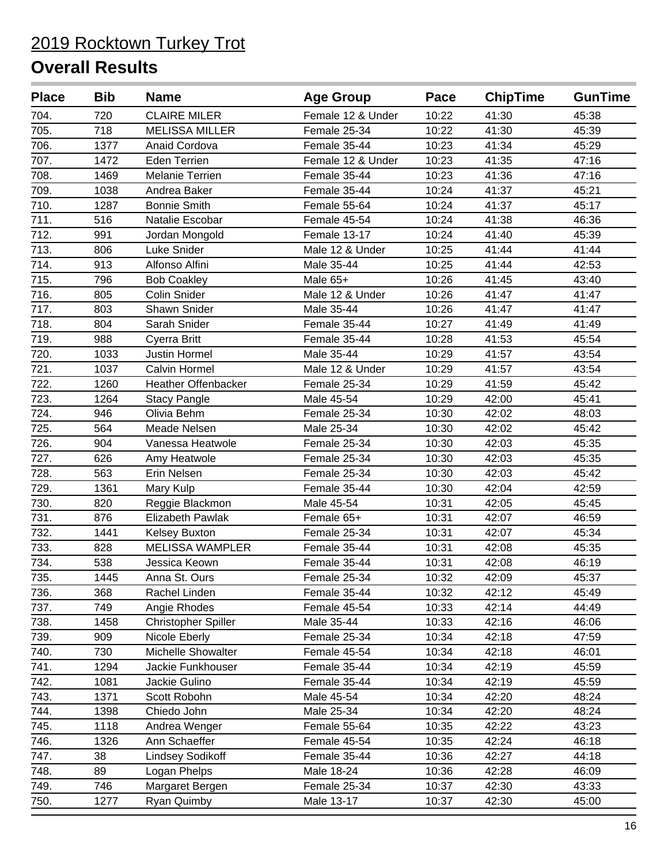| <b>Place</b> | <b>Bib</b> | <b>Name</b>                | <b>Age Group</b>  | Pace  | <b>ChipTime</b> | <b>GunTime</b> |
|--------------|------------|----------------------------|-------------------|-------|-----------------|----------------|
| 704.         | 720        | <b>CLAIRE MILER</b>        | Female 12 & Under | 10:22 | 41:30           | 45:38          |
| 705.         | 718        | <b>MELISSA MILLER</b>      | Female 25-34      | 10:22 | 41:30           | 45:39          |
| 706.         | 1377       | Anaid Cordova              | Female 35-44      | 10:23 | 41:34           | 45:29          |
| 707.         | 1472       | <b>Eden Terrien</b>        | Female 12 & Under | 10:23 | 41:35           | 47:16          |
| 708.         | 1469       | Melanie Terrien            | Female 35-44      | 10:23 | 41:36           | 47:16          |
| 709.         | 1038       | Andrea Baker               | Female 35-44      | 10:24 | 41:37           | 45:21          |
| 710.         | 1287       | <b>Bonnie Smith</b>        | Female 55-64      | 10:24 | 41:37           | 45:17          |
| 711.         | 516        | Natalie Escobar            | Female 45-54      | 10:24 | 41:38           | 46:36          |
| 712.         | 991        | Jordan Mongold             | Female 13-17      | 10:24 | 41:40           | 45:39          |
| 713.         | 806        | Luke Snider                | Male 12 & Under   | 10:25 | 41:44           | 41:44          |
| 714.         | 913        | Alfonso Alfini             | Male 35-44        | 10:25 | 41:44           | 42:53          |
| 715.         | 796        | <b>Bob Coakley</b>         | Male 65+          | 10:26 | 41:45           | 43:40          |
| 716.         | 805        | <b>Colin Snider</b>        | Male 12 & Under   | 10:26 | 41:47           | 41:47          |
| 717.         | 803        | Shawn Snider               | Male 35-44        | 10:26 | 41:47           | 41:47          |
| 718.         | 804        | Sarah Snider               | Female 35-44      | 10:27 | 41:49           | 41:49          |
| 719.         | 988        | Cyerra Britt               | Female 35-44      | 10:28 | 41:53           | 45:54          |
| 720.         | 1033       | <b>Justin Hormel</b>       | Male 35-44        | 10:29 | 41:57           | 43:54          |
| 721.         | 1037       | <b>Calvin Hormel</b>       | Male 12 & Under   | 10:29 | 41:57           | 43:54          |
| 722.         | 1260       | <b>Heather Offenbacker</b> | Female 25-34      | 10:29 | 41:59           | 45:42          |
| 723.         | 1264       | <b>Stacy Pangle</b>        | Male 45-54        | 10:29 | 42:00           | 45:41          |
| 724.         | 946        | Olivia Behm                | Female 25-34      | 10:30 | 42:02           | 48:03          |
| 725.         | 564        | Meade Nelsen               | Male 25-34        | 10:30 | 42:02           | 45:42          |
| 726.         | 904        | Vanessa Heatwole           | Female 25-34      | 10:30 | 42:03           | 45:35          |
| 727.         | 626        | Amy Heatwole               | Female 25-34      | 10:30 | 42:03           | 45:35          |
| 728.         | 563        | Erin Nelsen                | Female 25-34      | 10:30 | 42:03           | 45:42          |
| 729.         | 1361       | Mary Kulp                  | Female 35-44      | 10:30 | 42:04           | 42:59          |
| 730.         | 820        | Reggie Blackmon            | Male 45-54        | 10:31 | 42:05           | 45:45          |
| 731.         | 876        | <b>Elizabeth Pawlak</b>    | Female 65+        | 10:31 | 42:07           | 46:59          |
| 732.         | 1441       | Kelsey Buxton              | Female 25-34      | 10:31 | 42:07           | 45:34          |
| 733.         | 828        | <b>MELISSA WAMPLER</b>     | Female 35-44      | 10:31 | 42:08           | 45:35          |
| 734.         | 538        | Jessica Keown              | Female 35-44      | 10:31 | 42:08           | 46:19          |
| 735.         | 1445       | Anna St. Ours              | Female 25-34      | 10:32 | 42:09           | 45:37          |
| 736.         | 368        | Rachel Linden              | Female 35-44      | 10:32 | 42:12           | 45:49          |
| 737.         | 749        | Angie Rhodes               | Female 45-54      | 10:33 | 42:14           | 44:49          |
| 738.         | 1458       | Christopher Spiller        | Male 35-44        | 10:33 | 42:16           | 46:06          |
| 739.         | 909        | Nicole Eberly              | Female 25-34      | 10:34 | 42:18           | 47:59          |
| 740.         | 730        | Michelle Showalter         | Female 45-54      | 10:34 | 42:18           | 46:01          |
| 741.         | 1294       | Jackie Funkhouser          | Female 35-44      | 10:34 | 42:19           | 45:59          |
| 742.         | 1081       | Jackie Gulino              | Female 35-44      | 10:34 | 42:19           | 45:59          |
| 743.         | 1371       | Scott Robohn               | Male 45-54        | 10:34 | 42:20           | 48:24          |
| 744.         | 1398       | Chiedo John                | Male 25-34        | 10:34 | 42:20           | 48:24          |
| 745.         | 1118       | Andrea Wenger              | Female 55-64      | 10:35 | 42:22           | 43:23          |
| 746.         | 1326       | Ann Schaeffer              | Female 45-54      | 10:35 | 42:24           | 46:18          |
| 747.         | 38         | <b>Lindsey Sodikoff</b>    | Female 35-44      | 10:36 | 42:27           | 44:18          |
| 748.         | 89         | Logan Phelps               | Male 18-24        | 10:36 | 42:28           | 46:09          |
| 749.         | 746        | Margaret Bergen            | Female 25-34      | 10:37 | 42:30           | 43:33          |
| 750.         | 1277       | Ryan Quimby                | Male 13-17        | 10:37 | 42:30           | 45:00          |
|              |            |                            |                   |       |                 |                |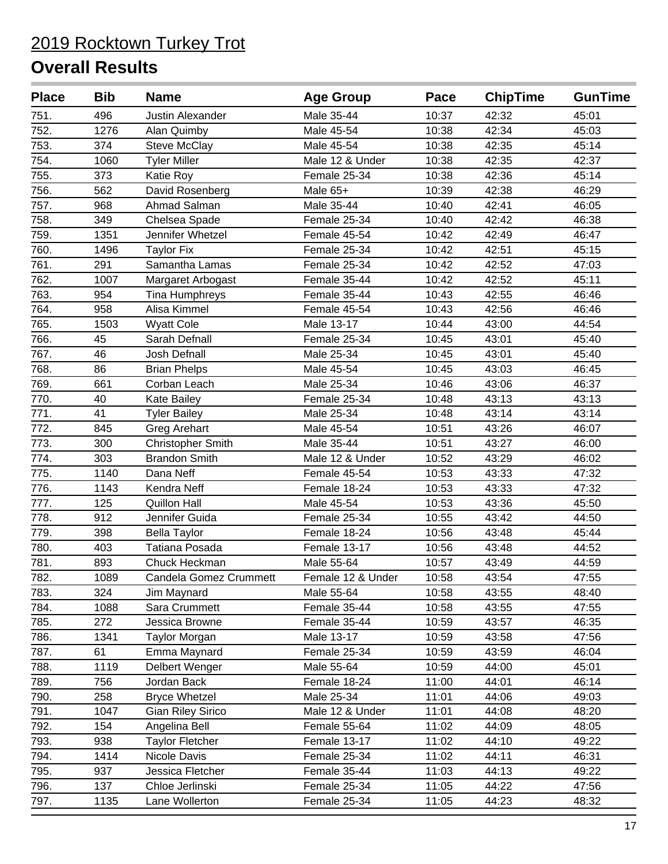| 751.<br>496<br>Male 35-44<br>10:37<br>Justin Alexander<br>42:32<br>45:01<br>752.<br>1276<br>Alan Quimby<br>Male 45-54<br>10:38<br>42:34<br>45:03<br>753.<br>374<br>Male 45-54<br>10:38<br>42:35<br>45:14<br><b>Steve McClay</b><br>754.<br>1060<br>Male 12 & Under<br>10:38<br>42:35<br>42:37<br><b>Tyler Miller</b><br>755.<br>373<br>Katie Roy<br>Female 25-34<br>10:38<br>42:36<br>45:14<br>756.<br>562<br>David Rosenberg<br>Male 65+<br>10:39<br>42:38<br>46:29<br>757.<br>Ahmad Salman<br>Male 35-44<br>10:40<br>42:41<br>968<br>46:05<br>758.<br>349<br>Chelsea Spade<br>Female 25-34<br>10:40<br>42:42<br>46:38<br>759.<br>1351<br>Jennifer Whetzel<br>10:42<br>46:47<br>Female 45-54<br>42:49<br>760.<br>1496<br>Female 25-34<br>10:42<br>42:51<br>45:15<br><b>Taylor Fix</b><br>761.<br>42:52<br>47:03<br>291<br>Samantha Lamas<br>Female 25-34<br>10:42<br>762.<br>1007<br>Female 35-44<br>10:42<br>42:52<br>45:11<br>Margaret Arbogast<br>763.<br>954<br>Female 35-44<br>46:46<br><b>Tina Humphreys</b><br>10:43<br>42:55<br>764.<br>958<br>Alisa Kimmel<br>42:56<br>Female 45-54<br>10:43<br>46:46<br>765.<br>1503<br><b>Wyatt Cole</b><br>10:44<br>43:00<br>44:54<br>Male 13-17<br>766.<br>45<br>Sarah Defnall<br>Female 25-34<br>10:45<br>43:01<br>45:40<br>767.<br>46<br><b>Josh Defnall</b><br>Male 25-34<br>10:45<br>43:01<br>45:40<br>768.<br>86<br><b>Brian Phelps</b><br>Male 45-54<br>10:45<br>43:03<br>46:45<br>769.<br>661<br>Corban Leach<br>Male 25-34<br>10:46<br>43:06<br>46:37<br>770.<br>40<br>Female 25-34<br>10:48<br>43:13<br>43:13<br>Kate Bailey<br>771.<br>Male 25-34<br>43:14<br>43:14<br>41<br><b>Tyler Bailey</b><br>10:48<br>772.<br>845<br>43:26<br>46:07<br>Greg Arehart<br>Male 45-54<br>10:51<br>773.<br>300<br><b>Christopher Smith</b><br>Male 35-44<br>10:51<br>43:27<br>46:00<br>774.<br>303<br><b>Brandon Smith</b><br>Male 12 & Under<br>10:52<br>43:29<br>46:02<br>775.<br>1140<br>Dana Neff<br>Female 45-54<br>10:53<br>43:33<br>47:32<br>776.<br>43:33<br>1143<br>Kendra Neff<br>Female 18-24<br>10:53<br>47:32<br>777.<br>125<br><b>Quillon Hall</b><br>Male 45-54<br>10:53<br>43:36<br>45:50<br>778.<br>912<br>Jennifer Guida<br>Female 25-34<br>10:55<br>43:42<br>44:50<br>779.<br>45:44<br>398<br><b>Bella Taylor</b><br>Female 18-24<br>10:56<br>43:48<br>780.<br>403<br>Tatiana Posada<br>Female 13-17<br>10:56<br>43:48<br>44:52<br>781.<br>Male 55-64<br>893<br>Chuck Heckman<br>43:49<br>44:59<br>10:57<br>47:55<br>782.<br>1089<br>43:54<br>Candela Gomez Crummett<br>Female 12 & Under<br>10:58<br>783.<br>324<br>10:58<br>43:55<br>48:40<br>Jim Maynard<br>Male 55-64<br>784.<br>1088<br>10:58<br>43:55<br>47:55<br>Sara Crummett<br>Female 35-44<br>785.<br>272<br>Jessica Browne<br>Female 35-44<br>10:59<br>43:57<br>46:35<br>1341<br>786.<br>Taylor Morgan<br>Male 13-17<br>10:59<br>43:58<br>47:56<br>787.<br>Female 25-34<br>10:59<br>43:59<br>61<br>Emma Maynard<br>46:04<br>788.<br>1119<br>Male 55-64<br>10:59<br>44:00<br>45:01<br>Delbert Wenger<br>789.<br>Jordan Back<br>Female 18-24<br>11:00<br>44:01<br>46:14<br>756<br>790.<br>258<br><b>Bryce Whetzel</b><br>Male 25-34<br>11:01<br>44:06<br>49:03<br>791.<br><b>Gian Riley Sirico</b><br>Male 12 & Under<br>11:01<br>48:20<br>1047<br>44:08<br>792.<br>Angelina Bell<br>154<br>Female 55-64<br>11:02<br>44:09<br>48:05<br>793.<br>938<br><b>Taylor Fletcher</b><br>Female 13-17<br>11:02<br>44:10<br>49:22<br>794.<br>1414<br>Nicole Davis<br>Female 25-34<br>11:02<br>44:11<br>46:31<br>795.<br>11:03<br>44:13<br>49:22<br>937<br>Jessica Fletcher<br>Female 35-44<br>796.<br>137<br>Chloe Jerlinski<br>Female 25-34<br>11:05<br>44:22<br>47:56<br>11:05<br>797.<br>1135<br>Lane Wollerton<br>Female 25-34<br>44:23<br>48:32 | <b>Place</b> | <b>Bib</b> | <b>Name</b> | <b>Age Group</b> | Pace | <b>ChipTime</b> | <b>GunTime</b> |
|-------------------------------------------------------------------------------------------------------------------------------------------------------------------------------------------------------------------------------------------------------------------------------------------------------------------------------------------------------------------------------------------------------------------------------------------------------------------------------------------------------------------------------------------------------------------------------------------------------------------------------------------------------------------------------------------------------------------------------------------------------------------------------------------------------------------------------------------------------------------------------------------------------------------------------------------------------------------------------------------------------------------------------------------------------------------------------------------------------------------------------------------------------------------------------------------------------------------------------------------------------------------------------------------------------------------------------------------------------------------------------------------------------------------------------------------------------------------------------------------------------------------------------------------------------------------------------------------------------------------------------------------------------------------------------------------------------------------------------------------------------------------------------------------------------------------------------------------------------------------------------------------------------------------------------------------------------------------------------------------------------------------------------------------------------------------------------------------------------------------------------------------------------------------------------------------------------------------------------------------------------------------------------------------------------------------------------------------------------------------------------------------------------------------------------------------------------------------------------------------------------------------------------------------------------------------------------------------------------------------------------------------------------------------------------------------------------------------------------------------------------------------------------------------------------------------------------------------------------------------------------------------------------------------------------------------------------------------------------------------------------------------------------------------------------------------------------------------------------------------------------------------------------------------------------------------------------------------------------------------------------------------------------------------------------------------------------------------------------------------------------------------------------------------------------------------------------------------------------------------------------------------------------------------------------------------------------------------------------------------------------------------------------------------------------------------------------------------------------------------------------------------|--------------|------------|-------------|------------------|------|-----------------|----------------|
|                                                                                                                                                                                                                                                                                                                                                                                                                                                                                                                                                                                                                                                                                                                                                                                                                                                                                                                                                                                                                                                                                                                                                                                                                                                                                                                                                                                                                                                                                                                                                                                                                                                                                                                                                                                                                                                                                                                                                                                                                                                                                                                                                                                                                                                                                                                                                                                                                                                                                                                                                                                                                                                                                                                                                                                                                                                                                                                                                                                                                                                                                                                                                                                                                                                                                                                                                                                                                                                                                                                                                                                                                                                                                                                                                                   |              |            |             |                  |      |                 |                |
|                                                                                                                                                                                                                                                                                                                                                                                                                                                                                                                                                                                                                                                                                                                                                                                                                                                                                                                                                                                                                                                                                                                                                                                                                                                                                                                                                                                                                                                                                                                                                                                                                                                                                                                                                                                                                                                                                                                                                                                                                                                                                                                                                                                                                                                                                                                                                                                                                                                                                                                                                                                                                                                                                                                                                                                                                                                                                                                                                                                                                                                                                                                                                                                                                                                                                                                                                                                                                                                                                                                                                                                                                                                                                                                                                                   |              |            |             |                  |      |                 |                |
|                                                                                                                                                                                                                                                                                                                                                                                                                                                                                                                                                                                                                                                                                                                                                                                                                                                                                                                                                                                                                                                                                                                                                                                                                                                                                                                                                                                                                                                                                                                                                                                                                                                                                                                                                                                                                                                                                                                                                                                                                                                                                                                                                                                                                                                                                                                                                                                                                                                                                                                                                                                                                                                                                                                                                                                                                                                                                                                                                                                                                                                                                                                                                                                                                                                                                                                                                                                                                                                                                                                                                                                                                                                                                                                                                                   |              |            |             |                  |      |                 |                |
|                                                                                                                                                                                                                                                                                                                                                                                                                                                                                                                                                                                                                                                                                                                                                                                                                                                                                                                                                                                                                                                                                                                                                                                                                                                                                                                                                                                                                                                                                                                                                                                                                                                                                                                                                                                                                                                                                                                                                                                                                                                                                                                                                                                                                                                                                                                                                                                                                                                                                                                                                                                                                                                                                                                                                                                                                                                                                                                                                                                                                                                                                                                                                                                                                                                                                                                                                                                                                                                                                                                                                                                                                                                                                                                                                                   |              |            |             |                  |      |                 |                |
|                                                                                                                                                                                                                                                                                                                                                                                                                                                                                                                                                                                                                                                                                                                                                                                                                                                                                                                                                                                                                                                                                                                                                                                                                                                                                                                                                                                                                                                                                                                                                                                                                                                                                                                                                                                                                                                                                                                                                                                                                                                                                                                                                                                                                                                                                                                                                                                                                                                                                                                                                                                                                                                                                                                                                                                                                                                                                                                                                                                                                                                                                                                                                                                                                                                                                                                                                                                                                                                                                                                                                                                                                                                                                                                                                                   |              |            |             |                  |      |                 |                |
|                                                                                                                                                                                                                                                                                                                                                                                                                                                                                                                                                                                                                                                                                                                                                                                                                                                                                                                                                                                                                                                                                                                                                                                                                                                                                                                                                                                                                                                                                                                                                                                                                                                                                                                                                                                                                                                                                                                                                                                                                                                                                                                                                                                                                                                                                                                                                                                                                                                                                                                                                                                                                                                                                                                                                                                                                                                                                                                                                                                                                                                                                                                                                                                                                                                                                                                                                                                                                                                                                                                                                                                                                                                                                                                                                                   |              |            |             |                  |      |                 |                |
|                                                                                                                                                                                                                                                                                                                                                                                                                                                                                                                                                                                                                                                                                                                                                                                                                                                                                                                                                                                                                                                                                                                                                                                                                                                                                                                                                                                                                                                                                                                                                                                                                                                                                                                                                                                                                                                                                                                                                                                                                                                                                                                                                                                                                                                                                                                                                                                                                                                                                                                                                                                                                                                                                                                                                                                                                                                                                                                                                                                                                                                                                                                                                                                                                                                                                                                                                                                                                                                                                                                                                                                                                                                                                                                                                                   |              |            |             |                  |      |                 |                |
|                                                                                                                                                                                                                                                                                                                                                                                                                                                                                                                                                                                                                                                                                                                                                                                                                                                                                                                                                                                                                                                                                                                                                                                                                                                                                                                                                                                                                                                                                                                                                                                                                                                                                                                                                                                                                                                                                                                                                                                                                                                                                                                                                                                                                                                                                                                                                                                                                                                                                                                                                                                                                                                                                                                                                                                                                                                                                                                                                                                                                                                                                                                                                                                                                                                                                                                                                                                                                                                                                                                                                                                                                                                                                                                                                                   |              |            |             |                  |      |                 |                |
|                                                                                                                                                                                                                                                                                                                                                                                                                                                                                                                                                                                                                                                                                                                                                                                                                                                                                                                                                                                                                                                                                                                                                                                                                                                                                                                                                                                                                                                                                                                                                                                                                                                                                                                                                                                                                                                                                                                                                                                                                                                                                                                                                                                                                                                                                                                                                                                                                                                                                                                                                                                                                                                                                                                                                                                                                                                                                                                                                                                                                                                                                                                                                                                                                                                                                                                                                                                                                                                                                                                                                                                                                                                                                                                                                                   |              |            |             |                  |      |                 |                |
|                                                                                                                                                                                                                                                                                                                                                                                                                                                                                                                                                                                                                                                                                                                                                                                                                                                                                                                                                                                                                                                                                                                                                                                                                                                                                                                                                                                                                                                                                                                                                                                                                                                                                                                                                                                                                                                                                                                                                                                                                                                                                                                                                                                                                                                                                                                                                                                                                                                                                                                                                                                                                                                                                                                                                                                                                                                                                                                                                                                                                                                                                                                                                                                                                                                                                                                                                                                                                                                                                                                                                                                                                                                                                                                                                                   |              |            |             |                  |      |                 |                |
|                                                                                                                                                                                                                                                                                                                                                                                                                                                                                                                                                                                                                                                                                                                                                                                                                                                                                                                                                                                                                                                                                                                                                                                                                                                                                                                                                                                                                                                                                                                                                                                                                                                                                                                                                                                                                                                                                                                                                                                                                                                                                                                                                                                                                                                                                                                                                                                                                                                                                                                                                                                                                                                                                                                                                                                                                                                                                                                                                                                                                                                                                                                                                                                                                                                                                                                                                                                                                                                                                                                                                                                                                                                                                                                                                                   |              |            |             |                  |      |                 |                |
|                                                                                                                                                                                                                                                                                                                                                                                                                                                                                                                                                                                                                                                                                                                                                                                                                                                                                                                                                                                                                                                                                                                                                                                                                                                                                                                                                                                                                                                                                                                                                                                                                                                                                                                                                                                                                                                                                                                                                                                                                                                                                                                                                                                                                                                                                                                                                                                                                                                                                                                                                                                                                                                                                                                                                                                                                                                                                                                                                                                                                                                                                                                                                                                                                                                                                                                                                                                                                                                                                                                                                                                                                                                                                                                                                                   |              |            |             |                  |      |                 |                |
|                                                                                                                                                                                                                                                                                                                                                                                                                                                                                                                                                                                                                                                                                                                                                                                                                                                                                                                                                                                                                                                                                                                                                                                                                                                                                                                                                                                                                                                                                                                                                                                                                                                                                                                                                                                                                                                                                                                                                                                                                                                                                                                                                                                                                                                                                                                                                                                                                                                                                                                                                                                                                                                                                                                                                                                                                                                                                                                                                                                                                                                                                                                                                                                                                                                                                                                                                                                                                                                                                                                                                                                                                                                                                                                                                                   |              |            |             |                  |      |                 |                |
|                                                                                                                                                                                                                                                                                                                                                                                                                                                                                                                                                                                                                                                                                                                                                                                                                                                                                                                                                                                                                                                                                                                                                                                                                                                                                                                                                                                                                                                                                                                                                                                                                                                                                                                                                                                                                                                                                                                                                                                                                                                                                                                                                                                                                                                                                                                                                                                                                                                                                                                                                                                                                                                                                                                                                                                                                                                                                                                                                                                                                                                                                                                                                                                                                                                                                                                                                                                                                                                                                                                                                                                                                                                                                                                                                                   |              |            |             |                  |      |                 |                |
|                                                                                                                                                                                                                                                                                                                                                                                                                                                                                                                                                                                                                                                                                                                                                                                                                                                                                                                                                                                                                                                                                                                                                                                                                                                                                                                                                                                                                                                                                                                                                                                                                                                                                                                                                                                                                                                                                                                                                                                                                                                                                                                                                                                                                                                                                                                                                                                                                                                                                                                                                                                                                                                                                                                                                                                                                                                                                                                                                                                                                                                                                                                                                                                                                                                                                                                                                                                                                                                                                                                                                                                                                                                                                                                                                                   |              |            |             |                  |      |                 |                |
|                                                                                                                                                                                                                                                                                                                                                                                                                                                                                                                                                                                                                                                                                                                                                                                                                                                                                                                                                                                                                                                                                                                                                                                                                                                                                                                                                                                                                                                                                                                                                                                                                                                                                                                                                                                                                                                                                                                                                                                                                                                                                                                                                                                                                                                                                                                                                                                                                                                                                                                                                                                                                                                                                                                                                                                                                                                                                                                                                                                                                                                                                                                                                                                                                                                                                                                                                                                                                                                                                                                                                                                                                                                                                                                                                                   |              |            |             |                  |      |                 |                |
|                                                                                                                                                                                                                                                                                                                                                                                                                                                                                                                                                                                                                                                                                                                                                                                                                                                                                                                                                                                                                                                                                                                                                                                                                                                                                                                                                                                                                                                                                                                                                                                                                                                                                                                                                                                                                                                                                                                                                                                                                                                                                                                                                                                                                                                                                                                                                                                                                                                                                                                                                                                                                                                                                                                                                                                                                                                                                                                                                                                                                                                                                                                                                                                                                                                                                                                                                                                                                                                                                                                                                                                                                                                                                                                                                                   |              |            |             |                  |      |                 |                |
|                                                                                                                                                                                                                                                                                                                                                                                                                                                                                                                                                                                                                                                                                                                                                                                                                                                                                                                                                                                                                                                                                                                                                                                                                                                                                                                                                                                                                                                                                                                                                                                                                                                                                                                                                                                                                                                                                                                                                                                                                                                                                                                                                                                                                                                                                                                                                                                                                                                                                                                                                                                                                                                                                                                                                                                                                                                                                                                                                                                                                                                                                                                                                                                                                                                                                                                                                                                                                                                                                                                                                                                                                                                                                                                                                                   |              |            |             |                  |      |                 |                |
|                                                                                                                                                                                                                                                                                                                                                                                                                                                                                                                                                                                                                                                                                                                                                                                                                                                                                                                                                                                                                                                                                                                                                                                                                                                                                                                                                                                                                                                                                                                                                                                                                                                                                                                                                                                                                                                                                                                                                                                                                                                                                                                                                                                                                                                                                                                                                                                                                                                                                                                                                                                                                                                                                                                                                                                                                                                                                                                                                                                                                                                                                                                                                                                                                                                                                                                                                                                                                                                                                                                                                                                                                                                                                                                                                                   |              |            |             |                  |      |                 |                |
|                                                                                                                                                                                                                                                                                                                                                                                                                                                                                                                                                                                                                                                                                                                                                                                                                                                                                                                                                                                                                                                                                                                                                                                                                                                                                                                                                                                                                                                                                                                                                                                                                                                                                                                                                                                                                                                                                                                                                                                                                                                                                                                                                                                                                                                                                                                                                                                                                                                                                                                                                                                                                                                                                                                                                                                                                                                                                                                                                                                                                                                                                                                                                                                                                                                                                                                                                                                                                                                                                                                                                                                                                                                                                                                                                                   |              |            |             |                  |      |                 |                |
|                                                                                                                                                                                                                                                                                                                                                                                                                                                                                                                                                                                                                                                                                                                                                                                                                                                                                                                                                                                                                                                                                                                                                                                                                                                                                                                                                                                                                                                                                                                                                                                                                                                                                                                                                                                                                                                                                                                                                                                                                                                                                                                                                                                                                                                                                                                                                                                                                                                                                                                                                                                                                                                                                                                                                                                                                                                                                                                                                                                                                                                                                                                                                                                                                                                                                                                                                                                                                                                                                                                                                                                                                                                                                                                                                                   |              |            |             |                  |      |                 |                |
|                                                                                                                                                                                                                                                                                                                                                                                                                                                                                                                                                                                                                                                                                                                                                                                                                                                                                                                                                                                                                                                                                                                                                                                                                                                                                                                                                                                                                                                                                                                                                                                                                                                                                                                                                                                                                                                                                                                                                                                                                                                                                                                                                                                                                                                                                                                                                                                                                                                                                                                                                                                                                                                                                                                                                                                                                                                                                                                                                                                                                                                                                                                                                                                                                                                                                                                                                                                                                                                                                                                                                                                                                                                                                                                                                                   |              |            |             |                  |      |                 |                |
|                                                                                                                                                                                                                                                                                                                                                                                                                                                                                                                                                                                                                                                                                                                                                                                                                                                                                                                                                                                                                                                                                                                                                                                                                                                                                                                                                                                                                                                                                                                                                                                                                                                                                                                                                                                                                                                                                                                                                                                                                                                                                                                                                                                                                                                                                                                                                                                                                                                                                                                                                                                                                                                                                                                                                                                                                                                                                                                                                                                                                                                                                                                                                                                                                                                                                                                                                                                                                                                                                                                                                                                                                                                                                                                                                                   |              |            |             |                  |      |                 |                |
|                                                                                                                                                                                                                                                                                                                                                                                                                                                                                                                                                                                                                                                                                                                                                                                                                                                                                                                                                                                                                                                                                                                                                                                                                                                                                                                                                                                                                                                                                                                                                                                                                                                                                                                                                                                                                                                                                                                                                                                                                                                                                                                                                                                                                                                                                                                                                                                                                                                                                                                                                                                                                                                                                                                                                                                                                                                                                                                                                                                                                                                                                                                                                                                                                                                                                                                                                                                                                                                                                                                                                                                                                                                                                                                                                                   |              |            |             |                  |      |                 |                |
|                                                                                                                                                                                                                                                                                                                                                                                                                                                                                                                                                                                                                                                                                                                                                                                                                                                                                                                                                                                                                                                                                                                                                                                                                                                                                                                                                                                                                                                                                                                                                                                                                                                                                                                                                                                                                                                                                                                                                                                                                                                                                                                                                                                                                                                                                                                                                                                                                                                                                                                                                                                                                                                                                                                                                                                                                                                                                                                                                                                                                                                                                                                                                                                                                                                                                                                                                                                                                                                                                                                                                                                                                                                                                                                                                                   |              |            |             |                  |      |                 |                |
|                                                                                                                                                                                                                                                                                                                                                                                                                                                                                                                                                                                                                                                                                                                                                                                                                                                                                                                                                                                                                                                                                                                                                                                                                                                                                                                                                                                                                                                                                                                                                                                                                                                                                                                                                                                                                                                                                                                                                                                                                                                                                                                                                                                                                                                                                                                                                                                                                                                                                                                                                                                                                                                                                                                                                                                                                                                                                                                                                                                                                                                                                                                                                                                                                                                                                                                                                                                                                                                                                                                                                                                                                                                                                                                                                                   |              |            |             |                  |      |                 |                |
|                                                                                                                                                                                                                                                                                                                                                                                                                                                                                                                                                                                                                                                                                                                                                                                                                                                                                                                                                                                                                                                                                                                                                                                                                                                                                                                                                                                                                                                                                                                                                                                                                                                                                                                                                                                                                                                                                                                                                                                                                                                                                                                                                                                                                                                                                                                                                                                                                                                                                                                                                                                                                                                                                                                                                                                                                                                                                                                                                                                                                                                                                                                                                                                                                                                                                                                                                                                                                                                                                                                                                                                                                                                                                                                                                                   |              |            |             |                  |      |                 |                |
|                                                                                                                                                                                                                                                                                                                                                                                                                                                                                                                                                                                                                                                                                                                                                                                                                                                                                                                                                                                                                                                                                                                                                                                                                                                                                                                                                                                                                                                                                                                                                                                                                                                                                                                                                                                                                                                                                                                                                                                                                                                                                                                                                                                                                                                                                                                                                                                                                                                                                                                                                                                                                                                                                                                                                                                                                                                                                                                                                                                                                                                                                                                                                                                                                                                                                                                                                                                                                                                                                                                                                                                                                                                                                                                                                                   |              |            |             |                  |      |                 |                |
|                                                                                                                                                                                                                                                                                                                                                                                                                                                                                                                                                                                                                                                                                                                                                                                                                                                                                                                                                                                                                                                                                                                                                                                                                                                                                                                                                                                                                                                                                                                                                                                                                                                                                                                                                                                                                                                                                                                                                                                                                                                                                                                                                                                                                                                                                                                                                                                                                                                                                                                                                                                                                                                                                                                                                                                                                                                                                                                                                                                                                                                                                                                                                                                                                                                                                                                                                                                                                                                                                                                                                                                                                                                                                                                                                                   |              |            |             |                  |      |                 |                |
|                                                                                                                                                                                                                                                                                                                                                                                                                                                                                                                                                                                                                                                                                                                                                                                                                                                                                                                                                                                                                                                                                                                                                                                                                                                                                                                                                                                                                                                                                                                                                                                                                                                                                                                                                                                                                                                                                                                                                                                                                                                                                                                                                                                                                                                                                                                                                                                                                                                                                                                                                                                                                                                                                                                                                                                                                                                                                                                                                                                                                                                                                                                                                                                                                                                                                                                                                                                                                                                                                                                                                                                                                                                                                                                                                                   |              |            |             |                  |      |                 |                |
|                                                                                                                                                                                                                                                                                                                                                                                                                                                                                                                                                                                                                                                                                                                                                                                                                                                                                                                                                                                                                                                                                                                                                                                                                                                                                                                                                                                                                                                                                                                                                                                                                                                                                                                                                                                                                                                                                                                                                                                                                                                                                                                                                                                                                                                                                                                                                                                                                                                                                                                                                                                                                                                                                                                                                                                                                                                                                                                                                                                                                                                                                                                                                                                                                                                                                                                                                                                                                                                                                                                                                                                                                                                                                                                                                                   |              |            |             |                  |      |                 |                |
|                                                                                                                                                                                                                                                                                                                                                                                                                                                                                                                                                                                                                                                                                                                                                                                                                                                                                                                                                                                                                                                                                                                                                                                                                                                                                                                                                                                                                                                                                                                                                                                                                                                                                                                                                                                                                                                                                                                                                                                                                                                                                                                                                                                                                                                                                                                                                                                                                                                                                                                                                                                                                                                                                                                                                                                                                                                                                                                                                                                                                                                                                                                                                                                                                                                                                                                                                                                                                                                                                                                                                                                                                                                                                                                                                                   |              |            |             |                  |      |                 |                |
|                                                                                                                                                                                                                                                                                                                                                                                                                                                                                                                                                                                                                                                                                                                                                                                                                                                                                                                                                                                                                                                                                                                                                                                                                                                                                                                                                                                                                                                                                                                                                                                                                                                                                                                                                                                                                                                                                                                                                                                                                                                                                                                                                                                                                                                                                                                                                                                                                                                                                                                                                                                                                                                                                                                                                                                                                                                                                                                                                                                                                                                                                                                                                                                                                                                                                                                                                                                                                                                                                                                                                                                                                                                                                                                                                                   |              |            |             |                  |      |                 |                |
|                                                                                                                                                                                                                                                                                                                                                                                                                                                                                                                                                                                                                                                                                                                                                                                                                                                                                                                                                                                                                                                                                                                                                                                                                                                                                                                                                                                                                                                                                                                                                                                                                                                                                                                                                                                                                                                                                                                                                                                                                                                                                                                                                                                                                                                                                                                                                                                                                                                                                                                                                                                                                                                                                                                                                                                                                                                                                                                                                                                                                                                                                                                                                                                                                                                                                                                                                                                                                                                                                                                                                                                                                                                                                                                                                                   |              |            |             |                  |      |                 |                |
|                                                                                                                                                                                                                                                                                                                                                                                                                                                                                                                                                                                                                                                                                                                                                                                                                                                                                                                                                                                                                                                                                                                                                                                                                                                                                                                                                                                                                                                                                                                                                                                                                                                                                                                                                                                                                                                                                                                                                                                                                                                                                                                                                                                                                                                                                                                                                                                                                                                                                                                                                                                                                                                                                                                                                                                                                                                                                                                                                                                                                                                                                                                                                                                                                                                                                                                                                                                                                                                                                                                                                                                                                                                                                                                                                                   |              |            |             |                  |      |                 |                |
|                                                                                                                                                                                                                                                                                                                                                                                                                                                                                                                                                                                                                                                                                                                                                                                                                                                                                                                                                                                                                                                                                                                                                                                                                                                                                                                                                                                                                                                                                                                                                                                                                                                                                                                                                                                                                                                                                                                                                                                                                                                                                                                                                                                                                                                                                                                                                                                                                                                                                                                                                                                                                                                                                                                                                                                                                                                                                                                                                                                                                                                                                                                                                                                                                                                                                                                                                                                                                                                                                                                                                                                                                                                                                                                                                                   |              |            |             |                  |      |                 |                |
|                                                                                                                                                                                                                                                                                                                                                                                                                                                                                                                                                                                                                                                                                                                                                                                                                                                                                                                                                                                                                                                                                                                                                                                                                                                                                                                                                                                                                                                                                                                                                                                                                                                                                                                                                                                                                                                                                                                                                                                                                                                                                                                                                                                                                                                                                                                                                                                                                                                                                                                                                                                                                                                                                                                                                                                                                                                                                                                                                                                                                                                                                                                                                                                                                                                                                                                                                                                                                                                                                                                                                                                                                                                                                                                                                                   |              |            |             |                  |      |                 |                |
|                                                                                                                                                                                                                                                                                                                                                                                                                                                                                                                                                                                                                                                                                                                                                                                                                                                                                                                                                                                                                                                                                                                                                                                                                                                                                                                                                                                                                                                                                                                                                                                                                                                                                                                                                                                                                                                                                                                                                                                                                                                                                                                                                                                                                                                                                                                                                                                                                                                                                                                                                                                                                                                                                                                                                                                                                                                                                                                                                                                                                                                                                                                                                                                                                                                                                                                                                                                                                                                                                                                                                                                                                                                                                                                                                                   |              |            |             |                  |      |                 |                |
|                                                                                                                                                                                                                                                                                                                                                                                                                                                                                                                                                                                                                                                                                                                                                                                                                                                                                                                                                                                                                                                                                                                                                                                                                                                                                                                                                                                                                                                                                                                                                                                                                                                                                                                                                                                                                                                                                                                                                                                                                                                                                                                                                                                                                                                                                                                                                                                                                                                                                                                                                                                                                                                                                                                                                                                                                                                                                                                                                                                                                                                                                                                                                                                                                                                                                                                                                                                                                                                                                                                                                                                                                                                                                                                                                                   |              |            |             |                  |      |                 |                |
|                                                                                                                                                                                                                                                                                                                                                                                                                                                                                                                                                                                                                                                                                                                                                                                                                                                                                                                                                                                                                                                                                                                                                                                                                                                                                                                                                                                                                                                                                                                                                                                                                                                                                                                                                                                                                                                                                                                                                                                                                                                                                                                                                                                                                                                                                                                                                                                                                                                                                                                                                                                                                                                                                                                                                                                                                                                                                                                                                                                                                                                                                                                                                                                                                                                                                                                                                                                                                                                                                                                                                                                                                                                                                                                                                                   |              |            |             |                  |      |                 |                |
|                                                                                                                                                                                                                                                                                                                                                                                                                                                                                                                                                                                                                                                                                                                                                                                                                                                                                                                                                                                                                                                                                                                                                                                                                                                                                                                                                                                                                                                                                                                                                                                                                                                                                                                                                                                                                                                                                                                                                                                                                                                                                                                                                                                                                                                                                                                                                                                                                                                                                                                                                                                                                                                                                                                                                                                                                                                                                                                                                                                                                                                                                                                                                                                                                                                                                                                                                                                                                                                                                                                                                                                                                                                                                                                                                                   |              |            |             |                  |      |                 |                |
|                                                                                                                                                                                                                                                                                                                                                                                                                                                                                                                                                                                                                                                                                                                                                                                                                                                                                                                                                                                                                                                                                                                                                                                                                                                                                                                                                                                                                                                                                                                                                                                                                                                                                                                                                                                                                                                                                                                                                                                                                                                                                                                                                                                                                                                                                                                                                                                                                                                                                                                                                                                                                                                                                                                                                                                                                                                                                                                                                                                                                                                                                                                                                                                                                                                                                                                                                                                                                                                                                                                                                                                                                                                                                                                                                                   |              |            |             |                  |      |                 |                |
|                                                                                                                                                                                                                                                                                                                                                                                                                                                                                                                                                                                                                                                                                                                                                                                                                                                                                                                                                                                                                                                                                                                                                                                                                                                                                                                                                                                                                                                                                                                                                                                                                                                                                                                                                                                                                                                                                                                                                                                                                                                                                                                                                                                                                                                                                                                                                                                                                                                                                                                                                                                                                                                                                                                                                                                                                                                                                                                                                                                                                                                                                                                                                                                                                                                                                                                                                                                                                                                                                                                                                                                                                                                                                                                                                                   |              |            |             |                  |      |                 |                |
|                                                                                                                                                                                                                                                                                                                                                                                                                                                                                                                                                                                                                                                                                                                                                                                                                                                                                                                                                                                                                                                                                                                                                                                                                                                                                                                                                                                                                                                                                                                                                                                                                                                                                                                                                                                                                                                                                                                                                                                                                                                                                                                                                                                                                                                                                                                                                                                                                                                                                                                                                                                                                                                                                                                                                                                                                                                                                                                                                                                                                                                                                                                                                                                                                                                                                                                                                                                                                                                                                                                                                                                                                                                                                                                                                                   |              |            |             |                  |      |                 |                |
|                                                                                                                                                                                                                                                                                                                                                                                                                                                                                                                                                                                                                                                                                                                                                                                                                                                                                                                                                                                                                                                                                                                                                                                                                                                                                                                                                                                                                                                                                                                                                                                                                                                                                                                                                                                                                                                                                                                                                                                                                                                                                                                                                                                                                                                                                                                                                                                                                                                                                                                                                                                                                                                                                                                                                                                                                                                                                                                                                                                                                                                                                                                                                                                                                                                                                                                                                                                                                                                                                                                                                                                                                                                                                                                                                                   |              |            |             |                  |      |                 |                |
|                                                                                                                                                                                                                                                                                                                                                                                                                                                                                                                                                                                                                                                                                                                                                                                                                                                                                                                                                                                                                                                                                                                                                                                                                                                                                                                                                                                                                                                                                                                                                                                                                                                                                                                                                                                                                                                                                                                                                                                                                                                                                                                                                                                                                                                                                                                                                                                                                                                                                                                                                                                                                                                                                                                                                                                                                                                                                                                                                                                                                                                                                                                                                                                                                                                                                                                                                                                                                                                                                                                                                                                                                                                                                                                                                                   |              |            |             |                  |      |                 |                |
|                                                                                                                                                                                                                                                                                                                                                                                                                                                                                                                                                                                                                                                                                                                                                                                                                                                                                                                                                                                                                                                                                                                                                                                                                                                                                                                                                                                                                                                                                                                                                                                                                                                                                                                                                                                                                                                                                                                                                                                                                                                                                                                                                                                                                                                                                                                                                                                                                                                                                                                                                                                                                                                                                                                                                                                                                                                                                                                                                                                                                                                                                                                                                                                                                                                                                                                                                                                                                                                                                                                                                                                                                                                                                                                                                                   |              |            |             |                  |      |                 |                |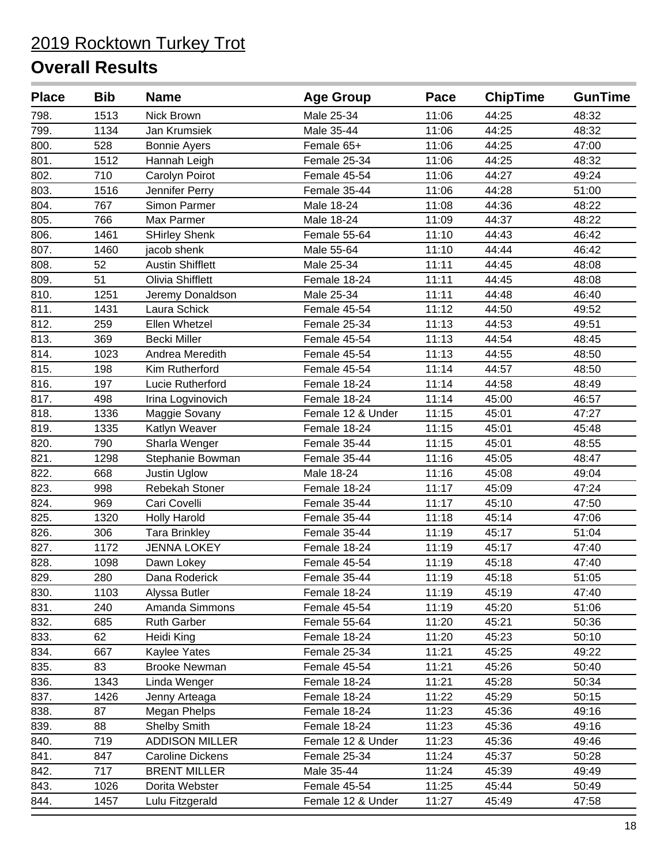| <b>Place</b> | <b>Bib</b> | <b>Name</b>             | <b>Age Group</b>  | Pace  | <b>ChipTime</b> | <b>GunTime</b> |
|--------------|------------|-------------------------|-------------------|-------|-----------------|----------------|
| 798.         | 1513       | Nick Brown              | Male 25-34        | 11:06 | 44:25           | 48:32          |
| 799.         | 1134       | Jan Krumsiek            | Male 35-44        | 11:06 | 44:25           | 48:32          |
| 800.         | 528        | <b>Bonnie Ayers</b>     | Female 65+        | 11:06 | 44:25           | 47:00          |
| 801.         | 1512       | Hannah Leigh            | Female 25-34      | 11:06 | 44:25           | 48:32          |
| 802.         | 710        | Carolyn Poirot          | Female 45-54      | 11:06 | 44:27           | 49:24          |
| 803.         | 1516       | Jennifer Perry          | Female 35-44      | 11:06 | 44:28           | 51:00          |
| 804.         | 767        | Simon Parmer            | Male 18-24        | 11:08 | 44:36           | 48:22          |
| 805.         | 766        | Max Parmer              | Male 18-24        | 11:09 | 44:37           | 48:22          |
| 806.         | 1461       | <b>SHirley Shenk</b>    | Female 55-64      | 11:10 | 44:43           | 46:42          |
| 807.         | 1460       | jacob shenk             | Male 55-64        | 11:10 | 44:44           | 46:42          |
| 808.         | 52         | <b>Austin Shifflett</b> | Male 25-34        | 11:11 | 44:45           | 48:08          |
| 809.         | 51         | Olivia Shifflett        | Female 18-24      | 11:11 | 44:45           | 48:08          |
| 810.         | 1251       | Jeremy Donaldson        | Male 25-34        | 11:11 | 44:48           | 46:40          |
| 811.         | 1431       | Laura Schick            | Female 45-54      | 11:12 | 44:50           | 49:52          |
| 812.         | 259        | Ellen Whetzel           | Female 25-34      | 11:13 | 44:53           | 49:51          |
| 813.         | 369        | <b>Becki Miller</b>     | Female 45-54      | 11:13 | 44:54           | 48:45          |
| 814.         | 1023       | Andrea Meredith         | Female 45-54      | 11:13 | 44:55           | 48:50          |
| 815.         | 198        | Kim Rutherford          | Female 45-54      | 11:14 | 44:57           | 48:50          |
| 816.         | 197        | Lucie Rutherford        | Female 18-24      | 11:14 | 44:58           | 48:49          |
| 817.         | 498        | Irina Logvinovich       | Female 18-24      | 11:14 | 45:00           | 46:57          |
| 818.         | 1336       | Maggie Sovany           | Female 12 & Under | 11:15 | 45:01           | 47:27          |
| 819.         | 1335       | Katlyn Weaver           | Female 18-24      | 11:15 | 45:01           | 45:48          |
| 820.         | 790        | Sharla Wenger           | Female 35-44      | 11:15 | 45:01           | 48:55          |
| 821.         | 1298       | Stephanie Bowman        | Female 35-44      | 11:16 | 45:05           | 48:47          |
| 822.         | 668        | Justin Uglow            | Male 18-24        | 11:16 | 45:08           | 49:04          |
| 823.         | 998        | Rebekah Stoner          | Female 18-24      | 11:17 | 45:09           | 47:24          |
| 824.         | 969        | Cari Covelli            | Female 35-44      | 11:17 | 45:10           | 47:50          |
| 825.         | 1320       | <b>Holly Harold</b>     | Female 35-44      | 11:18 | 45:14           | 47:06          |
| 826.         | 306        | <b>Tara Brinkley</b>    | Female 35-44      | 11:19 | 45:17           | 51:04          |
| 827.         | 1172       | <b>JENNA LOKEY</b>      | Female 18-24      | 11:19 | 45:17           | 47:40          |
| 828.         | 1098       | Dawn Lokey              | Female 45-54      | 11:19 | 45:18           | 47:40          |
| 829.         | 280        | Dana Roderick           | Female 35-44      | 11:19 | 45:18           | 51:05          |
| 830.         | 1103       | Alyssa Butler           | Female 18-24      | 11:19 | 45:19           | 47:40          |
| 831.         | 240        | Amanda Simmons          | Female 45-54      | 11:19 | 45:20           | 51:06          |
| 832.         | 685        | <b>Ruth Garber</b>      | Female 55-64      | 11:20 | 45:21           | 50:36          |
| 833.         | 62         | Heidi King              | Female 18-24      | 11:20 | 45:23           | 50:10          |
| 834.         | 667        | Kaylee Yates            | Female 25-34      | 11:21 | 45:25           | 49:22          |
| 835.         | 83         | <b>Brooke Newman</b>    | Female 45-54      | 11:21 | 45:26           | 50:40          |
| 836.         | 1343       | Linda Wenger            | Female 18-24      | 11:21 | 45:28           | 50:34          |
| 837.         | 1426       | Jenny Arteaga           | Female 18-24      | 11:22 | 45:29           | 50:15          |
| 838.         | 87         | Megan Phelps            | Female 18-24      | 11:23 | 45:36           | 49:16          |
| 839.         | 88         | <b>Shelby Smith</b>     | Female 18-24      | 11:23 | 45:36           | 49:16          |
| 840.         | 719        | <b>ADDISON MILLER</b>   | Female 12 & Under | 11:23 | 45:36           | 49:46          |
| 841.         | 847        | <b>Caroline Dickens</b> | Female 25-34      | 11:24 | 45:37           | 50:28          |
| 842.         | 717        | <b>BRENT MILLER</b>     | Male 35-44        | 11:24 | 45:39           | 49:49          |
| 843.         | 1026       | Dorita Webster          | Female 45-54      | 11:25 | 45:44           | 50:49          |
| 844.         | 1457       | Lulu Fitzgerald         | Female 12 & Under | 11:27 | 45:49           | 47:58          |
|              |            |                         |                   |       |                 |                |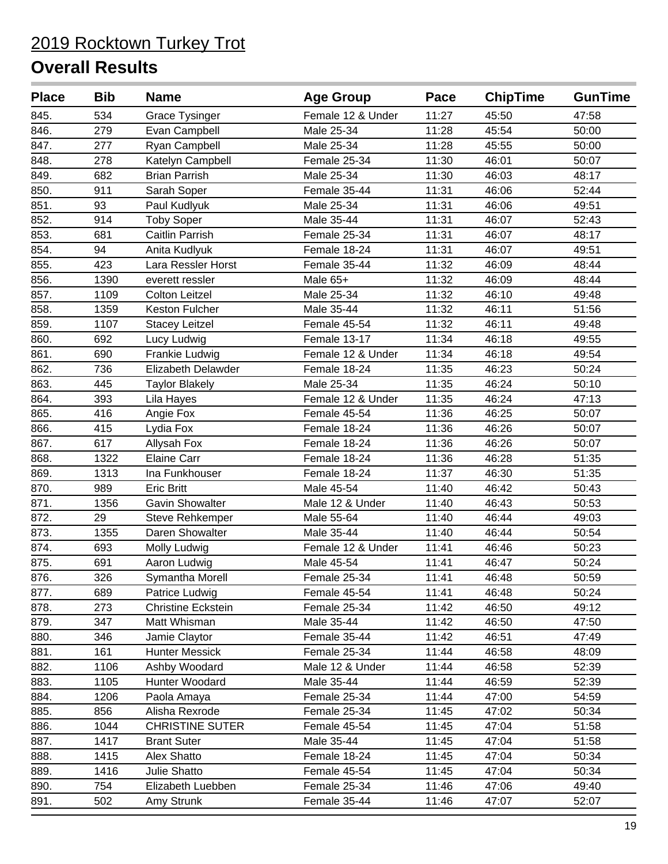| <b>Place</b> | <b>Bib</b> | <b>Name</b>               | <b>Age Group</b>  | Pace  | <b>ChipTime</b> | <b>GunTime</b> |
|--------------|------------|---------------------------|-------------------|-------|-----------------|----------------|
| 845.         | 534        | <b>Grace Tysinger</b>     | Female 12 & Under | 11:27 | 45:50           | 47:58          |
| 846.         | 279        | Evan Campbell             | Male 25-34        | 11:28 | 45:54           | 50:00          |
| 847.         | 277        | Ryan Campbell             | Male 25-34        | 11:28 | 45:55           | 50:00          |
| 848.         | 278        | Katelyn Campbell          | Female 25-34      | 11:30 | 46:01           | 50:07          |
| 849.         | 682        | <b>Brian Parrish</b>      | Male 25-34        | 11:30 | 46:03           | 48:17          |
| 850.         | 911        | Sarah Soper               | Female 35-44      | 11:31 | 46:06           | 52:44          |
| 851.         | 93         | Paul Kudlyuk              | Male 25-34        | 11:31 | 46:06           | 49:51          |
| 852.         | 914        | <b>Toby Soper</b>         | Male 35-44        | 11:31 | 46:07           | 52:43          |
| 853.         | 681        | Caitlin Parrish           | Female 25-34      | 11:31 | 46:07           | 48:17          |
| 854.         | 94         | Anita Kudlyuk             | Female 18-24      | 11:31 | 46:07           | 49:51          |
| 855.         | 423        | Lara Ressler Horst        | Female 35-44      | 11:32 | 46:09           | 48:44          |
| 856.         | 1390       | everett ressler           | Male 65+          | 11:32 | 46:09           | 48:44          |
| 857.         | 1109       | <b>Colton Leitzel</b>     | Male 25-34        | 11:32 | 46:10           | 49:48          |
| 858.         | 1359       | Keston Fulcher            | Male 35-44        | 11:32 | 46:11           | 51:56          |
| 859.         | 1107       | <b>Stacey Leitzel</b>     | Female 45-54      | 11:32 | 46:11           | 49:48          |
| 860.         | 692        | Lucy Ludwig               | Female 13-17      | 11:34 | 46:18           | 49:55          |
| 861.         | 690        | Frankie Ludwig            | Female 12 & Under | 11:34 | 46:18           | 49:54          |
| 862.         | 736        | Elizabeth Delawder        | Female 18-24      | 11:35 | 46:23           | 50:24          |
| 863.         | 445        | <b>Taylor Blakely</b>     | Male 25-34        | 11:35 | 46:24           | 50:10          |
| 864.         | 393        | Lila Hayes                | Female 12 & Under | 11:35 | 46:24           | 47:13          |
| 865.         | 416        | Angie Fox                 | Female 45-54      | 11:36 | 46:25           | 50:07          |
| 866.         | 415        | Lydia Fox                 | Female 18-24      | 11:36 | 46:26           | 50:07          |
| 867.         | 617        | Allysah Fox               | Female 18-24      | 11:36 | 46:26           | 50:07          |
| 868.         | 1322       | <b>Elaine Carr</b>        | Female 18-24      | 11:36 | 46:28           | 51:35          |
| 869.         | 1313       | Ina Funkhouser            | Female 18-24      | 11:37 | 46:30           | 51:35          |
| 870.         | 989        | <b>Eric Britt</b>         | Male 45-54        | 11:40 | 46:42           | 50:43          |
| 871.         | 1356       | <b>Gavin Showalter</b>    | Male 12 & Under   | 11:40 | 46:43           | 50:53          |
| 872.         | 29         | Steve Rehkemper           | Male 55-64        | 11:40 | 46:44           | 49:03          |
| 873.         | 1355       | Daren Showalter           | Male 35-44        | 11:40 | 46:44           | 50:54          |
| 874.         | 693        | Molly Ludwig              | Female 12 & Under | 11:41 | 46:46           | 50:23          |
| 875.         | 691        | Aaron Ludwig              | Male 45-54        | 11:41 | 46:47           | 50:24          |
| 876.         | 326        | Symantha Morell           | Female 25-34      | 11:41 | 46:48           | 50:59          |
| 877.         | 689        | Patrice Ludwig            | Female 45-54      | 11:41 | 46:48           | 50:24          |
| 878.         | 273        | <b>Christine Eckstein</b> | Female 25-34      | 11:42 | 46:50           | 49:12          |
| 879.         | 347        | Matt Whisman              | Male 35-44        | 11:42 | 46:50           | 47:50          |
| 880.         | 346        | Jamie Claytor             | Female 35-44      | 11:42 | 46:51           | 47:49          |
| 881.         | 161        | <b>Hunter Messick</b>     | Female 25-34      | 11:44 | 46:58           | 48:09          |
| 882.         | 1106       | Ashby Woodard             | Male 12 & Under   | 11:44 | 46:58           | 52:39          |
| 883.         | 1105       | Hunter Woodard            | Male 35-44        | 11:44 | 46:59           | 52:39          |
| 884.         | 1206       | Paola Amaya               | Female 25-34      | 11:44 | 47:00           | 54:59          |
| 885.         | 856        | Alisha Rexrode            | Female 25-34      | 11:45 | 47:02           | 50:34          |
| 886.         | 1044       | <b>CHRISTINE SUTER</b>    | Female 45-54      | 11:45 | 47:04           | 51:58          |
| 887.         | 1417       | <b>Brant Suter</b>        | Male 35-44        | 11:45 | 47:04           | 51:58          |
| 888.         | 1415       | Alex Shatto               | Female 18-24      | 11:45 | 47:04           | 50:34          |
| 889.         | 1416       | Julie Shatto              | Female 45-54      | 11:45 | 47:04           | 50:34          |
| 890.         | 754        | Elizabeth Luebben         | Female 25-34      | 11:46 | 47:06           | 49:40          |
| 891.         | 502        | Amy Strunk                | Female 35-44      | 11:46 | 47:07           | 52:07          |
|              |            |                           |                   |       |                 |                |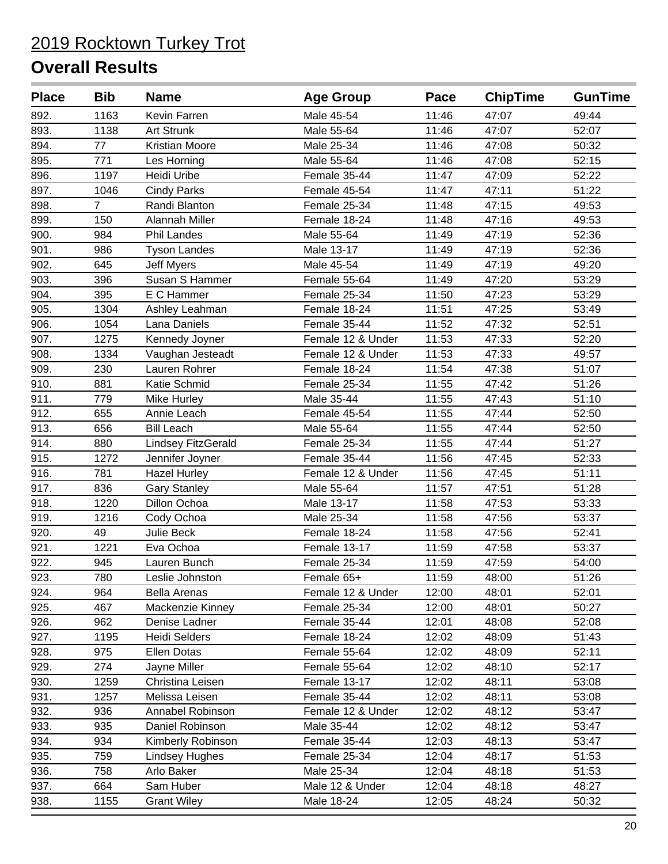| <b>Place</b> | <b>Bib</b>     | <b>Name</b>           | <b>Age Group</b>  | Pace  | <b>ChipTime</b> | <b>GunTime</b> |
|--------------|----------------|-----------------------|-------------------|-------|-----------------|----------------|
| 892.         | 1163           | Kevin Farren          | Male 45-54        | 11:46 | 47:07           | 49:44          |
| 893.         | 1138           | <b>Art Strunk</b>     | Male 55-64        | 11:46 | 47:07           | 52:07          |
| 894.         | 77             | Kristian Moore        | Male 25-34        | 11:46 | 47:08           | 50:32          |
| 895.         | 771            | Les Horning           | Male 55-64        | 11:46 | 47:08           | 52:15          |
| 896.         | 1197           | Heidi Uribe           | Female 35-44      | 11:47 | 47:09           | 52:22          |
| 897.         | 1046           | <b>Cindy Parks</b>    | Female 45-54      | 11:47 | 47:11           | 51:22          |
| 898.         | $\overline{7}$ | Randi Blanton         | Female 25-34      | 11:48 | 47:15           | 49:53          |
| 899.         | 150            | Alannah Miller        | Female 18-24      | 11:48 | 47:16           | 49:53          |
| 900.         | 984            | Phil Landes           | Male 55-64        | 11:49 | 47:19           | 52:36          |
| 901.         | 986            | <b>Tyson Landes</b>   | Male 13-17        | 11:49 | 47:19           | 52:36          |
| 902.         | 645            | <b>Jeff Myers</b>     | Male 45-54        | 11:49 | 47:19           | 49:20          |
| 903.         | 396            | Susan S Hammer        | Female 55-64      | 11:49 | 47:20           | 53:29          |
| 904.         | 395            | E C Hammer            | Female 25-34      | 11:50 | 47:23           | 53:29          |
| 905.         | 1304           | Ashley Leahman        | Female 18-24      | 11:51 | 47:25           | 53:49          |
| 906.         | 1054           | Lana Daniels          | Female 35-44      | 11:52 | 47:32           | 52:51          |
| 907.         | 1275           | Kennedy Joyner        | Female 12 & Under | 11:53 | 47:33           | 52:20          |
| 908.         | 1334           | Vaughan Jesteadt      | Female 12 & Under | 11:53 | 47:33           | 49:57          |
| 909.         | 230            | Lauren Rohrer         | Female 18-24      | 11:54 | 47:38           | 51:07          |
| 910.         | 881            | Katie Schmid          | Female 25-34      | 11:55 | 47:42           | 51:26          |
| 911.         | 779            | Mike Hurley           | Male 35-44        | 11:55 | 47:43           | 51:10          |
| 912.         | 655            | Annie Leach           | Female 45-54      | 11:55 | 47:44           | 52:50          |
| 913.         | 656            | <b>Bill Leach</b>     | Male 55-64        | 11:55 | 47:44           | 52:50          |
| 914.         | 880            | Lindsey FitzGerald    | Female 25-34      | 11:55 | 47:44           | 51:27          |
| 915.         | 1272           | Jennifer Joyner       | Female 35-44      | 11:56 | 47:45           | 52:33          |
| 916.         | 781            | <b>Hazel Hurley</b>   | Female 12 & Under | 11:56 | 47:45           | 51:11          |
| 917.         | 836            | <b>Gary Stanley</b>   | Male 55-64        | 11:57 | 47:51           | 51:28          |
| 918.         | 1220           | Dillon Ochoa          | Male 13-17        | 11:58 | 47:53           | 53:33          |
| 919.         | 1216           | Cody Ochoa            | Male 25-34        | 11:58 | 47:56           | 53:37          |
| 920.         | 49             | Julie Beck            | Female 18-24      | 11:58 | 47:56           | 52:41          |
| 921.         | 1221           | Eva Ochoa             | Female 13-17      | 11:59 | 47:58           | 53:37          |
| 922.         | 945            | Lauren Bunch          | Female 25-34      | 11:59 | 47:59           | 54:00          |
| 923.         | 780            | Leslie Johnston       | Female 65+        | 11:59 | 48:00           | 51:26          |
| 924.         | 964            | Bella Arenas          | Female 12 & Under | 12:00 | 48:01           | 52:01          |
| 925.         | 467            | Mackenzie Kinney      | Female 25-34      | 12:00 | 48:01           | 50:27          |
| 926.         | 962            | Denise Ladner         | Female 35-44      | 12:01 | 48:08           | 52:08          |
| 927.         | 1195           | Heidi Selders         | Female 18-24      | 12:02 | 48:09           | 51:43          |
| 928.         | 975            | <b>Ellen Dotas</b>    | Female 55-64      | 12:02 | 48:09           | 52:11          |
| 929.         | 274            | Jayne Miller          | Female 55-64      | 12:02 | 48:10           | 52:17          |
| 930.         | 1259           | Christina Leisen      | Female 13-17      | 12:02 | 48:11           | 53:08          |
| 931.         | 1257           | Melissa Leisen        | Female 35-44      | 12:02 | 48:11           | 53:08          |
| 932.         | 936            | Annabel Robinson      | Female 12 & Under | 12:02 | 48:12           | 53:47          |
| 933.         | 935            | Daniel Robinson       | Male 35-44        | 12:02 | 48:12           | 53:47          |
| 934.         | 934            | Kimberly Robinson     | Female 35-44      | 12:03 | 48:13           | 53:47          |
| 935.         | 759            | <b>Lindsey Hughes</b> | Female 25-34      | 12:04 | 48:17           | 51:53          |
| 936.         | 758            | Arlo Baker            | Male 25-34        | 12:04 | 48:18           | 51:53          |
| 937.         | 664            | Sam Huber             | Male 12 & Under   | 12:04 | 48:18           | 48:27          |
| 938.         | 1155           | <b>Grant Wiley</b>    | Male 18-24        | 12:05 | 48:24           | 50:32          |
|              |                |                       |                   |       |                 |                |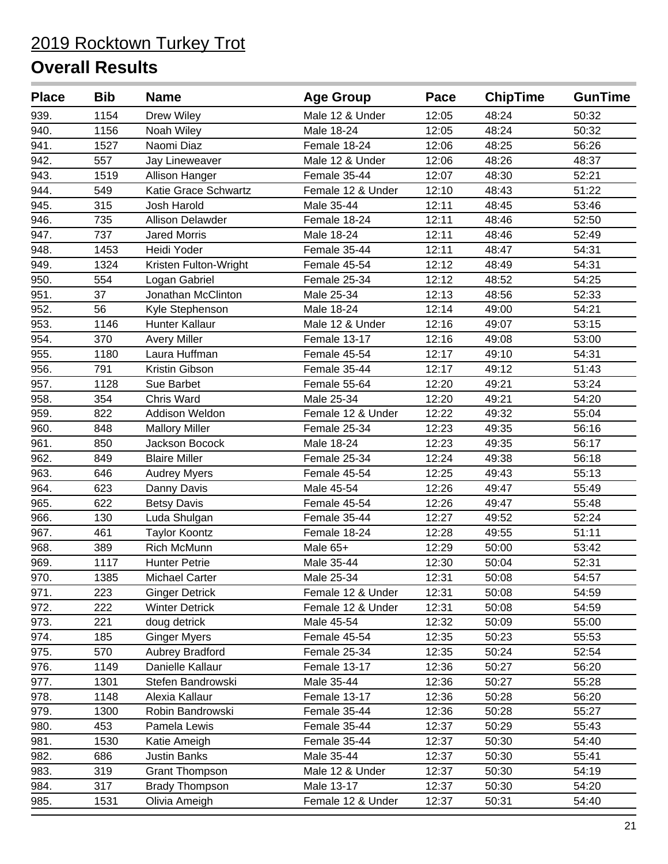| 939.<br>1154<br>Drew Wiley<br>Male 12 & Under<br>12:05<br>48:24<br>50:32<br>940.<br>48:24<br>1156<br>Noah Wiley<br>Male 18-24<br>12:05<br>50:32<br>941.<br>1527<br>Naomi Diaz<br>Female 18-24<br>48:25<br>56:26<br>12:06<br>942.<br>557<br>Male 12 & Under<br>12:06<br>48:26<br>48:37<br>Jay Lineweaver<br>943.<br>1519<br>Female 35-44<br>48:30<br>52:21<br>Allison Hanger<br>12:07<br>944.<br>549<br>Katie Grace Schwartz<br>Female 12 & Under<br>12:10<br>48:43<br>51:22<br>945.<br>315<br>Josh Harold<br>Male 35-44<br>12:11<br>48:45<br>53:46<br>946.<br>735<br><b>Allison Delawder</b><br>Female 18-24<br>12:11<br>48:46<br>52:50<br>947.<br>737<br><b>Jared Morris</b><br>Male 18-24<br>12:11<br>48:46<br>52:49<br>948.<br>1453<br>Heidi Yoder<br>Female 35-44<br>12:11<br>48:47<br>54:31<br>949.<br>1324<br>Kristen Fulton-Wright<br>Female 45-54<br>12:12<br>48:49<br>54:31<br>950.<br>554<br>Female 25-34<br>12:12<br>48:52<br>54:25<br>Logan Gabriel<br>951.<br>37<br>12:13<br>48:56<br>Jonathan McClinton<br>Male 25-34<br>52:33<br>952.<br>54:21<br>56<br>Male 18-24<br>12:14<br>49:00<br>Kyle Stephenson<br>953.<br>1146<br>Hunter Kallaur<br>Male 12 & Under<br>12:16<br>49:07<br>53:15<br>954.<br>370<br>Female 13-17<br><b>Avery Miller</b><br>12:16<br>49:08<br>53:00<br>955.<br>1180<br>49:10<br>Laura Huffman<br>Female 45-54<br>12:17<br>54:31<br>956.<br>791<br>Kristin Gibson<br>Female 35-44<br>12:17<br>49:12<br>51:43<br>957.<br>1128<br>Sue Barbet<br>Female 55-64<br>12:20<br>49:21<br>53:24<br>958.<br>354<br><b>Chris Ward</b><br>Male 25-34<br>12:20<br>49:21<br>54:20<br>959.<br>822<br>Addison Weldon<br>12:22<br>49:32<br>55:04<br>Female 12 & Under<br>960.<br>848<br>Female 25-34<br>12:23<br>49:35<br>56:16<br><b>Mallory Miller</b><br>961.<br>850<br><b>Jackson Bocock</b><br>Male 18-24<br>12:23<br>49:35<br>56:17<br>962.<br>849<br><b>Blaire Miller</b><br>Female 25-34<br>12:24<br>49:38<br>56:18<br>963.<br>646<br>12:25<br>49:43<br>55:13<br>Female 45-54<br><b>Audrey Myers</b><br>964.<br>623<br>Male 45-54<br>12:26<br>49:47<br>55:49<br>Danny Davis<br>965.<br>622<br><b>Betsy Davis</b><br>Female 45-54<br>12:26<br>49:47<br>55:48<br>966.<br>130<br>Female 35-44<br>12:27<br>49:52<br>52:24<br>Luda Shulgan<br>967.<br>461<br><b>Taylor Koontz</b><br>Female 18-24<br>12:28<br>49:55<br>51:11<br>968.<br>Rich McMunn<br>Male 65+<br>389<br>12:29<br>50:00<br>53:42<br>969.<br>Male 35-44<br>1117<br><b>Hunter Petrie</b><br>12:30<br>50:04<br>52:31<br>1385<br>970.<br>Male 25-34<br>12:31<br>50:08<br>54:57<br>Michael Carter<br>971.<br><b>Ginger Detrick</b><br>Female 12 & Under<br>12:31<br>50:08<br>54:59<br>223<br>972.<br>222<br><b>Winter Detrick</b><br>Female 12 & Under<br>12:31<br>50:08<br>54:59<br>973.<br>doug detrick<br>12:32<br>221<br>Male 45-54<br>50:09<br>55:00<br>974.<br>185<br><b>Ginger Myers</b><br>12:35<br>50:23<br>55:53<br>Female 45-54<br>975.<br>570<br><b>Aubrey Bradford</b><br>52:54<br>Female 25-34<br>12:35<br>50:24<br>Danielle Kallaur<br>976.<br>1149<br>Female 13-17<br>12:36<br>50:27<br>56:20<br>12:36<br>977.<br>1301<br>Stefen Bandrowski<br>Male 35-44<br>50:27<br>55:28<br>978.<br>12:36<br>1148<br>Alexia Kallaur<br>Female 13-17<br>50:28<br>56:20<br>979.<br>Female 35-44<br>12:36<br>50:28<br>55:27<br>1300<br>Robin Bandrowski<br>980.<br>453<br>Female 35-44<br>50:29<br>Pamela Lewis<br>12:37<br>55:43<br>981.<br>1530<br>Female 35-44<br>12:37<br>50:30<br>54:40<br>Katie Ameigh<br>982.<br>686<br><b>Justin Banks</b><br>Male 35-44<br>50:30<br>12:37<br>55:41<br>983.<br>319<br>Male 12 & Under<br>12:37<br>50:30<br>54:19<br><b>Grant Thompson</b><br>984.<br>317<br><b>Brady Thompson</b><br>Male 13-17<br>12:37<br>50:30<br>54:20<br>Female 12 & Under<br>985.<br>1531<br>Olivia Ameigh<br>12:37<br>50:31<br>54:40 | <b>Place</b> | <b>Bib</b> | <b>Name</b> | <b>Age Group</b> | Pace | <b>ChipTime</b> | <b>GunTime</b> |
|-------------------------------------------------------------------------------------------------------------------------------------------------------------------------------------------------------------------------------------------------------------------------------------------------------------------------------------------------------------------------------------------------------------------------------------------------------------------------------------------------------------------------------------------------------------------------------------------------------------------------------------------------------------------------------------------------------------------------------------------------------------------------------------------------------------------------------------------------------------------------------------------------------------------------------------------------------------------------------------------------------------------------------------------------------------------------------------------------------------------------------------------------------------------------------------------------------------------------------------------------------------------------------------------------------------------------------------------------------------------------------------------------------------------------------------------------------------------------------------------------------------------------------------------------------------------------------------------------------------------------------------------------------------------------------------------------------------------------------------------------------------------------------------------------------------------------------------------------------------------------------------------------------------------------------------------------------------------------------------------------------------------------------------------------------------------------------------------------------------------------------------------------------------------------------------------------------------------------------------------------------------------------------------------------------------------------------------------------------------------------------------------------------------------------------------------------------------------------------------------------------------------------------------------------------------------------------------------------------------------------------------------------------------------------------------------------------------------------------------------------------------------------------------------------------------------------------------------------------------------------------------------------------------------------------------------------------------------------------------------------------------------------------------------------------------------------------------------------------------------------------------------------------------------------------------------------------------------------------------------------------------------------------------------------------------------------------------------------------------------------------------------------------------------------------------------------------------------------------------------------------------------------------------------------------------------------------------------------------------------------------------------------------------------------------------------------------------------------------------------------------------------------------------------------------------------------------------|--------------|------------|-------------|------------------|------|-----------------|----------------|
|                                                                                                                                                                                                                                                                                                                                                                                                                                                                                                                                                                                                                                                                                                                                                                                                                                                                                                                                                                                                                                                                                                                                                                                                                                                                                                                                                                                                                                                                                                                                                                                                                                                                                                                                                                                                                                                                                                                                                                                                                                                                                                                                                                                                                                                                                                                                                                                                                                                                                                                                                                                                                                                                                                                                                                                                                                                                                                                                                                                                                                                                                                                                                                                                                                                                                                                                                                                                                                                                                                                                                                                                                                                                                                                                                                                                                                     |              |            |             |                  |      |                 |                |
|                                                                                                                                                                                                                                                                                                                                                                                                                                                                                                                                                                                                                                                                                                                                                                                                                                                                                                                                                                                                                                                                                                                                                                                                                                                                                                                                                                                                                                                                                                                                                                                                                                                                                                                                                                                                                                                                                                                                                                                                                                                                                                                                                                                                                                                                                                                                                                                                                                                                                                                                                                                                                                                                                                                                                                                                                                                                                                                                                                                                                                                                                                                                                                                                                                                                                                                                                                                                                                                                                                                                                                                                                                                                                                                                                                                                                                     |              |            |             |                  |      |                 |                |
|                                                                                                                                                                                                                                                                                                                                                                                                                                                                                                                                                                                                                                                                                                                                                                                                                                                                                                                                                                                                                                                                                                                                                                                                                                                                                                                                                                                                                                                                                                                                                                                                                                                                                                                                                                                                                                                                                                                                                                                                                                                                                                                                                                                                                                                                                                                                                                                                                                                                                                                                                                                                                                                                                                                                                                                                                                                                                                                                                                                                                                                                                                                                                                                                                                                                                                                                                                                                                                                                                                                                                                                                                                                                                                                                                                                                                                     |              |            |             |                  |      |                 |                |
|                                                                                                                                                                                                                                                                                                                                                                                                                                                                                                                                                                                                                                                                                                                                                                                                                                                                                                                                                                                                                                                                                                                                                                                                                                                                                                                                                                                                                                                                                                                                                                                                                                                                                                                                                                                                                                                                                                                                                                                                                                                                                                                                                                                                                                                                                                                                                                                                                                                                                                                                                                                                                                                                                                                                                                                                                                                                                                                                                                                                                                                                                                                                                                                                                                                                                                                                                                                                                                                                                                                                                                                                                                                                                                                                                                                                                                     |              |            |             |                  |      |                 |                |
|                                                                                                                                                                                                                                                                                                                                                                                                                                                                                                                                                                                                                                                                                                                                                                                                                                                                                                                                                                                                                                                                                                                                                                                                                                                                                                                                                                                                                                                                                                                                                                                                                                                                                                                                                                                                                                                                                                                                                                                                                                                                                                                                                                                                                                                                                                                                                                                                                                                                                                                                                                                                                                                                                                                                                                                                                                                                                                                                                                                                                                                                                                                                                                                                                                                                                                                                                                                                                                                                                                                                                                                                                                                                                                                                                                                                                                     |              |            |             |                  |      |                 |                |
|                                                                                                                                                                                                                                                                                                                                                                                                                                                                                                                                                                                                                                                                                                                                                                                                                                                                                                                                                                                                                                                                                                                                                                                                                                                                                                                                                                                                                                                                                                                                                                                                                                                                                                                                                                                                                                                                                                                                                                                                                                                                                                                                                                                                                                                                                                                                                                                                                                                                                                                                                                                                                                                                                                                                                                                                                                                                                                                                                                                                                                                                                                                                                                                                                                                                                                                                                                                                                                                                                                                                                                                                                                                                                                                                                                                                                                     |              |            |             |                  |      |                 |                |
|                                                                                                                                                                                                                                                                                                                                                                                                                                                                                                                                                                                                                                                                                                                                                                                                                                                                                                                                                                                                                                                                                                                                                                                                                                                                                                                                                                                                                                                                                                                                                                                                                                                                                                                                                                                                                                                                                                                                                                                                                                                                                                                                                                                                                                                                                                                                                                                                                                                                                                                                                                                                                                                                                                                                                                                                                                                                                                                                                                                                                                                                                                                                                                                                                                                                                                                                                                                                                                                                                                                                                                                                                                                                                                                                                                                                                                     |              |            |             |                  |      |                 |                |
|                                                                                                                                                                                                                                                                                                                                                                                                                                                                                                                                                                                                                                                                                                                                                                                                                                                                                                                                                                                                                                                                                                                                                                                                                                                                                                                                                                                                                                                                                                                                                                                                                                                                                                                                                                                                                                                                                                                                                                                                                                                                                                                                                                                                                                                                                                                                                                                                                                                                                                                                                                                                                                                                                                                                                                                                                                                                                                                                                                                                                                                                                                                                                                                                                                                                                                                                                                                                                                                                                                                                                                                                                                                                                                                                                                                                                                     |              |            |             |                  |      |                 |                |
|                                                                                                                                                                                                                                                                                                                                                                                                                                                                                                                                                                                                                                                                                                                                                                                                                                                                                                                                                                                                                                                                                                                                                                                                                                                                                                                                                                                                                                                                                                                                                                                                                                                                                                                                                                                                                                                                                                                                                                                                                                                                                                                                                                                                                                                                                                                                                                                                                                                                                                                                                                                                                                                                                                                                                                                                                                                                                                                                                                                                                                                                                                                                                                                                                                                                                                                                                                                                                                                                                                                                                                                                                                                                                                                                                                                                                                     |              |            |             |                  |      |                 |                |
|                                                                                                                                                                                                                                                                                                                                                                                                                                                                                                                                                                                                                                                                                                                                                                                                                                                                                                                                                                                                                                                                                                                                                                                                                                                                                                                                                                                                                                                                                                                                                                                                                                                                                                                                                                                                                                                                                                                                                                                                                                                                                                                                                                                                                                                                                                                                                                                                                                                                                                                                                                                                                                                                                                                                                                                                                                                                                                                                                                                                                                                                                                                                                                                                                                                                                                                                                                                                                                                                                                                                                                                                                                                                                                                                                                                                                                     |              |            |             |                  |      |                 |                |
|                                                                                                                                                                                                                                                                                                                                                                                                                                                                                                                                                                                                                                                                                                                                                                                                                                                                                                                                                                                                                                                                                                                                                                                                                                                                                                                                                                                                                                                                                                                                                                                                                                                                                                                                                                                                                                                                                                                                                                                                                                                                                                                                                                                                                                                                                                                                                                                                                                                                                                                                                                                                                                                                                                                                                                                                                                                                                                                                                                                                                                                                                                                                                                                                                                                                                                                                                                                                                                                                                                                                                                                                                                                                                                                                                                                                                                     |              |            |             |                  |      |                 |                |
|                                                                                                                                                                                                                                                                                                                                                                                                                                                                                                                                                                                                                                                                                                                                                                                                                                                                                                                                                                                                                                                                                                                                                                                                                                                                                                                                                                                                                                                                                                                                                                                                                                                                                                                                                                                                                                                                                                                                                                                                                                                                                                                                                                                                                                                                                                                                                                                                                                                                                                                                                                                                                                                                                                                                                                                                                                                                                                                                                                                                                                                                                                                                                                                                                                                                                                                                                                                                                                                                                                                                                                                                                                                                                                                                                                                                                                     |              |            |             |                  |      |                 |                |
|                                                                                                                                                                                                                                                                                                                                                                                                                                                                                                                                                                                                                                                                                                                                                                                                                                                                                                                                                                                                                                                                                                                                                                                                                                                                                                                                                                                                                                                                                                                                                                                                                                                                                                                                                                                                                                                                                                                                                                                                                                                                                                                                                                                                                                                                                                                                                                                                                                                                                                                                                                                                                                                                                                                                                                                                                                                                                                                                                                                                                                                                                                                                                                                                                                                                                                                                                                                                                                                                                                                                                                                                                                                                                                                                                                                                                                     |              |            |             |                  |      |                 |                |
|                                                                                                                                                                                                                                                                                                                                                                                                                                                                                                                                                                                                                                                                                                                                                                                                                                                                                                                                                                                                                                                                                                                                                                                                                                                                                                                                                                                                                                                                                                                                                                                                                                                                                                                                                                                                                                                                                                                                                                                                                                                                                                                                                                                                                                                                                                                                                                                                                                                                                                                                                                                                                                                                                                                                                                                                                                                                                                                                                                                                                                                                                                                                                                                                                                                                                                                                                                                                                                                                                                                                                                                                                                                                                                                                                                                                                                     |              |            |             |                  |      |                 |                |
|                                                                                                                                                                                                                                                                                                                                                                                                                                                                                                                                                                                                                                                                                                                                                                                                                                                                                                                                                                                                                                                                                                                                                                                                                                                                                                                                                                                                                                                                                                                                                                                                                                                                                                                                                                                                                                                                                                                                                                                                                                                                                                                                                                                                                                                                                                                                                                                                                                                                                                                                                                                                                                                                                                                                                                                                                                                                                                                                                                                                                                                                                                                                                                                                                                                                                                                                                                                                                                                                                                                                                                                                                                                                                                                                                                                                                                     |              |            |             |                  |      |                 |                |
|                                                                                                                                                                                                                                                                                                                                                                                                                                                                                                                                                                                                                                                                                                                                                                                                                                                                                                                                                                                                                                                                                                                                                                                                                                                                                                                                                                                                                                                                                                                                                                                                                                                                                                                                                                                                                                                                                                                                                                                                                                                                                                                                                                                                                                                                                                                                                                                                                                                                                                                                                                                                                                                                                                                                                                                                                                                                                                                                                                                                                                                                                                                                                                                                                                                                                                                                                                                                                                                                                                                                                                                                                                                                                                                                                                                                                                     |              |            |             |                  |      |                 |                |
|                                                                                                                                                                                                                                                                                                                                                                                                                                                                                                                                                                                                                                                                                                                                                                                                                                                                                                                                                                                                                                                                                                                                                                                                                                                                                                                                                                                                                                                                                                                                                                                                                                                                                                                                                                                                                                                                                                                                                                                                                                                                                                                                                                                                                                                                                                                                                                                                                                                                                                                                                                                                                                                                                                                                                                                                                                                                                                                                                                                                                                                                                                                                                                                                                                                                                                                                                                                                                                                                                                                                                                                                                                                                                                                                                                                                                                     |              |            |             |                  |      |                 |                |
|                                                                                                                                                                                                                                                                                                                                                                                                                                                                                                                                                                                                                                                                                                                                                                                                                                                                                                                                                                                                                                                                                                                                                                                                                                                                                                                                                                                                                                                                                                                                                                                                                                                                                                                                                                                                                                                                                                                                                                                                                                                                                                                                                                                                                                                                                                                                                                                                                                                                                                                                                                                                                                                                                                                                                                                                                                                                                                                                                                                                                                                                                                                                                                                                                                                                                                                                                                                                                                                                                                                                                                                                                                                                                                                                                                                                                                     |              |            |             |                  |      |                 |                |
|                                                                                                                                                                                                                                                                                                                                                                                                                                                                                                                                                                                                                                                                                                                                                                                                                                                                                                                                                                                                                                                                                                                                                                                                                                                                                                                                                                                                                                                                                                                                                                                                                                                                                                                                                                                                                                                                                                                                                                                                                                                                                                                                                                                                                                                                                                                                                                                                                                                                                                                                                                                                                                                                                                                                                                                                                                                                                                                                                                                                                                                                                                                                                                                                                                                                                                                                                                                                                                                                                                                                                                                                                                                                                                                                                                                                                                     |              |            |             |                  |      |                 |                |
|                                                                                                                                                                                                                                                                                                                                                                                                                                                                                                                                                                                                                                                                                                                                                                                                                                                                                                                                                                                                                                                                                                                                                                                                                                                                                                                                                                                                                                                                                                                                                                                                                                                                                                                                                                                                                                                                                                                                                                                                                                                                                                                                                                                                                                                                                                                                                                                                                                                                                                                                                                                                                                                                                                                                                                                                                                                                                                                                                                                                                                                                                                                                                                                                                                                                                                                                                                                                                                                                                                                                                                                                                                                                                                                                                                                                                                     |              |            |             |                  |      |                 |                |
|                                                                                                                                                                                                                                                                                                                                                                                                                                                                                                                                                                                                                                                                                                                                                                                                                                                                                                                                                                                                                                                                                                                                                                                                                                                                                                                                                                                                                                                                                                                                                                                                                                                                                                                                                                                                                                                                                                                                                                                                                                                                                                                                                                                                                                                                                                                                                                                                                                                                                                                                                                                                                                                                                                                                                                                                                                                                                                                                                                                                                                                                                                                                                                                                                                                                                                                                                                                                                                                                                                                                                                                                                                                                                                                                                                                                                                     |              |            |             |                  |      |                 |                |
|                                                                                                                                                                                                                                                                                                                                                                                                                                                                                                                                                                                                                                                                                                                                                                                                                                                                                                                                                                                                                                                                                                                                                                                                                                                                                                                                                                                                                                                                                                                                                                                                                                                                                                                                                                                                                                                                                                                                                                                                                                                                                                                                                                                                                                                                                                                                                                                                                                                                                                                                                                                                                                                                                                                                                                                                                                                                                                                                                                                                                                                                                                                                                                                                                                                                                                                                                                                                                                                                                                                                                                                                                                                                                                                                                                                                                                     |              |            |             |                  |      |                 |                |
|                                                                                                                                                                                                                                                                                                                                                                                                                                                                                                                                                                                                                                                                                                                                                                                                                                                                                                                                                                                                                                                                                                                                                                                                                                                                                                                                                                                                                                                                                                                                                                                                                                                                                                                                                                                                                                                                                                                                                                                                                                                                                                                                                                                                                                                                                                                                                                                                                                                                                                                                                                                                                                                                                                                                                                                                                                                                                                                                                                                                                                                                                                                                                                                                                                                                                                                                                                                                                                                                                                                                                                                                                                                                                                                                                                                                                                     |              |            |             |                  |      |                 |                |
|                                                                                                                                                                                                                                                                                                                                                                                                                                                                                                                                                                                                                                                                                                                                                                                                                                                                                                                                                                                                                                                                                                                                                                                                                                                                                                                                                                                                                                                                                                                                                                                                                                                                                                                                                                                                                                                                                                                                                                                                                                                                                                                                                                                                                                                                                                                                                                                                                                                                                                                                                                                                                                                                                                                                                                                                                                                                                                                                                                                                                                                                                                                                                                                                                                                                                                                                                                                                                                                                                                                                                                                                                                                                                                                                                                                                                                     |              |            |             |                  |      |                 |                |
|                                                                                                                                                                                                                                                                                                                                                                                                                                                                                                                                                                                                                                                                                                                                                                                                                                                                                                                                                                                                                                                                                                                                                                                                                                                                                                                                                                                                                                                                                                                                                                                                                                                                                                                                                                                                                                                                                                                                                                                                                                                                                                                                                                                                                                                                                                                                                                                                                                                                                                                                                                                                                                                                                                                                                                                                                                                                                                                                                                                                                                                                                                                                                                                                                                                                                                                                                                                                                                                                                                                                                                                                                                                                                                                                                                                                                                     |              |            |             |                  |      |                 |                |
|                                                                                                                                                                                                                                                                                                                                                                                                                                                                                                                                                                                                                                                                                                                                                                                                                                                                                                                                                                                                                                                                                                                                                                                                                                                                                                                                                                                                                                                                                                                                                                                                                                                                                                                                                                                                                                                                                                                                                                                                                                                                                                                                                                                                                                                                                                                                                                                                                                                                                                                                                                                                                                                                                                                                                                                                                                                                                                                                                                                                                                                                                                                                                                                                                                                                                                                                                                                                                                                                                                                                                                                                                                                                                                                                                                                                                                     |              |            |             |                  |      |                 |                |
|                                                                                                                                                                                                                                                                                                                                                                                                                                                                                                                                                                                                                                                                                                                                                                                                                                                                                                                                                                                                                                                                                                                                                                                                                                                                                                                                                                                                                                                                                                                                                                                                                                                                                                                                                                                                                                                                                                                                                                                                                                                                                                                                                                                                                                                                                                                                                                                                                                                                                                                                                                                                                                                                                                                                                                                                                                                                                                                                                                                                                                                                                                                                                                                                                                                                                                                                                                                                                                                                                                                                                                                                                                                                                                                                                                                                                                     |              |            |             |                  |      |                 |                |
|                                                                                                                                                                                                                                                                                                                                                                                                                                                                                                                                                                                                                                                                                                                                                                                                                                                                                                                                                                                                                                                                                                                                                                                                                                                                                                                                                                                                                                                                                                                                                                                                                                                                                                                                                                                                                                                                                                                                                                                                                                                                                                                                                                                                                                                                                                                                                                                                                                                                                                                                                                                                                                                                                                                                                                                                                                                                                                                                                                                                                                                                                                                                                                                                                                                                                                                                                                                                                                                                                                                                                                                                                                                                                                                                                                                                                                     |              |            |             |                  |      |                 |                |
|                                                                                                                                                                                                                                                                                                                                                                                                                                                                                                                                                                                                                                                                                                                                                                                                                                                                                                                                                                                                                                                                                                                                                                                                                                                                                                                                                                                                                                                                                                                                                                                                                                                                                                                                                                                                                                                                                                                                                                                                                                                                                                                                                                                                                                                                                                                                                                                                                                                                                                                                                                                                                                                                                                                                                                                                                                                                                                                                                                                                                                                                                                                                                                                                                                                                                                                                                                                                                                                                                                                                                                                                                                                                                                                                                                                                                                     |              |            |             |                  |      |                 |                |
|                                                                                                                                                                                                                                                                                                                                                                                                                                                                                                                                                                                                                                                                                                                                                                                                                                                                                                                                                                                                                                                                                                                                                                                                                                                                                                                                                                                                                                                                                                                                                                                                                                                                                                                                                                                                                                                                                                                                                                                                                                                                                                                                                                                                                                                                                                                                                                                                                                                                                                                                                                                                                                                                                                                                                                                                                                                                                                                                                                                                                                                                                                                                                                                                                                                                                                                                                                                                                                                                                                                                                                                                                                                                                                                                                                                                                                     |              |            |             |                  |      |                 |                |
|                                                                                                                                                                                                                                                                                                                                                                                                                                                                                                                                                                                                                                                                                                                                                                                                                                                                                                                                                                                                                                                                                                                                                                                                                                                                                                                                                                                                                                                                                                                                                                                                                                                                                                                                                                                                                                                                                                                                                                                                                                                                                                                                                                                                                                                                                                                                                                                                                                                                                                                                                                                                                                                                                                                                                                                                                                                                                                                                                                                                                                                                                                                                                                                                                                                                                                                                                                                                                                                                                                                                                                                                                                                                                                                                                                                                                                     |              |            |             |                  |      |                 |                |
|                                                                                                                                                                                                                                                                                                                                                                                                                                                                                                                                                                                                                                                                                                                                                                                                                                                                                                                                                                                                                                                                                                                                                                                                                                                                                                                                                                                                                                                                                                                                                                                                                                                                                                                                                                                                                                                                                                                                                                                                                                                                                                                                                                                                                                                                                                                                                                                                                                                                                                                                                                                                                                                                                                                                                                                                                                                                                                                                                                                                                                                                                                                                                                                                                                                                                                                                                                                                                                                                                                                                                                                                                                                                                                                                                                                                                                     |              |            |             |                  |      |                 |                |
|                                                                                                                                                                                                                                                                                                                                                                                                                                                                                                                                                                                                                                                                                                                                                                                                                                                                                                                                                                                                                                                                                                                                                                                                                                                                                                                                                                                                                                                                                                                                                                                                                                                                                                                                                                                                                                                                                                                                                                                                                                                                                                                                                                                                                                                                                                                                                                                                                                                                                                                                                                                                                                                                                                                                                                                                                                                                                                                                                                                                                                                                                                                                                                                                                                                                                                                                                                                                                                                                                                                                                                                                                                                                                                                                                                                                                                     |              |            |             |                  |      |                 |                |
|                                                                                                                                                                                                                                                                                                                                                                                                                                                                                                                                                                                                                                                                                                                                                                                                                                                                                                                                                                                                                                                                                                                                                                                                                                                                                                                                                                                                                                                                                                                                                                                                                                                                                                                                                                                                                                                                                                                                                                                                                                                                                                                                                                                                                                                                                                                                                                                                                                                                                                                                                                                                                                                                                                                                                                                                                                                                                                                                                                                                                                                                                                                                                                                                                                                                                                                                                                                                                                                                                                                                                                                                                                                                                                                                                                                                                                     |              |            |             |                  |      |                 |                |
|                                                                                                                                                                                                                                                                                                                                                                                                                                                                                                                                                                                                                                                                                                                                                                                                                                                                                                                                                                                                                                                                                                                                                                                                                                                                                                                                                                                                                                                                                                                                                                                                                                                                                                                                                                                                                                                                                                                                                                                                                                                                                                                                                                                                                                                                                                                                                                                                                                                                                                                                                                                                                                                                                                                                                                                                                                                                                                                                                                                                                                                                                                                                                                                                                                                                                                                                                                                                                                                                                                                                                                                                                                                                                                                                                                                                                                     |              |            |             |                  |      |                 |                |
|                                                                                                                                                                                                                                                                                                                                                                                                                                                                                                                                                                                                                                                                                                                                                                                                                                                                                                                                                                                                                                                                                                                                                                                                                                                                                                                                                                                                                                                                                                                                                                                                                                                                                                                                                                                                                                                                                                                                                                                                                                                                                                                                                                                                                                                                                                                                                                                                                                                                                                                                                                                                                                                                                                                                                                                                                                                                                                                                                                                                                                                                                                                                                                                                                                                                                                                                                                                                                                                                                                                                                                                                                                                                                                                                                                                                                                     |              |            |             |                  |      |                 |                |
|                                                                                                                                                                                                                                                                                                                                                                                                                                                                                                                                                                                                                                                                                                                                                                                                                                                                                                                                                                                                                                                                                                                                                                                                                                                                                                                                                                                                                                                                                                                                                                                                                                                                                                                                                                                                                                                                                                                                                                                                                                                                                                                                                                                                                                                                                                                                                                                                                                                                                                                                                                                                                                                                                                                                                                                                                                                                                                                                                                                                                                                                                                                                                                                                                                                                                                                                                                                                                                                                                                                                                                                                                                                                                                                                                                                                                                     |              |            |             |                  |      |                 |                |
|                                                                                                                                                                                                                                                                                                                                                                                                                                                                                                                                                                                                                                                                                                                                                                                                                                                                                                                                                                                                                                                                                                                                                                                                                                                                                                                                                                                                                                                                                                                                                                                                                                                                                                                                                                                                                                                                                                                                                                                                                                                                                                                                                                                                                                                                                                                                                                                                                                                                                                                                                                                                                                                                                                                                                                                                                                                                                                                                                                                                                                                                                                                                                                                                                                                                                                                                                                                                                                                                                                                                                                                                                                                                                                                                                                                                                                     |              |            |             |                  |      |                 |                |
|                                                                                                                                                                                                                                                                                                                                                                                                                                                                                                                                                                                                                                                                                                                                                                                                                                                                                                                                                                                                                                                                                                                                                                                                                                                                                                                                                                                                                                                                                                                                                                                                                                                                                                                                                                                                                                                                                                                                                                                                                                                                                                                                                                                                                                                                                                                                                                                                                                                                                                                                                                                                                                                                                                                                                                                                                                                                                                                                                                                                                                                                                                                                                                                                                                                                                                                                                                                                                                                                                                                                                                                                                                                                                                                                                                                                                                     |              |            |             |                  |      |                 |                |
|                                                                                                                                                                                                                                                                                                                                                                                                                                                                                                                                                                                                                                                                                                                                                                                                                                                                                                                                                                                                                                                                                                                                                                                                                                                                                                                                                                                                                                                                                                                                                                                                                                                                                                                                                                                                                                                                                                                                                                                                                                                                                                                                                                                                                                                                                                                                                                                                                                                                                                                                                                                                                                                                                                                                                                                                                                                                                                                                                                                                                                                                                                                                                                                                                                                                                                                                                                                                                                                                                                                                                                                                                                                                                                                                                                                                                                     |              |            |             |                  |      |                 |                |
|                                                                                                                                                                                                                                                                                                                                                                                                                                                                                                                                                                                                                                                                                                                                                                                                                                                                                                                                                                                                                                                                                                                                                                                                                                                                                                                                                                                                                                                                                                                                                                                                                                                                                                                                                                                                                                                                                                                                                                                                                                                                                                                                                                                                                                                                                                                                                                                                                                                                                                                                                                                                                                                                                                                                                                                                                                                                                                                                                                                                                                                                                                                                                                                                                                                                                                                                                                                                                                                                                                                                                                                                                                                                                                                                                                                                                                     |              |            |             |                  |      |                 |                |
|                                                                                                                                                                                                                                                                                                                                                                                                                                                                                                                                                                                                                                                                                                                                                                                                                                                                                                                                                                                                                                                                                                                                                                                                                                                                                                                                                                                                                                                                                                                                                                                                                                                                                                                                                                                                                                                                                                                                                                                                                                                                                                                                                                                                                                                                                                                                                                                                                                                                                                                                                                                                                                                                                                                                                                                                                                                                                                                                                                                                                                                                                                                                                                                                                                                                                                                                                                                                                                                                                                                                                                                                                                                                                                                                                                                                                                     |              |            |             |                  |      |                 |                |
|                                                                                                                                                                                                                                                                                                                                                                                                                                                                                                                                                                                                                                                                                                                                                                                                                                                                                                                                                                                                                                                                                                                                                                                                                                                                                                                                                                                                                                                                                                                                                                                                                                                                                                                                                                                                                                                                                                                                                                                                                                                                                                                                                                                                                                                                                                                                                                                                                                                                                                                                                                                                                                                                                                                                                                                                                                                                                                                                                                                                                                                                                                                                                                                                                                                                                                                                                                                                                                                                                                                                                                                                                                                                                                                                                                                                                                     |              |            |             |                  |      |                 |                |
|                                                                                                                                                                                                                                                                                                                                                                                                                                                                                                                                                                                                                                                                                                                                                                                                                                                                                                                                                                                                                                                                                                                                                                                                                                                                                                                                                                                                                                                                                                                                                                                                                                                                                                                                                                                                                                                                                                                                                                                                                                                                                                                                                                                                                                                                                                                                                                                                                                                                                                                                                                                                                                                                                                                                                                                                                                                                                                                                                                                                                                                                                                                                                                                                                                                                                                                                                                                                                                                                                                                                                                                                                                                                                                                                                                                                                                     |              |            |             |                  |      |                 |                |
|                                                                                                                                                                                                                                                                                                                                                                                                                                                                                                                                                                                                                                                                                                                                                                                                                                                                                                                                                                                                                                                                                                                                                                                                                                                                                                                                                                                                                                                                                                                                                                                                                                                                                                                                                                                                                                                                                                                                                                                                                                                                                                                                                                                                                                                                                                                                                                                                                                                                                                                                                                                                                                                                                                                                                                                                                                                                                                                                                                                                                                                                                                                                                                                                                                                                                                                                                                                                                                                                                                                                                                                                                                                                                                                                                                                                                                     |              |            |             |                  |      |                 |                |
|                                                                                                                                                                                                                                                                                                                                                                                                                                                                                                                                                                                                                                                                                                                                                                                                                                                                                                                                                                                                                                                                                                                                                                                                                                                                                                                                                                                                                                                                                                                                                                                                                                                                                                                                                                                                                                                                                                                                                                                                                                                                                                                                                                                                                                                                                                                                                                                                                                                                                                                                                                                                                                                                                                                                                                                                                                                                                                                                                                                                                                                                                                                                                                                                                                                                                                                                                                                                                                                                                                                                                                                                                                                                                                                                                                                                                                     |              |            |             |                  |      |                 |                |
|                                                                                                                                                                                                                                                                                                                                                                                                                                                                                                                                                                                                                                                                                                                                                                                                                                                                                                                                                                                                                                                                                                                                                                                                                                                                                                                                                                                                                                                                                                                                                                                                                                                                                                                                                                                                                                                                                                                                                                                                                                                                                                                                                                                                                                                                                                                                                                                                                                                                                                                                                                                                                                                                                                                                                                                                                                                                                                                                                                                                                                                                                                                                                                                                                                                                                                                                                                                                                                                                                                                                                                                                                                                                                                                                                                                                                                     |              |            |             |                  |      |                 |                |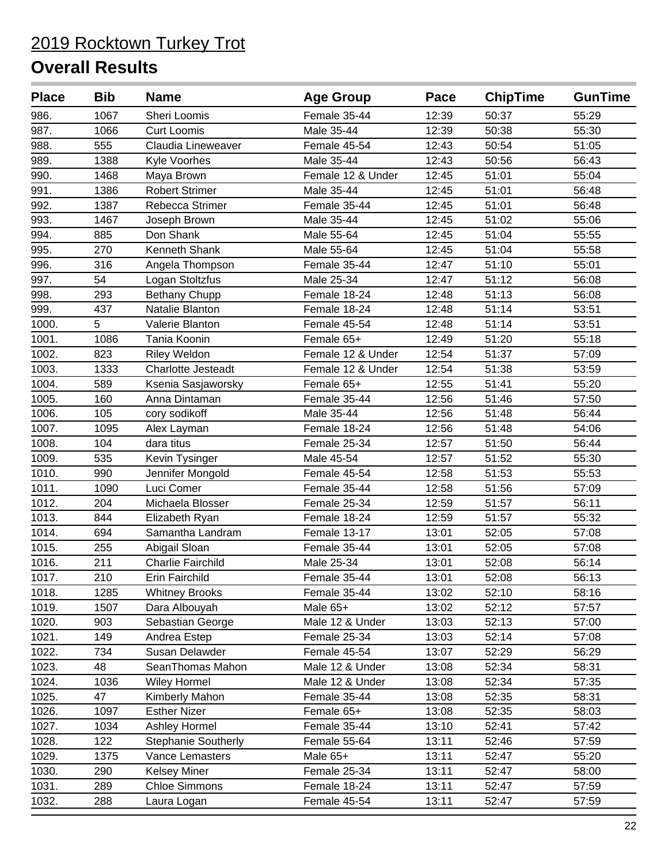| <b>Place</b> | <b>Bib</b> | <b>Name</b>                | <b>Age Group</b>  | Pace  | <b>ChipTime</b> | <b>GunTime</b> |
|--------------|------------|----------------------------|-------------------|-------|-----------------|----------------|
| 986.         | 1067       | Sheri Loomis               | Female 35-44      | 12:39 | 50:37           | 55:29          |
| 987.         | 1066       | <b>Curt Loomis</b>         | Male 35-44        | 12:39 | 50:38           | 55:30          |
| 988.         | 555        | Claudia Lineweaver         | Female 45-54      | 12:43 | 50:54           | 51:05          |
| 989.         | 1388       | Kyle Voorhes               | Male 35-44        | 12:43 | 50:56           | 56:43          |
| 990.         | 1468       | Maya Brown                 | Female 12 & Under | 12:45 | 51:01           | 55:04          |
| 991.         | 1386       | <b>Robert Strimer</b>      | Male 35-44        | 12:45 | 51:01           | 56:48          |
| 992.         | 1387       | Rebecca Strimer            | Female 35-44      | 12:45 | 51:01           | 56:48          |
| 993.         | 1467       | Joseph Brown               | Male 35-44        | 12:45 | 51:02           | 55:06          |
| 994.         | 885        | Don Shank                  | Male 55-64        | 12:45 | 51:04           | 55:55          |
| 995.         | 270        | Kenneth Shank              | Male 55-64        | 12:45 | 51:04           | 55:58          |
| 996.         | 316        | Angela Thompson            | Female 35-44      | 12:47 | 51:10           | 55:01          |
| 997.         | 54         | Logan Stoltzfus            | Male 25-34        | 12:47 | 51:12           | 56:08          |
| 998.         | 293        | Bethany Chupp              | Female 18-24      | 12:48 | 51:13           | 56:08          |
| 999.         | 437        | Natalie Blanton            | Female 18-24      | 12:48 | 51:14           | 53:51          |
| 1000.        | 5          | Valerie Blanton            | Female 45-54      | 12:48 | 51:14           | 53:51          |
| 1001.        | 1086       | Tania Koonin               | Female 65+        | 12:49 | 51:20           | 55:18          |
| 1002.        | 823        | <b>Riley Weldon</b>        | Female 12 & Under | 12:54 | 51:37           | 57:09          |
| 1003.        | 1333       | Charlotte Jesteadt         | Female 12 & Under | 12:54 | 51:38           | 53:59          |
| 1004.        | 589        | Ksenia Sasjaworsky         | Female 65+        | 12:55 | 51:41           | 55:20          |
| 1005.        | 160        | Anna Dintaman              | Female 35-44      | 12:56 | 51:46           | 57:50          |
| 1006.        | 105        | cory sodikoff              | Male 35-44        | 12:56 | 51:48           | 56:44          |
| 1007.        | 1095       | Alex Layman                | Female 18-24      | 12:56 | 51:48           | 54:06          |
| 1008.        | 104        | dara titus                 | Female 25-34      | 12:57 | 51:50           | 56:44          |
| 1009.        | 535        | Kevin Tysinger             | Male 45-54        | 12:57 | 51:52           | 55:30          |
| 1010.        | 990        | Jennifer Mongold           | Female 45-54      | 12:58 | 51:53           | 55:53          |
| 1011.        | 1090       | Luci Comer                 | Female 35-44      | 12:58 | 51:56           | 57:09          |
| 1012.        | 204        | Michaela Blosser           | Female 25-34      | 12:59 | 51:57           | 56:11          |
| 1013.        | 844        | Elizabeth Ryan             | Female 18-24      | 12:59 | 51:57           | 55:32          |
| 1014.        | 694        | Samantha Landram           | Female 13-17      | 13:01 | 52:05           | 57:08          |
| 1015.        | 255        | Abigail Sloan              | Female 35-44      | 13:01 | 52:05           | 57:08          |
| 1016.        | 211        | <b>Charlie Fairchild</b>   | Male 25-34        | 13:01 | 52:08           | 56:14          |
| 1017.        | 210        | Erin Fairchild             | Female 35-44      | 13:01 | 52:08           | 56:13          |
| 1018.        | 1285       | <b>Whitney Brooks</b>      | Female 35-44      | 13:02 | 52:10           | 58:16          |
| 1019.        | 1507       | Dara Albouyah              | Male 65+          | 13:02 | 52:12           | 57:57          |
| 1020.        | 903        | Sebastian George           | Male 12 & Under   | 13:03 | 52:13           | 57:00          |
| 1021.        | 149        | Andrea Estep               | Female 25-34      | 13:03 | 52:14           | 57:08          |
| 1022.        | 734        | Susan Delawder             | Female 45-54      | 13:07 | 52:29           | 56:29          |
| 1023.        | 48         | SeanThomas Mahon           | Male 12 & Under   | 13:08 | 52:34           | 58:31          |
| 1024.        | 1036       | <b>Wiley Hormel</b>        | Male 12 & Under   | 13:08 | 52:34           | 57:35          |
| 1025.        | 47         | Kimberly Mahon             | Female 35-44      | 13:08 | 52:35           | 58:31          |
| 1026.        | 1097       | <b>Esther Nizer</b>        | Female 65+        | 13:08 | 52:35           | 58:03          |
| 1027.        | 1034       | Ashley Hormel              | Female 35-44      | 13:10 | 52:41           | 57:42          |
| 1028.        | 122        | <b>Stephanie Southerly</b> | Female 55-64      | 13:11 | 52:46           | 57:59          |
| 1029.        | 1375       | Vance Lemasters            | Male 65+          | 13:11 | 52:47           | 55:20          |
| 1030.        | 290        | <b>Kelsey Miner</b>        | Female 25-34      | 13:11 | 52:47           | 58:00          |
| 1031.        | 289        | <b>Chloe Simmons</b>       | Female 18-24      | 13:11 | 52:47           | 57:59          |
| 1032.        | 288        | Laura Logan                | Female 45-54      | 13:11 | 52:47           | 57:59          |
|              |            |                            |                   |       |                 |                |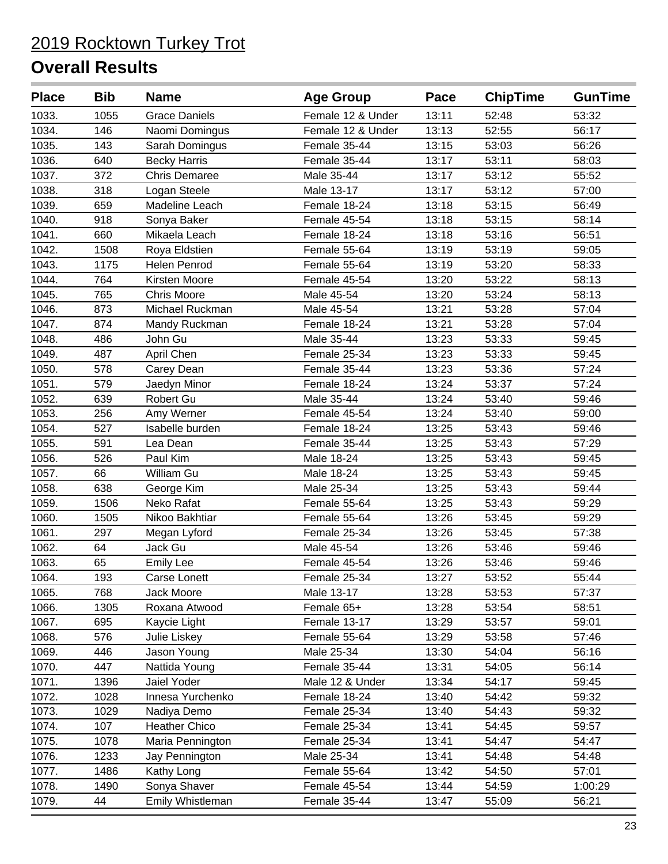| <b>Place</b> | <b>Bib</b> | <b>Name</b>          | <b>Age Group</b>  | Pace  | <b>ChipTime</b> | <b>GunTime</b> |
|--------------|------------|----------------------|-------------------|-------|-----------------|----------------|
| 1033.        | 1055       | <b>Grace Daniels</b> | Female 12 & Under | 13:11 | 52:48           | 53:32          |
| 1034.        | 146        | Naomi Domingus       | Female 12 & Under | 13:13 | 52:55           | 56:17          |
| 1035.        | 143        | Sarah Domingus       | Female 35-44      | 13:15 | 53:03           | 56:26          |
| 1036.        | 640        | <b>Becky Harris</b>  | Female 35-44      | 13:17 | 53:11           | 58:03          |
| 1037.        | 372        | <b>Chris Demaree</b> | Male 35-44        | 13:17 | 53:12           | 55:52          |
| 1038.        | 318        | Logan Steele         | Male 13-17        | 13:17 | 53:12           | 57:00          |
| 1039.        | 659        | Madeline Leach       | Female 18-24      | 13:18 | 53:15           | 56:49          |
| 1040.        | 918        | Sonya Baker          | Female 45-54      | 13:18 | 53:15           | 58:14          |
| 1041.        | 660        | Mikaela Leach        | Female 18-24      | 13:18 | 53:16           | 56:51          |
| 1042.        | 1508       | Roya Eldstien        | Female 55-64      | 13:19 | 53:19           | 59:05          |
| 1043.        | 1175       | Helen Penrod         | Female 55-64      | 13:19 | 53:20           | 58:33          |
| 1044.        | 764        | Kirsten Moore        | Female 45-54      | 13:20 | 53:22           | 58:13          |
| 1045.        | 765        | <b>Chris Moore</b>   | Male 45-54        | 13:20 | 53:24           | 58:13          |
| 1046.        | 873        | Michael Ruckman      | Male 45-54        | 13:21 | 53:28           | 57:04          |
| 1047.        | 874        | Mandy Ruckman        | Female 18-24      | 13:21 | 53:28           | 57:04          |
| 1048.        | 486        | John Gu              | Male 35-44        | 13:23 | 53:33           | 59:45          |
| 1049.        | 487        | April Chen           | Female 25-34      | 13:23 | 53:33           | 59:45          |
| 1050.        | 578        | Carey Dean           | Female 35-44      | 13:23 | 53:36           | 57:24          |
| 1051.        | 579        | Jaedyn Minor         | Female 18-24      | 13:24 | 53:37           | 57:24          |
| 1052.        | 639        | Robert Gu            | Male 35-44        | 13:24 | 53:40           | 59:46          |
| 1053.        | 256        | Amy Werner           | Female 45-54      | 13:24 | 53:40           | 59:00          |
| 1054.        | 527        | Isabelle burden      | Female 18-24      | 13:25 | 53:43           | 59:46          |
| 1055.        | 591        | Lea Dean             | Female 35-44      | 13:25 | 53:43           | 57:29          |
| 1056.        | 526        | Paul Kim             | Male 18-24        | 13:25 | 53:43           | 59:45          |
| 1057.        | 66         | William Gu           | Male 18-24        | 13:25 | 53:43           | 59:45          |
| 1058.        | 638        | George Kim           | Male 25-34        | 13:25 | 53:43           | 59:44          |
| 1059.        | 1506       | Neko Rafat           | Female 55-64      | 13:25 | 53:43           | 59:29          |
| 1060.        | 1505       | Nikoo Bakhtiar       | Female 55-64      | 13:26 | 53:45           | 59:29          |
| 1061.        | 297        | Megan Lyford         | Female 25-34      | 13:26 | 53:45           | 57:38          |
| 1062.        | 64         | Jack Gu              | Male 45-54        | 13:26 | 53:46           | 59:46          |
| 1063.        | 65         | <b>Emily Lee</b>     | Female 45-54      | 13:26 | 53:46           | 59:46          |
| 1064.        | 193        | Carse Lonett         | Female 25-34      | 13:27 | 53:52           | 55:44          |
| 1065.        | 768        | Jack Moore           | Male 13-17        | 13:28 | 53:53           | 57:37          |
| 1066.        | 1305       | Roxana Atwood        | Female 65+        | 13:28 | 53:54           | 58:51          |
| 1067.        | 695        | Kaycie Light         | Female 13-17      | 13:29 | 53:57           | 59:01          |
| 1068.        | 576        | Julie Liskey         | Female 55-64      | 13:29 | 53:58           | 57:46          |
| 1069.        | 446        | Jason Young          | Male 25-34        | 13:30 | 54:04           | 56:16          |
| 1070.        | 447        | Nattida Young        | Female 35-44      | 13:31 | 54:05           | 56:14          |
| 1071.        | 1396       | Jaiel Yoder          | Male 12 & Under   | 13:34 | 54:17           | 59:45          |
| 1072.        | 1028       | Innesa Yurchenko     | Female 18-24      | 13:40 | 54:42           | 59:32          |
| 1073.        | 1029       | Nadiya Demo          | Female 25-34      | 13:40 | 54:43           | 59:32          |
| 1074.        | 107        | <b>Heather Chico</b> | Female 25-34      | 13:41 | 54:45           | 59:57          |
| 1075.        | 1078       | Maria Pennington     | Female 25-34      | 13:41 | 54:47           | 54:47          |
| 1076.        | 1233       | Jay Pennington       | Male 25-34        | 13:41 | 54:48           | 54:48          |
| 1077.        | 1486       | Kathy Long           | Female 55-64      | 13:42 | 54:50           | 57:01          |
| 1078.        | 1490       | Sonya Shaver         | Female 45-54      | 13:44 | 54:59           | 1:00:29        |
| 1079.        | 44         | Emily Whistleman     | Female 35-44      | 13:47 | 55:09           | 56:21          |
|              |            |                      |                   |       |                 |                |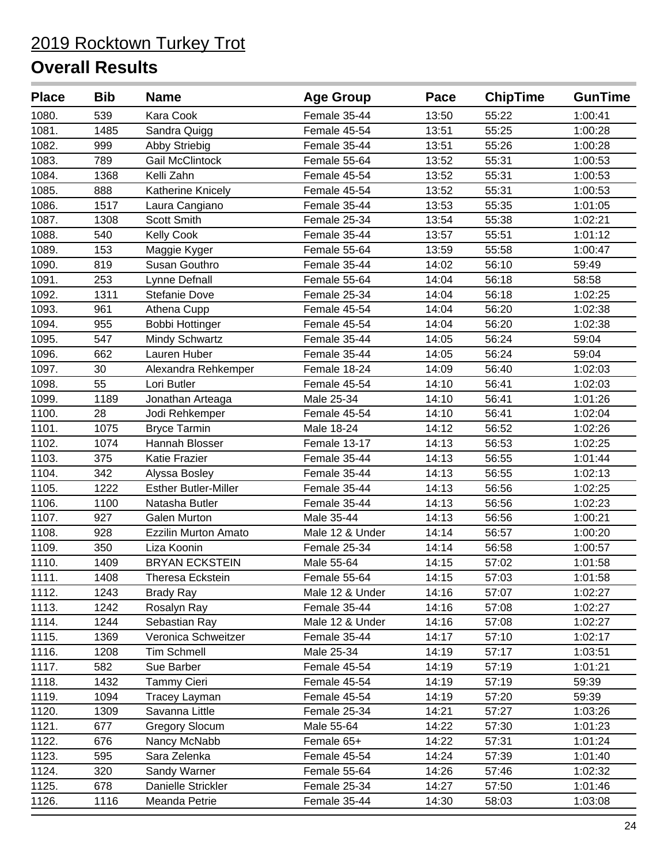| <b>Place</b> | <b>Bib</b> | <b>Name</b>                 | <b>Age Group</b> | Pace  | <b>ChipTime</b> | <b>GunTime</b> |
|--------------|------------|-----------------------------|------------------|-------|-----------------|----------------|
| 1080.        | 539        | Kara Cook                   | Female 35-44     | 13:50 | 55:22           | 1:00:41        |
| 1081.        | 1485       | Sandra Quigg                | Female 45-54     | 13:51 | 55:25           | 1:00:28        |
| 1082.        | 999        | Abby Striebig               | Female 35-44     | 13:51 | 55:26           | 1:00:28        |
| 1083.        | 789        | <b>Gail McClintock</b>      | Female 55-64     | 13:52 | 55:31           | 1:00:53        |
| 1084.        | 1368       | Kelli Zahn                  | Female 45-54     | 13:52 | 55:31           | 1:00:53        |
| 1085.        | 888        | Katherine Knicely           | Female 45-54     | 13:52 | 55:31           | 1:00:53        |
| 1086.        | 1517       | Laura Cangiano              | Female 35-44     | 13:53 | 55:35           | 1:01:05        |
| 1087.        | 1308       | <b>Scott Smith</b>          | Female 25-34     | 13:54 | 55:38           | 1:02:21        |
| 1088.        | 540        | <b>Kelly Cook</b>           | Female 35-44     | 13:57 | 55:51           | 1:01:12        |
| 1089.        | 153        | Maggie Kyger                | Female 55-64     | 13:59 | 55:58           | 1:00:47        |
| 1090.        | 819        | Susan Gouthro               | Female 35-44     | 14:02 | 56:10           | 59:49          |
| 1091.        | 253        | Lynne Defnall               | Female 55-64     | 14:04 | 56:18           | 58:58          |
| 1092.        | 1311       | <b>Stefanie Dove</b>        | Female 25-34     | 14:04 | 56:18           | 1:02:25        |
| 1093.        | 961        | Athena Cupp                 | Female 45-54     | 14:04 | 56:20           | 1:02:38        |
| 1094.        | 955        | <b>Bobbi Hottinger</b>      | Female 45-54     | 14:04 | 56:20           | 1:02:38        |
| 1095.        | 547        | <b>Mindy Schwartz</b>       | Female 35-44     | 14:05 | 56:24           | 59:04          |
| 1096.        | 662        | Lauren Huber                | Female 35-44     | 14:05 | 56:24           | 59:04          |
| 1097.        | 30         | Alexandra Rehkemper         | Female 18-24     | 14:09 | 56:40           | 1:02:03        |
| 1098.        | 55         | Lori Butler                 | Female 45-54     | 14:10 | 56:41           | 1:02:03        |
| 1099.        | 1189       | Jonathan Arteaga            | Male 25-34       | 14:10 | 56:41           | 1:01:26        |
| 1100.        | 28         | Jodi Rehkemper              | Female 45-54     | 14:10 | 56:41           | 1:02:04        |
| 1101.        | 1075       | <b>Bryce Tarmin</b>         | Male 18-24       | 14:12 | 56:52           | 1:02:26        |
| 1102.        | 1074       | Hannah Blosser              | Female 13-17     | 14:13 | 56:53           | 1:02:25        |
| 1103.        | 375        | Katie Frazier               | Female 35-44     | 14:13 | 56:55           | 1:01:44        |
| 1104.        | 342        | Alyssa Bosley               | Female 35-44     | 14:13 | 56:55           | 1:02:13        |
| 1105.        | 1222       | <b>Esther Butler-Miller</b> | Female 35-44     | 14:13 | 56:56           | 1:02:25        |
| 1106.        | 1100       | Natasha Butler              | Female 35-44     | 14:13 | 56:56           | 1:02:23        |
| 1107.        | 927        | <b>Galen Murton</b>         | Male 35-44       | 14:13 | 56:56           | 1:00:21        |
| 1108.        | 928        | <b>Ezzilin Murton Amato</b> | Male 12 & Under  | 14:14 | 56:57           | 1:00:20        |
| 1109.        | 350        | Liza Koonin                 | Female 25-34     | 14:14 | 56:58           | 1:00:57        |
| 1110.        | 1409       | <b>BRYAN ECKSTEIN</b>       | Male 55-64       | 14:15 | 57:02           | 1:01:58        |
| 1111.        | 1408       | Theresa Eckstein            | Female 55-64     | 14:15 | 57:03           | 1:01:58        |
| 1112.        | 1243       | <b>Brady Ray</b>            | Male 12 & Under  | 14:16 | 57:07           | 1:02:27        |
| 1113.        | 1242       | Rosalyn Ray                 | Female 35-44     | 14:16 | 57:08           | 1:02:27        |
| 1114.        | 1244       | Sebastian Ray               | Male 12 & Under  | 14:16 | 57:08           | 1:02:27        |
| 1115.        | 1369       | Veronica Schweitzer         | Female 35-44     | 14:17 | 57:10           | 1:02:17        |
| 1116.        | 1208       | <b>Tim Schmell</b>          | Male 25-34       | 14:19 | 57:17           | 1:03:51        |
| 1117.        | 582        | Sue Barber                  | Female 45-54     | 14:19 | 57:19           | 1:01:21        |
| 1118.        | 1432       | <b>Tammy Cieri</b>          | Female 45-54     | 14:19 | 57:19           | 59:39          |
| 1119.        | 1094       | Tracey Layman               | Female 45-54     | 14:19 | 57:20           | 59:39          |
| 1120.        | 1309       | Savanna Little              | Female 25-34     | 14:21 | 57:27           | 1:03:26        |
| 1121.        | 677        | <b>Gregory Slocum</b>       | Male 55-64       | 14:22 | 57:30           | 1:01:23        |
| 1122.        | 676        | Nancy McNabb                | Female 65+       | 14:22 | 57:31           | 1:01:24        |
| 1123.        | 595        | Sara Zelenka                | Female 45-54     | 14:24 | 57:39           | 1:01:40        |
| 1124.        | 320        | Sandy Warner                | Female 55-64     | 14:26 | 57:46           | 1:02:32        |
| 1125.        | 678        | Danielle Strickler          | Female 25-34     | 14:27 | 57:50           | 1:01:46        |
| 1126.        | 1116       | Meanda Petrie               | Female 35-44     | 14:30 | 58:03           | 1:03:08        |
|              |            |                             |                  |       |                 |                |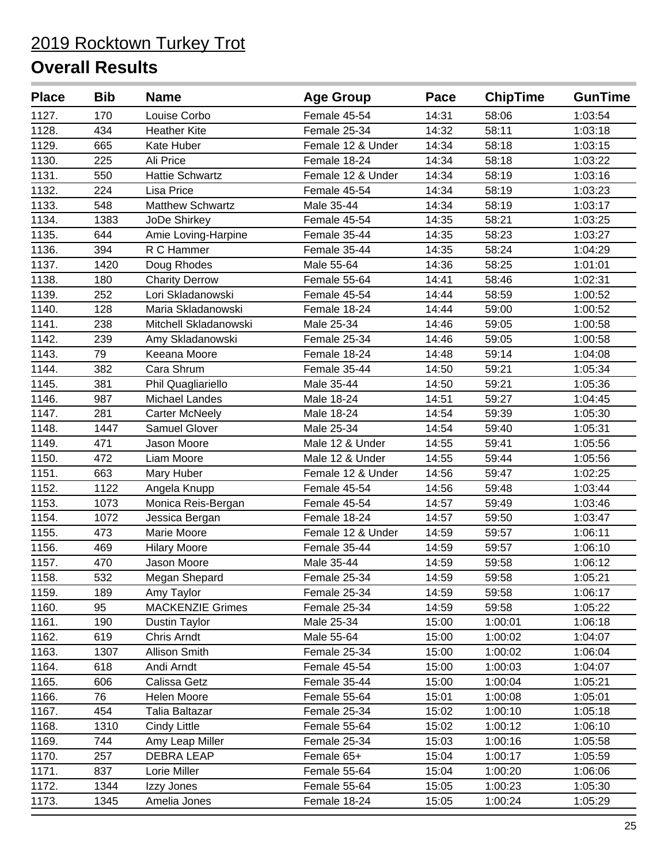| 1127.<br>Louise Corbo<br>Female 45-54<br>14:31<br>170<br>58:06<br>14:32<br>58:11<br>1128.<br>434<br><b>Heather Kite</b><br>Female 25-34<br>1129.<br>14:34<br>58:18<br>665<br>Kate Huber<br>Female 12 & Under<br>1130.<br>225<br>Ali Price<br>Female 18-24<br>14:34<br>58:18<br>1131.<br>550<br><b>Hattie Schwartz</b><br>Female 12 & Under<br>14:34<br>58:19<br>1132.<br>224<br>Lisa Price<br>Female 45-54<br>14:34<br>58:19<br>1133.<br>548<br><b>Matthew Schwartz</b><br>Male 35-44<br>14:34<br>58:19<br>1134.<br>1383<br>Female 45-54<br>14:35<br>JoDe Shirkey<br>58:21<br>1135.<br>Female 35-44<br>14:35<br>58:23<br>644<br>Amie Loving-Harpine<br>1136.<br>394<br>R C Hammer<br>Female 35-44<br>14:35<br>58:24<br>58:25<br>1137.<br>1420<br>Male 55-64<br>14:36<br>Doug Rhodes<br>1138.<br>180<br><b>Charity Derrow</b><br>Female 55-64<br>14:41<br>58:46<br>1139.<br>252<br>Lori Skladanowski<br>14:44<br>58:59<br>Female 45-54<br>1140.<br>Maria Skladanowski<br>14:44<br>128<br>Female 18-24<br>59:00<br>1141.<br>238<br>14:46<br>59:05<br>Mitchell Skladanowski<br>Male 25-34<br>1142.<br>Female 25-34<br>14:46<br>59:05<br>239<br>Amy Skladanowski<br>1143.<br>79<br>Keeana Moore<br>Female 18-24<br>14:48<br>59:14<br>1144.<br>382<br>Cara Shrum<br>59:21<br>Female 35-44<br>14:50<br>1145.<br>381<br>Phil Quagliariello<br>Male 35-44<br>14:50<br>59:21<br>1146.<br>987<br>Michael Landes<br>59:27<br>Male 18-24<br>14:51<br>1147.<br>Male 18-24<br>14:54<br>59:39<br>281<br><b>Carter McNeely</b><br>1148.<br>1447<br>14:54<br>59:40<br><b>Samuel Glover</b><br>Male 25-34<br>1149.<br>471<br>Jason Moore<br>Male 12 & Under<br>14:55<br>59:41<br>1150.<br>472<br>Liam Moore<br>Male 12 & Under<br>14:55<br>59:44<br>1151.<br>663<br>14:56<br>59:47<br>Mary Huber<br>Female 12 & Under<br>1152.<br>1122<br>Female 45-54<br>14:56<br>59:48<br>Angela Knupp<br>1153.<br>1073<br>Monica Reis-Bergan<br>14:57<br>Female 45-54<br>59:49<br>1154.<br>1072<br>Jessica Bergan<br>Female 18-24<br>14:57<br>59:50<br>1155.<br>473<br>Marie Moore<br>Female 12 & Under<br>14:59<br>59:57<br>1156.<br>469<br>Female 35-44<br>14:59<br><b>Hilary Moore</b><br>59:57<br>1157.<br>470<br>Jason Moore<br>Male 35-44<br>59:58<br>14:59<br>532<br>59:58<br>1158.<br>Female 25-34<br>14:59<br>Megan Shepard<br>1159.<br>189<br>59:58<br>Amy Taylor<br>Female 25-34<br>14:59<br>1160.<br>95<br><b>MACKENZIE Grimes</b><br>14:59<br>59:58<br>Female 25-34<br>Male 25-34<br>15:00<br>1161.<br>190<br>1:00:01<br>Dustin Taylor<br>1162.<br>619<br><b>Chris Arndt</b><br>Male 55-64<br>15:00<br>1:00:02<br>1163.<br>1307<br><b>Allison Smith</b><br>Female 25-34<br>15:00<br>1:00:02<br>1164.<br>Female 45-54<br>15:00<br>618<br>Andi Arndt<br>1:00:03<br>1:00:04<br>1165.<br>606<br>Calissa Getz<br>Female 35-44<br>15:00<br>1166.<br>15:01<br>1:00:08<br>76<br>Helen Moore<br>Female 55-64<br>1167.<br>454<br>Female 25-34<br>15:02<br>1:00:10<br>Talia Baltazar<br>15:02<br>1168.<br>1310<br><b>Cindy Little</b><br>Female 55-64<br>1:00:12<br>744<br>15:03<br>1:00:16<br>1169.<br>Amy Leap Miller<br>Female 25-34<br><b>DEBRA LEAP</b><br>15:04<br>1:00:17<br>1170.<br>257<br>Female 65+<br>1171.<br>837<br>Lorie Miller<br>Female 55-64<br>15:04<br>1:00:20 | <b>Place</b> | <b>Bib</b> | <b>Name</b> | <b>Age Group</b> | Pace  | <b>ChipTime</b> | <b>GunTime</b> |
|-------------------------------------------------------------------------------------------------------------------------------------------------------------------------------------------------------------------------------------------------------------------------------------------------------------------------------------------------------------------------------------------------------------------------------------------------------------------------------------------------------------------------------------------------------------------------------------------------------------------------------------------------------------------------------------------------------------------------------------------------------------------------------------------------------------------------------------------------------------------------------------------------------------------------------------------------------------------------------------------------------------------------------------------------------------------------------------------------------------------------------------------------------------------------------------------------------------------------------------------------------------------------------------------------------------------------------------------------------------------------------------------------------------------------------------------------------------------------------------------------------------------------------------------------------------------------------------------------------------------------------------------------------------------------------------------------------------------------------------------------------------------------------------------------------------------------------------------------------------------------------------------------------------------------------------------------------------------------------------------------------------------------------------------------------------------------------------------------------------------------------------------------------------------------------------------------------------------------------------------------------------------------------------------------------------------------------------------------------------------------------------------------------------------------------------------------------------------------------------------------------------------------------------------------------------------------------------------------------------------------------------------------------------------------------------------------------------------------------------------------------------------------------------------------------------------------------------------------------------------------------------------------------------------------------------------------------------------------------------------------------------------------------------------------------------------------------------------------------------------------------------------------------------------------------------------------------------------------------------------------------|--------------|------------|-------------|------------------|-------|-----------------|----------------|
|                                                                                                                                                                                                                                                                                                                                                                                                                                                                                                                                                                                                                                                                                                                                                                                                                                                                                                                                                                                                                                                                                                                                                                                                                                                                                                                                                                                                                                                                                                                                                                                                                                                                                                                                                                                                                                                                                                                                                                                                                                                                                                                                                                                                                                                                                                                                                                                                                                                                                                                                                                                                                                                                                                                                                                                                                                                                                                                                                                                                                                                                                                                                                                                                                                                       |              |            |             |                  |       |                 | 1:03:54        |
|                                                                                                                                                                                                                                                                                                                                                                                                                                                                                                                                                                                                                                                                                                                                                                                                                                                                                                                                                                                                                                                                                                                                                                                                                                                                                                                                                                                                                                                                                                                                                                                                                                                                                                                                                                                                                                                                                                                                                                                                                                                                                                                                                                                                                                                                                                                                                                                                                                                                                                                                                                                                                                                                                                                                                                                                                                                                                                                                                                                                                                                                                                                                                                                                                                                       |              |            |             |                  |       |                 | 1:03:18        |
|                                                                                                                                                                                                                                                                                                                                                                                                                                                                                                                                                                                                                                                                                                                                                                                                                                                                                                                                                                                                                                                                                                                                                                                                                                                                                                                                                                                                                                                                                                                                                                                                                                                                                                                                                                                                                                                                                                                                                                                                                                                                                                                                                                                                                                                                                                                                                                                                                                                                                                                                                                                                                                                                                                                                                                                                                                                                                                                                                                                                                                                                                                                                                                                                                                                       |              |            |             |                  |       |                 | 1:03:15        |
|                                                                                                                                                                                                                                                                                                                                                                                                                                                                                                                                                                                                                                                                                                                                                                                                                                                                                                                                                                                                                                                                                                                                                                                                                                                                                                                                                                                                                                                                                                                                                                                                                                                                                                                                                                                                                                                                                                                                                                                                                                                                                                                                                                                                                                                                                                                                                                                                                                                                                                                                                                                                                                                                                                                                                                                                                                                                                                                                                                                                                                                                                                                                                                                                                                                       |              |            |             |                  |       |                 | 1:03:22        |
|                                                                                                                                                                                                                                                                                                                                                                                                                                                                                                                                                                                                                                                                                                                                                                                                                                                                                                                                                                                                                                                                                                                                                                                                                                                                                                                                                                                                                                                                                                                                                                                                                                                                                                                                                                                                                                                                                                                                                                                                                                                                                                                                                                                                                                                                                                                                                                                                                                                                                                                                                                                                                                                                                                                                                                                                                                                                                                                                                                                                                                                                                                                                                                                                                                                       |              |            |             |                  |       |                 | 1:03:16        |
|                                                                                                                                                                                                                                                                                                                                                                                                                                                                                                                                                                                                                                                                                                                                                                                                                                                                                                                                                                                                                                                                                                                                                                                                                                                                                                                                                                                                                                                                                                                                                                                                                                                                                                                                                                                                                                                                                                                                                                                                                                                                                                                                                                                                                                                                                                                                                                                                                                                                                                                                                                                                                                                                                                                                                                                                                                                                                                                                                                                                                                                                                                                                                                                                                                                       |              |            |             |                  |       |                 | 1:03:23        |
|                                                                                                                                                                                                                                                                                                                                                                                                                                                                                                                                                                                                                                                                                                                                                                                                                                                                                                                                                                                                                                                                                                                                                                                                                                                                                                                                                                                                                                                                                                                                                                                                                                                                                                                                                                                                                                                                                                                                                                                                                                                                                                                                                                                                                                                                                                                                                                                                                                                                                                                                                                                                                                                                                                                                                                                                                                                                                                                                                                                                                                                                                                                                                                                                                                                       |              |            |             |                  |       |                 | 1:03:17        |
|                                                                                                                                                                                                                                                                                                                                                                                                                                                                                                                                                                                                                                                                                                                                                                                                                                                                                                                                                                                                                                                                                                                                                                                                                                                                                                                                                                                                                                                                                                                                                                                                                                                                                                                                                                                                                                                                                                                                                                                                                                                                                                                                                                                                                                                                                                                                                                                                                                                                                                                                                                                                                                                                                                                                                                                                                                                                                                                                                                                                                                                                                                                                                                                                                                                       |              |            |             |                  |       |                 | 1:03:25        |
|                                                                                                                                                                                                                                                                                                                                                                                                                                                                                                                                                                                                                                                                                                                                                                                                                                                                                                                                                                                                                                                                                                                                                                                                                                                                                                                                                                                                                                                                                                                                                                                                                                                                                                                                                                                                                                                                                                                                                                                                                                                                                                                                                                                                                                                                                                                                                                                                                                                                                                                                                                                                                                                                                                                                                                                                                                                                                                                                                                                                                                                                                                                                                                                                                                                       |              |            |             |                  |       |                 | 1:03:27        |
|                                                                                                                                                                                                                                                                                                                                                                                                                                                                                                                                                                                                                                                                                                                                                                                                                                                                                                                                                                                                                                                                                                                                                                                                                                                                                                                                                                                                                                                                                                                                                                                                                                                                                                                                                                                                                                                                                                                                                                                                                                                                                                                                                                                                                                                                                                                                                                                                                                                                                                                                                                                                                                                                                                                                                                                                                                                                                                                                                                                                                                                                                                                                                                                                                                                       |              |            |             |                  |       |                 | 1:04:29        |
|                                                                                                                                                                                                                                                                                                                                                                                                                                                                                                                                                                                                                                                                                                                                                                                                                                                                                                                                                                                                                                                                                                                                                                                                                                                                                                                                                                                                                                                                                                                                                                                                                                                                                                                                                                                                                                                                                                                                                                                                                                                                                                                                                                                                                                                                                                                                                                                                                                                                                                                                                                                                                                                                                                                                                                                                                                                                                                                                                                                                                                                                                                                                                                                                                                                       |              |            |             |                  |       |                 | 1:01:01        |
|                                                                                                                                                                                                                                                                                                                                                                                                                                                                                                                                                                                                                                                                                                                                                                                                                                                                                                                                                                                                                                                                                                                                                                                                                                                                                                                                                                                                                                                                                                                                                                                                                                                                                                                                                                                                                                                                                                                                                                                                                                                                                                                                                                                                                                                                                                                                                                                                                                                                                                                                                                                                                                                                                                                                                                                                                                                                                                                                                                                                                                                                                                                                                                                                                                                       |              |            |             |                  |       |                 | 1:02:31        |
|                                                                                                                                                                                                                                                                                                                                                                                                                                                                                                                                                                                                                                                                                                                                                                                                                                                                                                                                                                                                                                                                                                                                                                                                                                                                                                                                                                                                                                                                                                                                                                                                                                                                                                                                                                                                                                                                                                                                                                                                                                                                                                                                                                                                                                                                                                                                                                                                                                                                                                                                                                                                                                                                                                                                                                                                                                                                                                                                                                                                                                                                                                                                                                                                                                                       |              |            |             |                  |       |                 | 1:00:52        |
|                                                                                                                                                                                                                                                                                                                                                                                                                                                                                                                                                                                                                                                                                                                                                                                                                                                                                                                                                                                                                                                                                                                                                                                                                                                                                                                                                                                                                                                                                                                                                                                                                                                                                                                                                                                                                                                                                                                                                                                                                                                                                                                                                                                                                                                                                                                                                                                                                                                                                                                                                                                                                                                                                                                                                                                                                                                                                                                                                                                                                                                                                                                                                                                                                                                       |              |            |             |                  |       |                 | 1:00:52        |
|                                                                                                                                                                                                                                                                                                                                                                                                                                                                                                                                                                                                                                                                                                                                                                                                                                                                                                                                                                                                                                                                                                                                                                                                                                                                                                                                                                                                                                                                                                                                                                                                                                                                                                                                                                                                                                                                                                                                                                                                                                                                                                                                                                                                                                                                                                                                                                                                                                                                                                                                                                                                                                                                                                                                                                                                                                                                                                                                                                                                                                                                                                                                                                                                                                                       |              |            |             |                  |       |                 | 1:00:58        |
|                                                                                                                                                                                                                                                                                                                                                                                                                                                                                                                                                                                                                                                                                                                                                                                                                                                                                                                                                                                                                                                                                                                                                                                                                                                                                                                                                                                                                                                                                                                                                                                                                                                                                                                                                                                                                                                                                                                                                                                                                                                                                                                                                                                                                                                                                                                                                                                                                                                                                                                                                                                                                                                                                                                                                                                                                                                                                                                                                                                                                                                                                                                                                                                                                                                       |              |            |             |                  |       |                 | 1:00:58        |
|                                                                                                                                                                                                                                                                                                                                                                                                                                                                                                                                                                                                                                                                                                                                                                                                                                                                                                                                                                                                                                                                                                                                                                                                                                                                                                                                                                                                                                                                                                                                                                                                                                                                                                                                                                                                                                                                                                                                                                                                                                                                                                                                                                                                                                                                                                                                                                                                                                                                                                                                                                                                                                                                                                                                                                                                                                                                                                                                                                                                                                                                                                                                                                                                                                                       |              |            |             |                  |       |                 | 1:04:08        |
|                                                                                                                                                                                                                                                                                                                                                                                                                                                                                                                                                                                                                                                                                                                                                                                                                                                                                                                                                                                                                                                                                                                                                                                                                                                                                                                                                                                                                                                                                                                                                                                                                                                                                                                                                                                                                                                                                                                                                                                                                                                                                                                                                                                                                                                                                                                                                                                                                                                                                                                                                                                                                                                                                                                                                                                                                                                                                                                                                                                                                                                                                                                                                                                                                                                       |              |            |             |                  |       |                 | 1:05:34        |
|                                                                                                                                                                                                                                                                                                                                                                                                                                                                                                                                                                                                                                                                                                                                                                                                                                                                                                                                                                                                                                                                                                                                                                                                                                                                                                                                                                                                                                                                                                                                                                                                                                                                                                                                                                                                                                                                                                                                                                                                                                                                                                                                                                                                                                                                                                                                                                                                                                                                                                                                                                                                                                                                                                                                                                                                                                                                                                                                                                                                                                                                                                                                                                                                                                                       |              |            |             |                  |       |                 | 1:05:36        |
|                                                                                                                                                                                                                                                                                                                                                                                                                                                                                                                                                                                                                                                                                                                                                                                                                                                                                                                                                                                                                                                                                                                                                                                                                                                                                                                                                                                                                                                                                                                                                                                                                                                                                                                                                                                                                                                                                                                                                                                                                                                                                                                                                                                                                                                                                                                                                                                                                                                                                                                                                                                                                                                                                                                                                                                                                                                                                                                                                                                                                                                                                                                                                                                                                                                       |              |            |             |                  |       |                 | 1:04:45        |
|                                                                                                                                                                                                                                                                                                                                                                                                                                                                                                                                                                                                                                                                                                                                                                                                                                                                                                                                                                                                                                                                                                                                                                                                                                                                                                                                                                                                                                                                                                                                                                                                                                                                                                                                                                                                                                                                                                                                                                                                                                                                                                                                                                                                                                                                                                                                                                                                                                                                                                                                                                                                                                                                                                                                                                                                                                                                                                                                                                                                                                                                                                                                                                                                                                                       |              |            |             |                  |       |                 | 1:05:30        |
|                                                                                                                                                                                                                                                                                                                                                                                                                                                                                                                                                                                                                                                                                                                                                                                                                                                                                                                                                                                                                                                                                                                                                                                                                                                                                                                                                                                                                                                                                                                                                                                                                                                                                                                                                                                                                                                                                                                                                                                                                                                                                                                                                                                                                                                                                                                                                                                                                                                                                                                                                                                                                                                                                                                                                                                                                                                                                                                                                                                                                                                                                                                                                                                                                                                       |              |            |             |                  |       |                 | 1:05:31        |
|                                                                                                                                                                                                                                                                                                                                                                                                                                                                                                                                                                                                                                                                                                                                                                                                                                                                                                                                                                                                                                                                                                                                                                                                                                                                                                                                                                                                                                                                                                                                                                                                                                                                                                                                                                                                                                                                                                                                                                                                                                                                                                                                                                                                                                                                                                                                                                                                                                                                                                                                                                                                                                                                                                                                                                                                                                                                                                                                                                                                                                                                                                                                                                                                                                                       |              |            |             |                  |       |                 | 1:05:56        |
|                                                                                                                                                                                                                                                                                                                                                                                                                                                                                                                                                                                                                                                                                                                                                                                                                                                                                                                                                                                                                                                                                                                                                                                                                                                                                                                                                                                                                                                                                                                                                                                                                                                                                                                                                                                                                                                                                                                                                                                                                                                                                                                                                                                                                                                                                                                                                                                                                                                                                                                                                                                                                                                                                                                                                                                                                                                                                                                                                                                                                                                                                                                                                                                                                                                       |              |            |             |                  |       |                 | 1:05:56        |
|                                                                                                                                                                                                                                                                                                                                                                                                                                                                                                                                                                                                                                                                                                                                                                                                                                                                                                                                                                                                                                                                                                                                                                                                                                                                                                                                                                                                                                                                                                                                                                                                                                                                                                                                                                                                                                                                                                                                                                                                                                                                                                                                                                                                                                                                                                                                                                                                                                                                                                                                                                                                                                                                                                                                                                                                                                                                                                                                                                                                                                                                                                                                                                                                                                                       |              |            |             |                  |       |                 | 1:02:25        |
|                                                                                                                                                                                                                                                                                                                                                                                                                                                                                                                                                                                                                                                                                                                                                                                                                                                                                                                                                                                                                                                                                                                                                                                                                                                                                                                                                                                                                                                                                                                                                                                                                                                                                                                                                                                                                                                                                                                                                                                                                                                                                                                                                                                                                                                                                                                                                                                                                                                                                                                                                                                                                                                                                                                                                                                                                                                                                                                                                                                                                                                                                                                                                                                                                                                       |              |            |             |                  |       |                 | 1:03:44        |
|                                                                                                                                                                                                                                                                                                                                                                                                                                                                                                                                                                                                                                                                                                                                                                                                                                                                                                                                                                                                                                                                                                                                                                                                                                                                                                                                                                                                                                                                                                                                                                                                                                                                                                                                                                                                                                                                                                                                                                                                                                                                                                                                                                                                                                                                                                                                                                                                                                                                                                                                                                                                                                                                                                                                                                                                                                                                                                                                                                                                                                                                                                                                                                                                                                                       |              |            |             |                  |       |                 | 1:03:46        |
|                                                                                                                                                                                                                                                                                                                                                                                                                                                                                                                                                                                                                                                                                                                                                                                                                                                                                                                                                                                                                                                                                                                                                                                                                                                                                                                                                                                                                                                                                                                                                                                                                                                                                                                                                                                                                                                                                                                                                                                                                                                                                                                                                                                                                                                                                                                                                                                                                                                                                                                                                                                                                                                                                                                                                                                                                                                                                                                                                                                                                                                                                                                                                                                                                                                       |              |            |             |                  |       |                 | 1:03:47        |
|                                                                                                                                                                                                                                                                                                                                                                                                                                                                                                                                                                                                                                                                                                                                                                                                                                                                                                                                                                                                                                                                                                                                                                                                                                                                                                                                                                                                                                                                                                                                                                                                                                                                                                                                                                                                                                                                                                                                                                                                                                                                                                                                                                                                                                                                                                                                                                                                                                                                                                                                                                                                                                                                                                                                                                                                                                                                                                                                                                                                                                                                                                                                                                                                                                                       |              |            |             |                  |       |                 | 1:06:11        |
|                                                                                                                                                                                                                                                                                                                                                                                                                                                                                                                                                                                                                                                                                                                                                                                                                                                                                                                                                                                                                                                                                                                                                                                                                                                                                                                                                                                                                                                                                                                                                                                                                                                                                                                                                                                                                                                                                                                                                                                                                                                                                                                                                                                                                                                                                                                                                                                                                                                                                                                                                                                                                                                                                                                                                                                                                                                                                                                                                                                                                                                                                                                                                                                                                                                       |              |            |             |                  |       |                 | 1:06:10        |
|                                                                                                                                                                                                                                                                                                                                                                                                                                                                                                                                                                                                                                                                                                                                                                                                                                                                                                                                                                                                                                                                                                                                                                                                                                                                                                                                                                                                                                                                                                                                                                                                                                                                                                                                                                                                                                                                                                                                                                                                                                                                                                                                                                                                                                                                                                                                                                                                                                                                                                                                                                                                                                                                                                                                                                                                                                                                                                                                                                                                                                                                                                                                                                                                                                                       |              |            |             |                  |       |                 | 1:06:12        |
|                                                                                                                                                                                                                                                                                                                                                                                                                                                                                                                                                                                                                                                                                                                                                                                                                                                                                                                                                                                                                                                                                                                                                                                                                                                                                                                                                                                                                                                                                                                                                                                                                                                                                                                                                                                                                                                                                                                                                                                                                                                                                                                                                                                                                                                                                                                                                                                                                                                                                                                                                                                                                                                                                                                                                                                                                                                                                                                                                                                                                                                                                                                                                                                                                                                       |              |            |             |                  |       |                 | 1:05:21        |
|                                                                                                                                                                                                                                                                                                                                                                                                                                                                                                                                                                                                                                                                                                                                                                                                                                                                                                                                                                                                                                                                                                                                                                                                                                                                                                                                                                                                                                                                                                                                                                                                                                                                                                                                                                                                                                                                                                                                                                                                                                                                                                                                                                                                                                                                                                                                                                                                                                                                                                                                                                                                                                                                                                                                                                                                                                                                                                                                                                                                                                                                                                                                                                                                                                                       |              |            |             |                  |       |                 | 1:06:17        |
|                                                                                                                                                                                                                                                                                                                                                                                                                                                                                                                                                                                                                                                                                                                                                                                                                                                                                                                                                                                                                                                                                                                                                                                                                                                                                                                                                                                                                                                                                                                                                                                                                                                                                                                                                                                                                                                                                                                                                                                                                                                                                                                                                                                                                                                                                                                                                                                                                                                                                                                                                                                                                                                                                                                                                                                                                                                                                                                                                                                                                                                                                                                                                                                                                                                       |              |            |             |                  |       |                 | 1:05:22        |
|                                                                                                                                                                                                                                                                                                                                                                                                                                                                                                                                                                                                                                                                                                                                                                                                                                                                                                                                                                                                                                                                                                                                                                                                                                                                                                                                                                                                                                                                                                                                                                                                                                                                                                                                                                                                                                                                                                                                                                                                                                                                                                                                                                                                                                                                                                                                                                                                                                                                                                                                                                                                                                                                                                                                                                                                                                                                                                                                                                                                                                                                                                                                                                                                                                                       |              |            |             |                  |       |                 | 1:06:18        |
|                                                                                                                                                                                                                                                                                                                                                                                                                                                                                                                                                                                                                                                                                                                                                                                                                                                                                                                                                                                                                                                                                                                                                                                                                                                                                                                                                                                                                                                                                                                                                                                                                                                                                                                                                                                                                                                                                                                                                                                                                                                                                                                                                                                                                                                                                                                                                                                                                                                                                                                                                                                                                                                                                                                                                                                                                                                                                                                                                                                                                                                                                                                                                                                                                                                       |              |            |             |                  |       |                 | 1:04:07        |
|                                                                                                                                                                                                                                                                                                                                                                                                                                                                                                                                                                                                                                                                                                                                                                                                                                                                                                                                                                                                                                                                                                                                                                                                                                                                                                                                                                                                                                                                                                                                                                                                                                                                                                                                                                                                                                                                                                                                                                                                                                                                                                                                                                                                                                                                                                                                                                                                                                                                                                                                                                                                                                                                                                                                                                                                                                                                                                                                                                                                                                                                                                                                                                                                                                                       |              |            |             |                  |       |                 | 1:06:04        |
|                                                                                                                                                                                                                                                                                                                                                                                                                                                                                                                                                                                                                                                                                                                                                                                                                                                                                                                                                                                                                                                                                                                                                                                                                                                                                                                                                                                                                                                                                                                                                                                                                                                                                                                                                                                                                                                                                                                                                                                                                                                                                                                                                                                                                                                                                                                                                                                                                                                                                                                                                                                                                                                                                                                                                                                                                                                                                                                                                                                                                                                                                                                                                                                                                                                       |              |            |             |                  |       |                 | 1:04:07        |
|                                                                                                                                                                                                                                                                                                                                                                                                                                                                                                                                                                                                                                                                                                                                                                                                                                                                                                                                                                                                                                                                                                                                                                                                                                                                                                                                                                                                                                                                                                                                                                                                                                                                                                                                                                                                                                                                                                                                                                                                                                                                                                                                                                                                                                                                                                                                                                                                                                                                                                                                                                                                                                                                                                                                                                                                                                                                                                                                                                                                                                                                                                                                                                                                                                                       |              |            |             |                  |       |                 | 1:05:21        |
|                                                                                                                                                                                                                                                                                                                                                                                                                                                                                                                                                                                                                                                                                                                                                                                                                                                                                                                                                                                                                                                                                                                                                                                                                                                                                                                                                                                                                                                                                                                                                                                                                                                                                                                                                                                                                                                                                                                                                                                                                                                                                                                                                                                                                                                                                                                                                                                                                                                                                                                                                                                                                                                                                                                                                                                                                                                                                                                                                                                                                                                                                                                                                                                                                                                       |              |            |             |                  |       |                 | 1:05:01        |
|                                                                                                                                                                                                                                                                                                                                                                                                                                                                                                                                                                                                                                                                                                                                                                                                                                                                                                                                                                                                                                                                                                                                                                                                                                                                                                                                                                                                                                                                                                                                                                                                                                                                                                                                                                                                                                                                                                                                                                                                                                                                                                                                                                                                                                                                                                                                                                                                                                                                                                                                                                                                                                                                                                                                                                                                                                                                                                                                                                                                                                                                                                                                                                                                                                                       |              |            |             |                  |       |                 | 1:05:18        |
|                                                                                                                                                                                                                                                                                                                                                                                                                                                                                                                                                                                                                                                                                                                                                                                                                                                                                                                                                                                                                                                                                                                                                                                                                                                                                                                                                                                                                                                                                                                                                                                                                                                                                                                                                                                                                                                                                                                                                                                                                                                                                                                                                                                                                                                                                                                                                                                                                                                                                                                                                                                                                                                                                                                                                                                                                                                                                                                                                                                                                                                                                                                                                                                                                                                       |              |            |             |                  |       |                 | 1:06:10        |
|                                                                                                                                                                                                                                                                                                                                                                                                                                                                                                                                                                                                                                                                                                                                                                                                                                                                                                                                                                                                                                                                                                                                                                                                                                                                                                                                                                                                                                                                                                                                                                                                                                                                                                                                                                                                                                                                                                                                                                                                                                                                                                                                                                                                                                                                                                                                                                                                                                                                                                                                                                                                                                                                                                                                                                                                                                                                                                                                                                                                                                                                                                                                                                                                                                                       |              |            |             |                  |       |                 | 1:05:58        |
|                                                                                                                                                                                                                                                                                                                                                                                                                                                                                                                                                                                                                                                                                                                                                                                                                                                                                                                                                                                                                                                                                                                                                                                                                                                                                                                                                                                                                                                                                                                                                                                                                                                                                                                                                                                                                                                                                                                                                                                                                                                                                                                                                                                                                                                                                                                                                                                                                                                                                                                                                                                                                                                                                                                                                                                                                                                                                                                                                                                                                                                                                                                                                                                                                                                       |              |            |             |                  |       |                 | 1:05:59        |
|                                                                                                                                                                                                                                                                                                                                                                                                                                                                                                                                                                                                                                                                                                                                                                                                                                                                                                                                                                                                                                                                                                                                                                                                                                                                                                                                                                                                                                                                                                                                                                                                                                                                                                                                                                                                                                                                                                                                                                                                                                                                                                                                                                                                                                                                                                                                                                                                                                                                                                                                                                                                                                                                                                                                                                                                                                                                                                                                                                                                                                                                                                                                                                                                                                                       |              |            |             |                  |       |                 | 1:06:06        |
|                                                                                                                                                                                                                                                                                                                                                                                                                                                                                                                                                                                                                                                                                                                                                                                                                                                                                                                                                                                                                                                                                                                                                                                                                                                                                                                                                                                                                                                                                                                                                                                                                                                                                                                                                                                                                                                                                                                                                                                                                                                                                                                                                                                                                                                                                                                                                                                                                                                                                                                                                                                                                                                                                                                                                                                                                                                                                                                                                                                                                                                                                                                                                                                                                                                       | 1172.        | 1344       | Izzy Jones  | Female 55-64     | 15:05 | 1:00:23         | 1:05:30        |
| 1173.<br>Amelia Jones<br>Female 18-24<br>15:05<br>1:00:24<br>1345                                                                                                                                                                                                                                                                                                                                                                                                                                                                                                                                                                                                                                                                                                                                                                                                                                                                                                                                                                                                                                                                                                                                                                                                                                                                                                                                                                                                                                                                                                                                                                                                                                                                                                                                                                                                                                                                                                                                                                                                                                                                                                                                                                                                                                                                                                                                                                                                                                                                                                                                                                                                                                                                                                                                                                                                                                                                                                                                                                                                                                                                                                                                                                                     |              |            |             |                  |       |                 | 1:05:29        |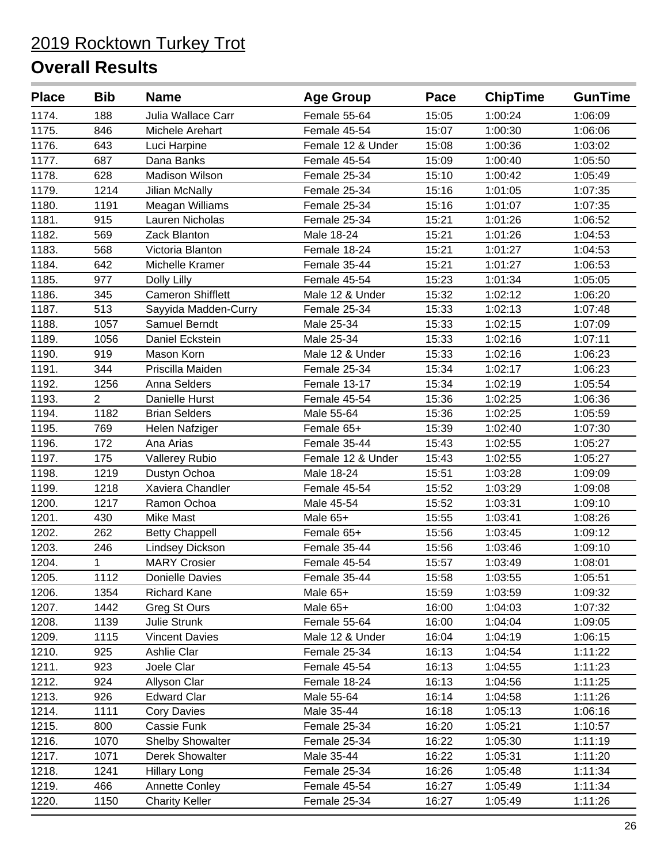| <b>Place</b> | <b>Bib</b>     | <b>Name</b>              | <b>Age Group</b>  | Pace  | <b>ChipTime</b> | <b>GunTime</b> |
|--------------|----------------|--------------------------|-------------------|-------|-----------------|----------------|
| 1174.        | 188            | Julia Wallace Carr       | Female 55-64      | 15:05 | 1:00:24         | 1:06:09        |
| 1175.        | 846            | Michele Arehart          | Female 45-54      | 15:07 | 1:00:30         | 1:06:06        |
| 1176.        | 643            | Luci Harpine             | Female 12 & Under | 15:08 | 1:00:36         | 1:03:02        |
| 1177.        | 687            | Dana Banks               | Female 45-54      | 15:09 | 1:00:40         | 1:05:50        |
| 1178.        | 628            | <b>Madison Wilson</b>    | Female 25-34      | 15:10 | 1:00:42         | 1:05:49        |
| 1179.        | 1214           | <b>Jilian McNally</b>    | Female 25-34      | 15:16 | 1:01:05         | 1:07:35        |
| 1180.        | 1191           | Meagan Williams          | Female 25-34      | 15:16 | 1:01:07         | 1:07:35        |
| 1181.        | 915            | <b>Lauren Nicholas</b>   | Female 25-34      | 15:21 | 1:01:26         | 1:06:52        |
| 1182.        | 569            | Zack Blanton             | Male 18-24        | 15:21 | 1:01:26         | 1:04:53        |
| 1183.        | 568            | Victoria Blanton         | Female 18-24      | 15:21 | 1:01:27         | 1:04:53        |
| 1184.        | 642            | Michelle Kramer          | Female 35-44      | 15:21 | 1:01:27         | 1:06:53        |
| 1185.        | 977            | Dolly Lilly              | Female 45-54      | 15:23 | 1:01:34         | 1:05:05        |
| 1186.        | 345            | <b>Cameron Shifflett</b> | Male 12 & Under   | 15:32 | 1:02:12         | 1:06:20        |
| 1187.        | 513            | Sayyida Madden-Curry     | Female 25-34      | 15:33 | 1:02:13         | 1:07:48        |
| 1188.        | 1057           | Samuel Berndt            | Male 25-34        | 15:33 | 1:02:15         | 1:07:09        |
| 1189.        | 1056           | Daniel Eckstein          | Male 25-34        | 15:33 | 1:02:16         | 1:07:11        |
| 1190.        | 919            | Mason Korn               | Male 12 & Under   | 15:33 | 1:02:16         | 1:06:23        |
| 1191.        | 344            | Priscilla Maiden         | Female 25-34      | 15:34 | 1:02:17         | 1:06:23        |
| 1192.        | 1256           | <b>Anna Selders</b>      | Female 13-17      | 15:34 | 1:02:19         | 1:05:54        |
| 1193.        | $\overline{2}$ | Danielle Hurst           | Female 45-54      | 15:36 | 1:02:25         | 1:06:36        |
| 1194.        | 1182           | <b>Brian Selders</b>     | Male 55-64        | 15:36 | 1:02:25         | 1:05:59        |
| 1195.        | 769            | Helen Nafziger           | Female 65+        | 15:39 | 1:02:40         | 1:07:30        |
| 1196.        | 172            | Ana Arias                | Female 35-44      | 15:43 | 1:02:55         | 1:05:27        |
| 1197.        | 175            | <b>Vallerey Rubio</b>    | Female 12 & Under | 15:43 | 1:02:55         | 1:05:27        |
| 1198.        | 1219           | Dustyn Ochoa             | Male 18-24        | 15:51 | 1:03:28         | 1:09:09        |
| 1199.        | 1218           | Xaviera Chandler         | Female 45-54      | 15:52 | 1:03:29         | 1:09:08        |
| 1200.        | 1217           | Ramon Ochoa              | Male 45-54        | 15:52 | 1:03:31         | 1:09:10        |
| 1201.        | 430            | Mike Mast                | Male 65+          | 15:55 | 1:03:41         | 1:08:26        |
| 1202.        | 262            | <b>Betty Chappell</b>    | Female 65+        | 15:56 | 1:03:45         | 1:09:12        |
| 1203.        | 246            | <b>Lindsey Dickson</b>   | Female 35-44      | 15:56 | 1:03:46         | 1:09:10        |
| 1204.        | 1              | <b>MARY Crosier</b>      | Female 45-54      | 15:57 | 1:03:49         | 1:08:01        |
| 1205.        | 1112           | Donielle Davies          | Female 35-44      | 15:58 | 1:03:55         | 1:05:51        |
| 1206.        | 1354           | Richard Kane             | Male 65+          | 15:59 | 1:03:59         | 1:09:32        |
| 1207.        | 1442           | Greg St Ours             | Male $65+$        | 16:00 | 1:04:03         | 1:07:32        |
| 1208.        | 1139           | <b>Julie Strunk</b>      | Female 55-64      | 16:00 | 1:04:04         | 1:09:05        |
| 1209.        | 1115           | <b>Vincent Davies</b>    | Male 12 & Under   | 16:04 | 1:04:19         | 1:06:15        |
| 1210.        | 925            | Ashlie Clar              | Female 25-34      | 16:13 | 1:04:54         | 1:11:22        |
| 1211.        | 923            | Joele Clar               | Female 45-54      | 16:13 | 1:04:55         | 1:11:23        |
| 1212.        | 924            | Allyson Clar             | Female 18-24      | 16:13 | 1:04:56         | 1:11:25        |
| 1213.        | 926            | <b>Edward Clar</b>       | Male 55-64        | 16:14 | 1:04:58         | 1:11:26        |
| 1214.        | 1111           | <b>Cory Davies</b>       | Male 35-44        | 16:18 | 1:05:13         | 1:06:16        |
| 1215.        | 800            | Cassie Funk              | Female 25-34      | 16:20 | 1:05:21         | 1:10:57        |
| 1216.        | 1070           | <b>Shelby Showalter</b>  | Female 25-34      | 16:22 | 1:05:30         | 1:11:19        |
| 1217.        | 1071           | <b>Derek Showalter</b>   | Male 35-44        | 16:22 | 1:05:31         | 1:11:20        |
| 1218.        | 1241           | <b>Hillary Long</b>      | Female 25-34      | 16:26 | 1:05:48         | 1:11:34        |
| 1219.        | 466            | Annette Conley           | Female 45-54      | 16:27 | 1:05:49         | 1:11:34        |
| 1220.        | 1150           | <b>Charity Keller</b>    | Female 25-34      | 16:27 | 1:05:49         | 1:11:26        |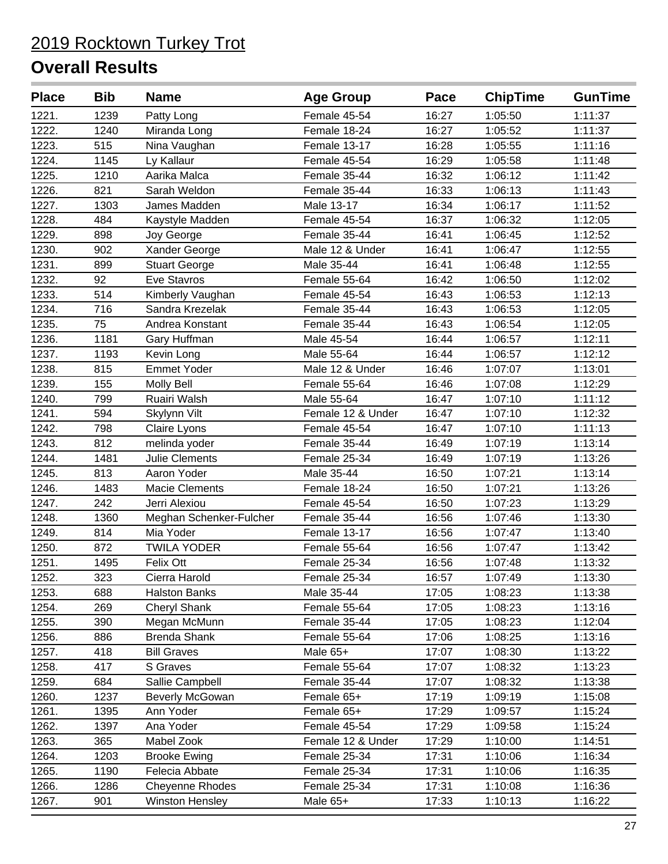| <b>Place</b> | <b>Bib</b> | <b>Name</b>             | <b>Age Group</b>  | Pace  | <b>ChipTime</b> | <b>GunTime</b> |
|--------------|------------|-------------------------|-------------------|-------|-----------------|----------------|
| 1221.        | 1239       | Patty Long              | Female 45-54      | 16:27 | 1:05:50         | 1:11:37        |
| 1222.        | 1240       | Miranda Long            | Female 18-24      | 16:27 | 1:05:52         | 1:11:37        |
| 1223.        | 515        | Nina Vaughan            | Female 13-17      | 16:28 | 1:05:55         | 1:11:16        |
| 1224.        | 1145       | Ly Kallaur              | Female 45-54      | 16:29 | 1:05:58         | 1:11:48        |
| 1225.        | 1210       | Aarika Malca            | Female 35-44      | 16:32 | 1:06:12         | 1:11:42        |
| 1226.        | 821        | Sarah Weldon            | Female 35-44      | 16:33 | 1:06:13         | 1:11:43        |
| 1227.        | 1303       | James Madden            | Male 13-17        | 16:34 | 1:06:17         | 1:11:52        |
| 1228.        | 484        | Kaystyle Madden         | Female 45-54      | 16:37 | 1:06:32         | 1:12:05        |
| 1229.        | 898        | Joy George              | Female 35-44      | 16:41 | 1:06:45         | 1:12:52        |
| 1230.        | 902        | Xander George           | Male 12 & Under   | 16:41 | 1:06:47         | 1:12:55        |
| 1231.        | 899        | <b>Stuart George</b>    | Male 35-44        | 16:41 | 1:06:48         | 1:12:55        |
| 1232.        | 92         | Eve Stavros             | Female 55-64      | 16:42 | 1:06:50         | 1:12:02        |
| 1233.        | 514        | Kimberly Vaughan        | Female 45-54      | 16:43 | 1:06:53         | 1:12:13        |
| 1234.        | 716        | Sandra Krezelak         | Female 35-44      | 16:43 | 1:06:53         | 1:12:05        |
| 1235.        | 75         | Andrea Konstant         | Female 35-44      | 16:43 | 1:06:54         | 1:12:05        |
| 1236.        | 1181       | Gary Huffman            | Male 45-54        | 16:44 | 1:06:57         | 1:12:11        |
| 1237.        | 1193       | Kevin Long              | Male 55-64        | 16:44 | 1:06:57         | 1:12:12        |
| 1238.        | 815        | <b>Emmet Yoder</b>      | Male 12 & Under   | 16:46 | 1:07:07         | 1:13:01        |
| 1239.        | 155        | Molly Bell              | Female 55-64      | 16:46 | 1:07:08         | 1:12:29        |
| 1240.        | 799        | Ruairi Walsh            | Male 55-64        | 16:47 | 1:07:10         | 1:11:12        |
| 1241.        | 594        | Skylynn Vilt            | Female 12 & Under | 16:47 | 1:07:10         | 1:12:32        |
| 1242.        | 798        | Claire Lyons            | Female 45-54      | 16:47 | 1:07:10         | 1:11:13        |
| 1243.        | 812        | melinda yoder           | Female 35-44      | 16:49 | 1:07:19         | 1:13:14        |
| 1244.        | 1481       | <b>Julie Clements</b>   | Female 25-34      | 16:49 | 1:07:19         | 1:13:26        |
| 1245.        | 813        | Aaron Yoder             | Male 35-44        | 16:50 | 1:07:21         | 1:13:14        |
| 1246.        | 1483       | <b>Macie Clements</b>   | Female 18-24      | 16:50 | 1:07:21         | 1:13:26        |
| 1247.        | 242        | Jerri Alexiou           | Female 45-54      | 16:50 | 1:07:23         | 1:13:29        |
| 1248.        | 1360       | Meghan Schenker-Fulcher | Female 35-44      | 16:56 | 1:07:46         | 1:13:30        |
| 1249.        | 814        | Mia Yoder               | Female 13-17      | 16:56 | 1:07:47         | 1:13:40        |
| 1250.        | 872        | <b>TWILA YODER</b>      | Female 55-64      | 16:56 | 1:07:47         | 1:13:42        |
| 1251.        | 1495       | Felix Ott               | Female 25-34      | 16:56 | 1:07:48         | 1:13:32        |
| 1252.        | 323        | Cierra Harold           | Female 25-34      | 16:57 | 1:07:49         | 1:13:30        |
| 1253.        | 688        | <b>Halston Banks</b>    | Male 35-44        | 17:05 | 1:08:23         | 1:13:38        |
| 1254.        | 269        | <b>Cheryl Shank</b>     | Female 55-64      | 17:05 | 1:08:23         | 1:13:16        |
| 1255.        | 390        | Megan McMunn            | Female 35-44      | 17:05 | 1:08:23         | 1:12:04        |
| 1256.        | 886        | <b>Brenda Shank</b>     | Female 55-64      | 17:06 | 1:08:25         | 1:13:16        |
| 1257.        | 418        | <b>Bill Graves</b>      | Male $65+$        | 17:07 | 1:08:30         | 1:13:22        |
| 1258.        | 417        | S Graves                | Female 55-64      | 17:07 | 1:08:32         | 1:13:23        |
| 1259.        | 684        | Sallie Campbell         | Female 35-44      | 17:07 | 1:08:32         | 1:13:38        |
| 1260.        | 1237       | Beverly McGowan         | Female 65+        | 17:19 | 1:09:19         | 1:15:08        |
| 1261.        | 1395       | Ann Yoder               | Female 65+        | 17:29 | 1:09:57         | 1:15:24        |
| 1262.        | 1397       | Ana Yoder               | Female 45-54      | 17:29 | 1:09:58         | 1:15:24        |
| 1263.        | 365        | Mabel Zook              | Female 12 & Under | 17:29 | 1:10:00         | 1:14:51        |
| 1264.        | 1203       | <b>Brooke Ewing</b>     | Female 25-34      | 17:31 | 1:10:06         | 1:16:34        |
| 1265.        | 1190       | Felecia Abbate          | Female 25-34      | 17:31 | 1:10:06         | 1:16:35        |
| 1266.        | 1286       | <b>Cheyenne Rhodes</b>  | Female 25-34      | 17:31 | 1:10:08         | 1:16:36        |
| 1267.        | 901        | <b>Winston Hensley</b>  | Male 65+          | 17:33 | 1:10:13         | 1:16:22        |
|              |            |                         |                   |       |                 |                |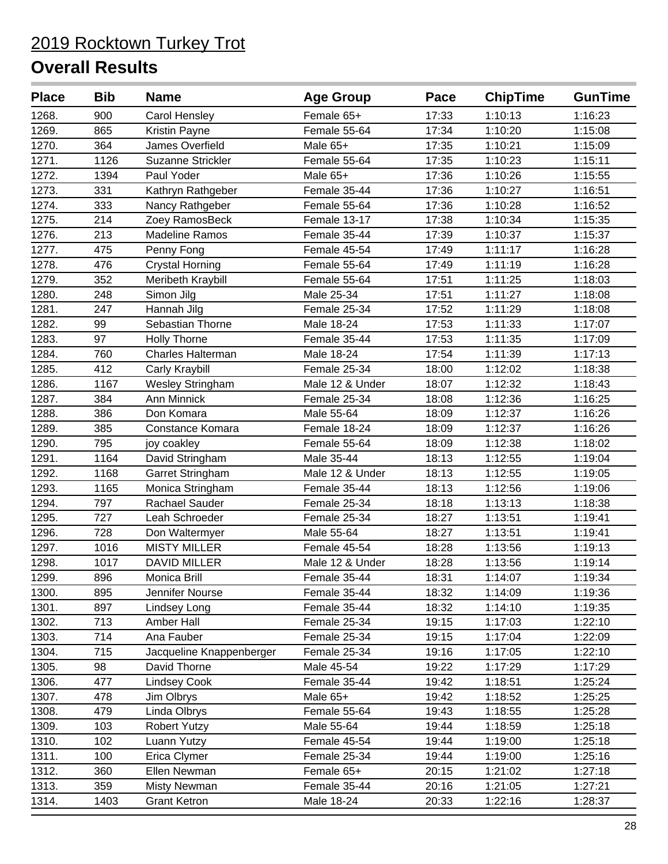| <b>Place</b> | <b>Bib</b> | <b>Name</b>              | <b>Age Group</b> | Pace  | <b>ChipTime</b> | <b>GunTime</b> |
|--------------|------------|--------------------------|------------------|-------|-----------------|----------------|
| 1268.        | 900        | <b>Carol Hensley</b>     | Female 65+       | 17:33 | 1:10:13         | 1:16:23        |
| 1269.        | 865        | Kristin Payne            | Female 55-64     | 17:34 | 1:10:20         | 1:15:08        |
| 1270.        | 364        | James Overfield          | Male 65+         | 17:35 | 1:10:21         | 1:15:09        |
| 1271.        | 1126       | <b>Suzanne Strickler</b> | Female 55-64     | 17:35 | 1:10:23         | 1:15:11        |
| 1272.        | 1394       | Paul Yoder               | Male 65+         | 17:36 | 1:10:26         | 1:15:55        |
| 1273.        | 331        | Kathryn Rathgeber        | Female 35-44     | 17:36 | 1:10:27         | 1:16:51        |
| 1274.        | 333        | Nancy Rathgeber          | Female 55-64     | 17:36 | 1:10:28         | 1:16:52        |
| 1275.        | 214        | Zoey RamosBeck           | Female 13-17     | 17:38 | 1:10:34         | 1:15:35        |
| 1276.        | 213        | <b>Madeline Ramos</b>    | Female 35-44     | 17:39 | 1:10:37         | 1:15:37        |
| 1277.        | 475        | Penny Fong               | Female 45-54     | 17:49 | 1:11:17         | 1:16:28        |
| 1278.        | 476        | <b>Crystal Horning</b>   | Female 55-64     | 17:49 | 1:11:19         | 1:16:28        |
| 1279.        | 352        | Meribeth Kraybill        | Female 55-64     | 17:51 | 1:11:25         | 1:18:03        |
| 1280.        | 248        | Simon Jilg               | Male 25-34       | 17:51 | 1:11:27         | 1:18:08        |
| 1281.        | 247        | Hannah Jilg              | Female 25-34     | 17:52 | 1:11:29         | 1:18:08        |
| 1282.        | 99         | Sebastian Thorne         | Male 18-24       | 17:53 | 1:11:33         | 1:17:07        |
| 1283.        | 97         | <b>Holly Thorne</b>      | Female 35-44     | 17:53 | 1:11:35         | 1:17:09        |
| 1284.        | 760        | Charles Halterman        | Male 18-24       | 17:54 | 1:11:39         | 1:17:13        |
| 1285.        | 412        | Carly Kraybill           | Female 25-34     | 18:00 | 1:12:02         | 1:18:38        |
| 1286.        | 1167       | <b>Wesley Stringham</b>  | Male 12 & Under  | 18:07 | 1:12:32         | 1:18:43        |
| 1287.        | 384        | <b>Ann Minnick</b>       | Female 25-34     | 18:08 | 1:12:36         | 1:16:25        |
| 1288.        | 386        | Don Komara               | Male 55-64       | 18:09 | 1:12:37         | 1:16:26        |
| 1289.        | 385        | Constance Komara         | Female 18-24     | 18:09 | 1:12:37         | 1:16:26        |
| 1290.        | 795        | joy coakley              | Female 55-64     | 18:09 | 1:12:38         | 1:18:02        |
| 1291.        | 1164       | David Stringham          | Male 35-44       | 18:13 | 1:12:55         | 1:19:04        |
| 1292.        | 1168       | Garret Stringham         | Male 12 & Under  | 18:13 | 1:12:55         | 1:19:05        |
| 1293.        | 1165       | Monica Stringham         | Female 35-44     | 18:13 | 1:12:56         | 1:19:06        |
| 1294.        | 797        | Rachael Sauder           | Female 25-34     | 18:18 | 1:13:13         | 1:18:38        |
| 1295.        | 727        | Leah Schroeder           | Female 25-34     | 18:27 | 1:13:51         | 1:19:41        |
| 1296.        | 728        | Don Waltermyer           | Male 55-64       | 18:27 | 1:13:51         | 1:19:41        |
| 1297.        | 1016       | <b>MISTY MILLER</b>      | Female 45-54     | 18:28 | 1:13:56         | 1:19:13        |
| 1298.        | 1017       | <b>DAVID MILLER</b>      | Male 12 & Under  | 18:28 | 1:13:56         | 1:19:14        |
| 1299.        | 896        | Monica Brill             | Female 35-44     | 18:31 | 1:14:07         | 1:19:34        |
| 1300.        | 895        | Jennifer Nourse          | Female 35-44     | 18:32 | 1:14:09         | 1:19:36        |
| 1301.        | 897        | Lindsey Long             | Female 35-44     | 18:32 | 1:14:10         | 1:19:35        |
| 1302.        | 713        | Amber Hall               | Female 25-34     | 19:15 | 1:17:03         | 1:22:10        |
| 1303.        | 714        | Ana Fauber               | Female 25-34     | 19:15 | 1:17:04         | 1:22:09        |
| 1304.        | 715        | Jacqueline Knappenberger | Female 25-34     | 19:16 | 1:17:05         | 1:22:10        |
| 1305.        | 98         | David Thorne             | Male 45-54       | 19:22 | 1:17:29         | 1:17:29        |
| 1306.        | 477        | <b>Lindsey Cook</b>      | Female 35-44     | 19:42 | 1:18:51         | 1:25:24        |
| 1307.        | 478        | Jim Olbrys               | Male 65+         | 19:42 | 1:18:52         | 1:25:25        |
| 1308.        | 479        | Linda Olbrys             | Female 55-64     | 19:43 | 1:18:55         | 1:25:28        |
| 1309.        | 103        | <b>Robert Yutzy</b>      | Male 55-64       | 19:44 | 1:18:59         | 1:25:18        |
| 1310.        | 102        | Luann Yutzy              | Female 45-54     | 19:44 | 1:19:00         | 1:25:18        |
| 1311.        | 100        | Erica Clymer             | Female 25-34     | 19:44 | 1:19:00         | 1:25:16        |
| 1312.        | 360        | Ellen Newman             | Female 65+       | 20:15 | 1:21:02         | 1:27:18        |
| 1313.        | 359        | <b>Misty Newman</b>      | Female 35-44     | 20:16 | 1:21:05         | 1:27:21        |
| 1314.        | 1403       | <b>Grant Ketron</b>      | Male 18-24       | 20:33 | 1:22:16         | 1:28:37        |
|              |            |                          |                  |       |                 |                |